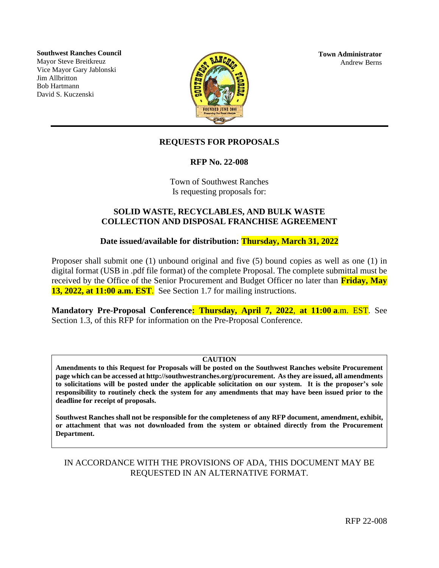**Southwest Ranches Council** Mayor Steve Breitkreuz Vice Mayor Gary Jablonski Jim Allbritton Bob Hartmann David S. Kuczenski



**Town Administrator** Andrew Berns

# **REQUESTS FOR PROPOSALS**

**RFP No. 22-008**

Town of Southwest Ranches Is requesting proposals for:

### **SOLID WASTE, RECYCLABLES, AND BULK WASTE COLLECTION AND DISPOSAL FRANCHISE AGREEMENT**

**Date issued/available for distribution: Thursday, March 31, 2022**

Proposer shall submit one (1) unbound original and five (5) bound copies as well as one (1) in digital format (USB in .pdf file format) of the complete Proposal. The complete submittal must be received by the Office of the Senior Procurement and Budget Officer no later than **Friday, May 13, 2022, at 11:00 a.m. EST**. See Section 1.7 for mailing instructions.

**Mandatory Pre-Proposal Conference: Thursday, April 7, 2022**, **at 11:00 a**.m. EST. See Section 1.3, of this RFP for information on the Pre-Proposal Conference.

### **CAUTION**

**Amendments to this Request for Proposals will be posted on the Southwest Ranches website Procurement page which can be accessed at http://southwestranches.org/procurement. As they are issued, all amendments to solicitations will be posted under the applicable solicitation on our system. It is the proposer's sole responsibility to routinely check the system for any amendments that may have been issued prior to the deadline for receipt of proposals.**

**Southwest Ranches shall not be responsible for the completeness of any RFP document, amendment, exhibit, or attachment that was not downloaded from the system or obtained directly from the Procurement Department.**

# IN ACCORDANCE WITH THE PROVISIONS OF ADA, THIS DOCUMENT MAY BE REQUESTED IN AN ALTERNATIVE FORMAT.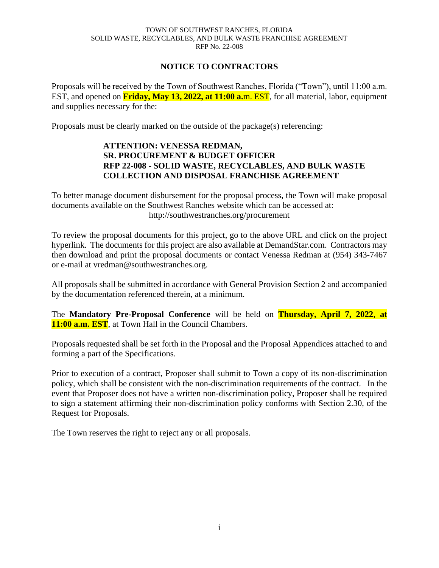### **NOTICE TO CONTRACTORS**

Proposals will be received by the Town of Southwest Ranches, Florida ("Town"), until 11:00 a.m. EST, and opened on **Friday, May 13, 2022, at 11:00 a.**m. EST, for all material, labor, equipment and supplies necessary for the:

Proposals must be clearly marked on the outside of the package(s) referencing:

### **ATTENTION: VENESSA REDMAN, SR. PROCUREMENT & BUDGET OFFICER RFP 22-008 - SOLID WASTE, RECYCLABLES, AND BULK WASTE COLLECTION AND DISPOSAL FRANCHISE AGREEMENT**

To better manage document disbursement for the proposal process, the Town will make proposal documents available on the Southwest Ranches website which can be accessed at: http://southwestranches.org/procurement

To review the proposal documents for this project, go to the above URL and click on the project hyperlink. The documents for this project are also available at DemandStar.com. Contractors may then download and print the proposal documents or contact Venessa Redman at (954) 343-7467 or e-mail at vredman@southwestranches.org.

All proposals shall be submitted in accordance with General Provision Section 2 and accompanied by the documentation referenced therein, at a minimum.

The **Mandatory Pre-Proposal Conference** will be held on **Thursday, April 7, 2022**, **at 11:00 a.m. EST**, at Town Hall in the Council Chambers.

Proposals requested shall be set forth in the Proposal and the Proposal Appendices attached to and forming a part of the Specifications.

Prior to execution of a contract, Proposer shall submit to Town a copy of its non-discrimination policy, which shall be consistent with the non-discrimination requirements of the contract. In the event that Proposer does not have a written non-discrimination policy, Proposer shall be required to sign a statement affirming their non-discrimination policy conforms with Section 2.30, of the Request for Proposals.

The Town reserves the right to reject any or all proposals.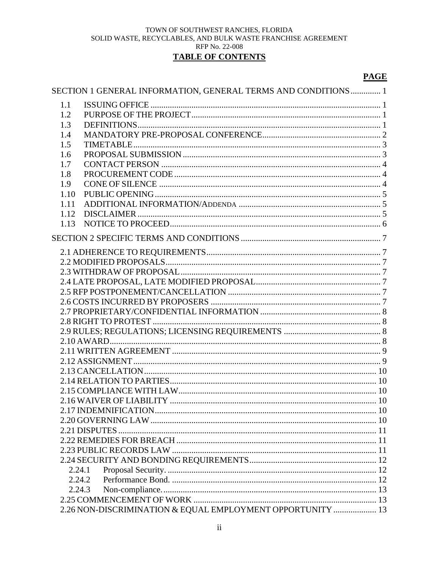# **TABLE OF CONTENTS**

### **PAGE**

|        | SECTION 1 GENERAL INFORMATION, GENERAL TERMS AND CONDITIONS 1 |  |
|--------|---------------------------------------------------------------|--|
| 1.1    |                                                               |  |
| 1.2    |                                                               |  |
| 1.3    |                                                               |  |
| 1.4    |                                                               |  |
| 1.5    |                                                               |  |
| 1.6    |                                                               |  |
| 1.7    |                                                               |  |
| 1.8    |                                                               |  |
| 1.9    |                                                               |  |
| 1.10   |                                                               |  |
| 1.11   |                                                               |  |
| 1.12   |                                                               |  |
| 1.13   |                                                               |  |
|        |                                                               |  |
|        |                                                               |  |
|        |                                                               |  |
|        |                                                               |  |
|        |                                                               |  |
|        |                                                               |  |
|        |                                                               |  |
|        |                                                               |  |
|        |                                                               |  |
|        |                                                               |  |
|        |                                                               |  |
|        |                                                               |  |
|        |                                                               |  |
|        |                                                               |  |
|        |                                                               |  |
|        |                                                               |  |
|        |                                                               |  |
|        |                                                               |  |
|        |                                                               |  |
|        |                                                               |  |
|        |                                                               |  |
|        |                                                               |  |
|        |                                                               |  |
|        |                                                               |  |
| 2.24.1 |                                                               |  |
| 2.24.2 |                                                               |  |
| 2.24.3 |                                                               |  |
|        |                                                               |  |
|        | 2.26 NON-DISCRIMINATION & EQUAL EMPLOYMENT OPPORTUNITY  13    |  |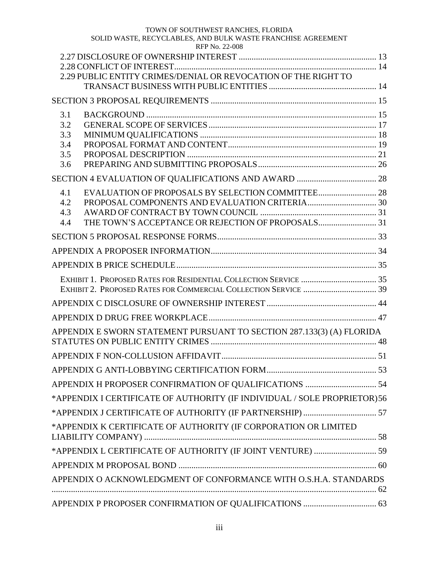### TOWN OF SOUTHWEST RANCHES, FLORIDA

| SOLID WASTE, RECYCLABLES, AND BULK WASTE FRANCHISE AGREEMENT<br>RFP No. 22-008 |  |
|--------------------------------------------------------------------------------|--|
|                                                                                |  |
|                                                                                |  |
| 2.29 PUBLIC ENTITY CRIMES/DENIAL OR REVOCATION OF THE RIGHT TO                 |  |
|                                                                                |  |
|                                                                                |  |
| 3.1                                                                            |  |
| 3.2                                                                            |  |
| 3.3                                                                            |  |
| 3.4                                                                            |  |
| 3.5                                                                            |  |
| 3.6                                                                            |  |
|                                                                                |  |
| 4.1                                                                            |  |
| 4.2                                                                            |  |
| 4.3                                                                            |  |
| 4.4                                                                            |  |
|                                                                                |  |
|                                                                                |  |
|                                                                                |  |
|                                                                                |  |
|                                                                                |  |
|                                                                                |  |
|                                                                                |  |
| APPENDIX E SWORN STATEMENT PURSUANT TO SECTION 287.133(3) (A) FLORIDA          |  |
|                                                                                |  |
|                                                                                |  |
|                                                                                |  |
| *APPENDIX I CERTIFICATE OF AUTHORITY (IF INDIVIDUAL / SOLE PROPRIETOR) 56      |  |
|                                                                                |  |
| *APPENDIX K CERTIFICATE OF AUTHORITY (IF CORPORATION OR LIMITED                |  |
| *APPENDIX L CERTIFICATE OF AUTHORITY (IF JOINT VENTURE)  59                    |  |
|                                                                                |  |
| APPENDIX O ACKNOWLEDGMENT OF CONFORMANCE WITH O.S.H.A. STANDARDS               |  |
|                                                                                |  |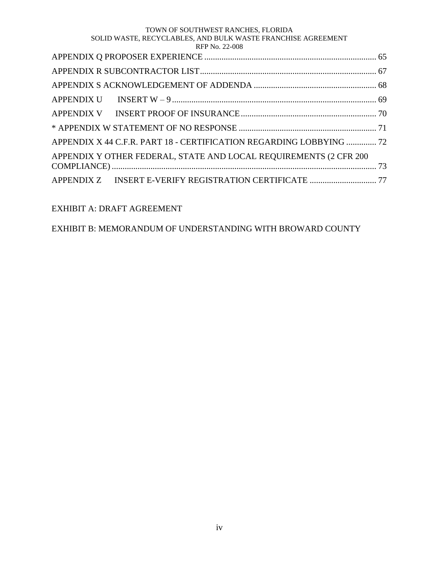### TOWN OF SOUTHWEST RANCHES, FLORIDA

#### SOLID WASTE, RECYCLABLES, AND BULK WASTE FRANCHISE AGREEMENT RFP No. 22-008

| 1111110.227000                         |  |
|----------------------------------------|--|
|                                        |  |
|                                        |  |
| APPENDIX S ACKNOWI EDGEMENT OF ADDENDA |  |

| APPENDIX X 44 C.F.R. PART 18 - CERTIFICATION REGARDING LOBBYING  72 |  |
|---------------------------------------------------------------------|--|
| APPENDIX Y OTHER FEDERAL, STATE AND LOCAL REQUIREMENTS (2 CFR 200   |  |
|                                                                     |  |

[APPENDIX Z INSERT E-VERIFY REGISTRATION CERTIFICATE](#page-81-0) ............................... 77

# EXHIBIT A: DRAFT AGREEMENT

# EXHIBIT B: MEMORANDUM OF UNDERSTANDING WITH BROWARD COUNTY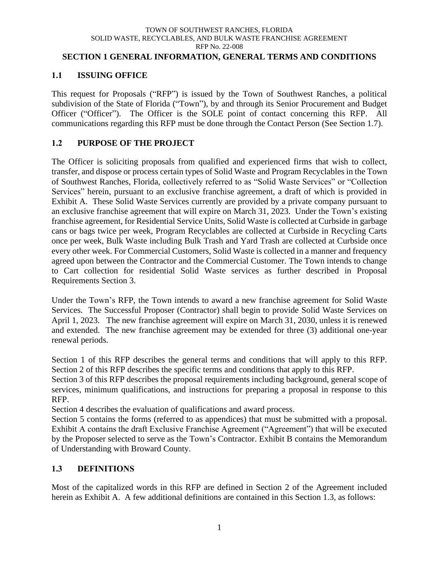### <span id="page-5-0"></span>**SECTION 1 GENERAL INFORMATION, GENERAL TERMS AND CONDITIONS**

# <span id="page-5-1"></span>**1.1 ISSUING OFFICE**

This request for Proposals ("RFP") is issued by the Town of Southwest Ranches, a political subdivision of the State of Florida ("Town"), by and through its Senior Procurement and Budget Officer ("Officer"). The Officer is the SOLE point of contact concerning this RFP. All communications regarding this RFP must be done through the Contact Person (See Section 1.7).

# <span id="page-5-2"></span>**1.2 PURPOSE OF THE PROJECT**

The Officer is soliciting proposals from qualified and experienced firms that wish to collect, transfer, and dispose or process certain types of Solid Waste and Program Recyclables in the Town of Southwest Ranches, Florida, collectively referred to as "Solid Waste Services" or "Collection Services" herein, pursuant to an exclusive franchise agreement, a draft of which is provided in Exhibit A. These Solid Waste Services currently are provided by a private company pursuant to an exclusive franchise agreement that will expire on March 31, 2023. Under the Town's existing franchise agreement, for Residential Service Units, Solid Waste is collected at Curbside in garbage cans or bags twice per week, Program Recyclables are collected at Curbside in Recycling Carts once per week, Bulk Waste including Bulk Trash and Yard Trash are collected at Curbside once every other week. For Commercial Customers, Solid Waste is collected in a manner and frequency agreed upon between the Contractor and the Commercial Customer. The Town intends to change to Cart collection for residential Solid Waste services as further described in Proposal Requirements Section 3.

Under the Town's RFP, the Town intends to award a new franchise agreement for Solid Waste Services. The Successful Proposer (Contractor) shall begin to provide Solid Waste Services on April 1, 2023. The new franchise agreement will expire on March 31, 2030, unless it is renewed and extended. The new franchise agreement may be extended for three (3) additional one-year renewal periods.

Section 1 of this RFP describes the general terms and conditions that will apply to this RFP. Section 2 of this RFP describes the specific terms and conditions that apply to this RFP.

Section 3 of this RFP describes the proposal requirements including background, general scope of services, minimum qualifications, and instructions for preparing a proposal in response to this RFP.

Section 4 describes the evaluation of qualifications and award process.

Section 5 contains the forms (referred to as appendices) that must be submitted with a proposal. Exhibit A contains the draft Exclusive Franchise Agreement ("Agreement") that will be executed by the Proposer selected to serve as the Town's Contractor. Exhibit B contains the Memorandum of Understanding with Broward County.

# <span id="page-5-3"></span>**1.3 DEFINITIONS**

Most of the capitalized words in this RFP are defined in Section 2 of the Agreement included herein as Exhibit A. A few additional definitions are contained in this Section 1.3, as follows: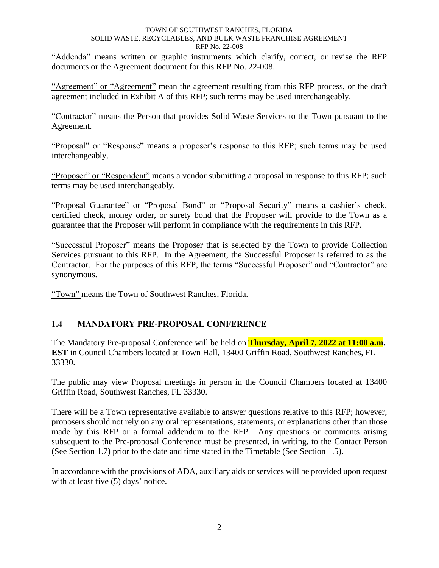"Addenda" means written or graphic instruments which clarify, correct, or revise the RFP documents or the Agreement document for this RFP No. 22-008.

"Agreement" or "Agreement" mean the agreement resulting from this RFP process, or the draft agreement included in Exhibit A of this RFP; such terms may be used interchangeably.

"Contractor" means the Person that provides Solid Waste Services to the Town pursuant to the Agreement.

"Proposal" or "Response" means a proposer's response to this RFP; such terms may be used interchangeably.

"Proposer" or "Respondent" means a vendor submitting a proposal in response to this RFP; such terms may be used interchangeably.

"Proposal Guarantee" or "Proposal Bond" or "Proposal Security" means a cashier's check, certified check, money order, or surety bond that the Proposer will provide to the Town as a guarantee that the Proposer will perform in compliance with the requirements in this RFP.

"Successful Proposer" means the Proposer that is selected by the Town to provide Collection Services pursuant to this RFP. In the Agreement, the Successful Proposer is referred to as the Contractor. For the purposes of this RFP, the terms "Successful Proposer" and "Contractor" are synonymous.

"Town" means the Town of Southwest Ranches, Florida.

# <span id="page-6-0"></span>**1.4 MANDATORY PRE-PROPOSAL CONFERENCE**

The Mandatory Pre-proposal Conference will be held on **Thursday, April 7, 2022 at 11:00 a.m. EST** in Council Chambers located at Town Hall, 13400 Griffin Road, Southwest Ranches, FL 33330.

The public may view Proposal meetings in person in the Council Chambers located at 13400 Griffin Road, Southwest Ranches, FL 33330.

There will be a Town representative available to answer questions relative to this RFP; however, proposers should not rely on any oral representations, statements, or explanations other than those made by this RFP or a formal addendum to the RFP. Any questions or comments arising subsequent to the Pre-proposal Conference must be presented, in writing, to the Contact Person (See Section 1.7) prior to the date and time stated in the Timetable (See Section 1.5).

In accordance with the provisions of ADA, auxiliary aids or services will be provided upon request with at least five (5) days' notice.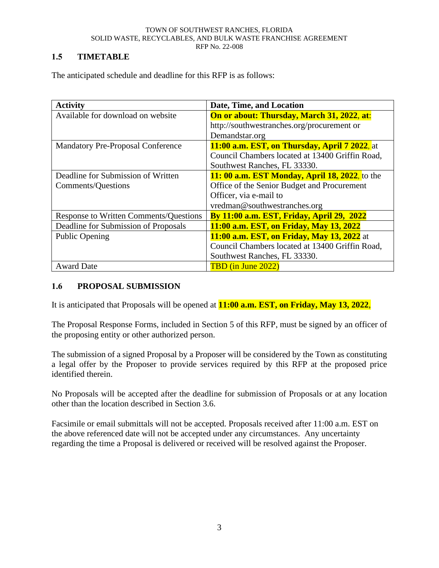# <span id="page-7-0"></span>**1.5 TIMETABLE**

| <b>Activity</b>                               | Date, Time, and Location                          |
|-----------------------------------------------|---------------------------------------------------|
| Available for download on website             | <b>On or about: Thursday, March 31, 2022, at:</b> |
|                                               | http://southwestranches.org/procurement or        |
|                                               | Demandstar.org                                    |
| <b>Mandatory Pre-Proposal Conference</b>      | 11:00 a.m. EST, on Thursday, April 7 2022, at     |
|                                               | Council Chambers located at 13400 Griffin Road,   |
|                                               | Southwest Ranches, FL 33330.                      |
| Deadline for Submission of Written            | $11:00$ a.m. EST Monday, April 18, 2022, to the   |
| Comments/Questions                            | Office of the Senior Budget and Procurement       |
|                                               | Officer, via e-mail to                            |
|                                               | vredman@southwestranches.org                      |
| <b>Response to Written Comments/Questions</b> | <b>By 11:00 a.m. EST, Friday, April 29, 2022</b>  |
| Deadline for Submission of Proposals          | 11:00 a.m. EST, on Friday, May 13, 2022           |
| <b>Public Opening</b>                         | <b>11:00 a.m. EST, on Friday, May 13, 2022</b> at |
|                                               | Council Chambers located at 13400 Griffin Road,   |
|                                               | Southwest Ranches, FL 33330.                      |
| <b>Award Date</b>                             | TBD (in June 2022)                                |

The anticipated schedule and deadline for this RFP is as follows:

# <span id="page-7-1"></span>**1.6 PROPOSAL SUBMISSION**

It is anticipated that Proposals will be opened at **11:00 a.m. EST, on Friday, May 13, 2022**,

The Proposal Response Forms, included in Section 5 of this RFP, must be signed by an officer of the proposing entity or other authorized person.

The submission of a signed Proposal by a Proposer will be considered by the Town as constituting a legal offer by the Proposer to provide services required by this RFP at the proposed price identified therein.

No Proposals will be accepted after the deadline for submission of Proposals or at any location other than the location described in Section 3.6.

Facsimile or email submittals will not be accepted. Proposals received after 11:00 a.m. EST on the above referenced date will not be accepted under any circumstances. Any uncertainty regarding the time a Proposal is delivered or received will be resolved against the Proposer.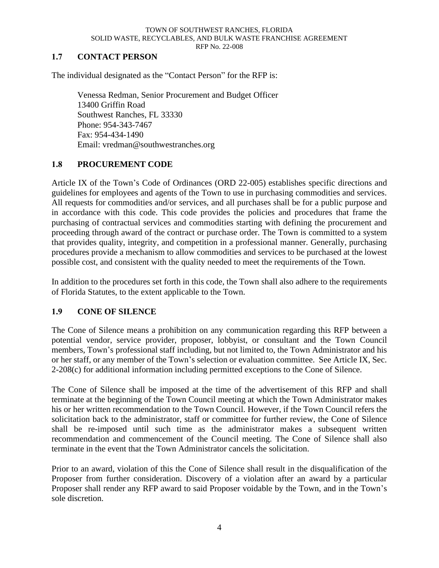### <span id="page-8-0"></span>**1.7 CONTACT PERSON**

The individual designated as the "Contact Person" for the RFP is:

Venessa Redman, Senior Procurement and Budget Officer 13400 Griffin Road Southwest Ranches, FL 33330 Phone: 954-343-7467 Fax: 954-434-1490 Email: vredman@southwestranches.org

### <span id="page-8-1"></span>**1.8 PROCUREMENT CODE**

Article IX of the Town's Code of Ordinances (ORD 22-005) establishes specific directions and guidelines for employees and agents of the Town to use in purchasing commodities and services. All requests for commodities and/or services, and all purchases shall be for a public purpose and in accordance with this code. This code provides the policies and procedures that frame the purchasing of contractual services and commodities starting with defining the procurement and proceeding through award of the contract or purchase order. The Town is committed to a system that provides quality, integrity, and competition in a professional manner. Generally, purchasing procedures provide a mechanism to allow commodities and services to be purchased at the lowest possible cost, and consistent with the quality needed to meet the requirements of the Town.

In addition to the procedures set forth in this code, the Town shall also adhere to the requirements of Florida Statutes, to the extent applicable to the Town.

### <span id="page-8-2"></span>**1.9 CONE OF SILENCE**

The Cone of Silence means a prohibition on any communication regarding this RFP between a potential vendor, service provider, proposer, lobbyist, or consultant and the Town Council members, Town's professional staff including, but not limited to, the Town Administrator and his or her staff, or any member of the Town's selection or evaluation committee. See Article IX, Sec. 2-208(c) for additional information including permitted exceptions to the Cone of Silence.

The Cone of Silence shall be imposed at the time of the advertisement of this RFP and shall terminate at the beginning of the Town Council meeting at which the Town Administrator makes his or her written recommendation to the Town Council. However, if the Town Council refers the solicitation back to the administrator, staff or committee for further review, the Cone of Silence shall be re-imposed until such time as the administrator makes a subsequent written recommendation and commencement of the Council meeting. The Cone of Silence shall also terminate in the event that the Town Administrator cancels the solicitation.

Prior to an award, violation of this the Cone of Silence shall result in the disqualification of the Proposer from further consideration. Discovery of a violation after an award by a particular Proposer shall render any RFP award to said Proposer voidable by the Town, and in the Town's sole discretion.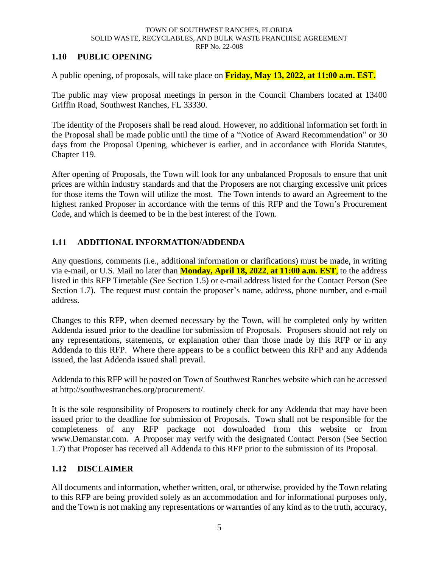### <span id="page-9-0"></span>**1.10 PUBLIC OPENING**

A public opening, of proposals, will take place on **Friday, May 13, 2022, at 11:00 a.m. EST.**

The public may view proposal meetings in person in the Council Chambers located at 13400 Griffin Road, Southwest Ranches, FL 33330.

The identity of the Proposers shall be read aloud. However, no additional information set forth in the Proposal shall be made public until the time of a "Notice of Award Recommendation" or 30 days from the Proposal Opening, whichever is earlier, and in accordance with Florida Statutes, Chapter 119.

After opening of Proposals, the Town will look for any unbalanced Proposals to ensure that unit prices are within industry standards and that the Proposers are not charging excessive unit prices for those items the Town will utilize the most. The Town intends to award an Agreement to the highest ranked Proposer in accordance with the terms of this RFP and the Town's Procurement Code, and which is deemed to be in the best interest of the Town.

# <span id="page-9-1"></span>**1.11 ADDITIONAL INFORMATION/ADDENDA**

Any questions, comments (i.e., additional information or clarifications) must be made, in writing via e-mail, or U.S. Mail no later than **Monday, April 18, 2022**, **at 11:00 a.m. EST**, to the address listed in this RFP Timetable (See Section 1.5) or e-mail address listed for the Contact Person (See Section 1.7). The request must contain the proposer's name, address, phone number, and e-mail address.

Changes to this RFP, when deemed necessary by the Town, will be completed only by written Addenda issued prior to the deadline for submission of Proposals. Proposers should not rely on any representations, statements, or explanation other than those made by this RFP or in any Addenda to this RFP. Where there appears to be a conflict between this RFP and any Addenda issued, the last Addenda issued shall prevail.

Addenda to this RFP will be posted on Town of Southwest Ranches website which can be accessed at http://southwestranches.org/procurement/.

It is the sole responsibility of Proposers to routinely check for any Addenda that may have been issued prior to the deadline for submission of Proposals. Town shall not be responsible for the completeness of any RFP package not downloaded from this website or from www.Demanstar.com. A Proposer may verify with the designated Contact Person (See Section 1.7) that Proposer has received all Addenda to this RFP prior to the submission of its Proposal.

### <span id="page-9-2"></span>**1.12 DISCLAIMER**

All documents and information, whether written, oral, or otherwise, provided by the Town relating to this RFP are being provided solely as an accommodation and for informational purposes only, and the Town is not making any representations or warranties of any kind as to the truth, accuracy,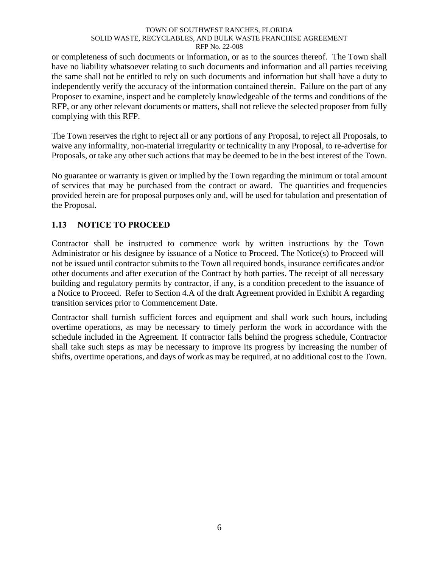or completeness of such documents or information, or as to the sources thereof. The Town shall have no liability whatsoever relating to such documents and information and all parties receiving the same shall not be entitled to rely on such documents and information but shall have a duty to independently verify the accuracy of the information contained therein. Failure on the part of any Proposer to examine, inspect and be completely knowledgeable of the terms and conditions of the RFP, or any other relevant documents or matters, shall not relieve the selected proposer from fully complying with this RFP.

The Town reserves the right to reject all or any portions of any Proposal, to reject all Proposals, to waive any informality, non-material irregularity or technicality in any Proposal, to re-advertise for Proposals, or take any other such actions that may be deemed to be in the best interest of the Town.

No guarantee or warranty is given or implied by the Town regarding the minimum or total amount of services that may be purchased from the contract or award. The quantities and frequencies provided herein are for proposal purposes only and, will be used for tabulation and presentation of the Proposal.

# <span id="page-10-0"></span>**1.13 NOTICE TO PROCEED**

Contractor shall be instructed to commence work by written instructions by the Town Administrator or his designee by issuance of a Notice to Proceed. The Notice(s) to Proceed will not be issued until contractor submits to the Town all required bonds, insurance certificates and/or other documents and after execution of the Contract by both parties. The receipt of all necessary building and regulatory permits by contractor, if any, is a condition precedent to the issuance of a Notice to Proceed. Refer to Section 4.A of the draft Agreement provided in Exhibit A regarding transition services prior to Commencement Date.

Contractor shall furnish sufficient forces and equipment and shall work such hours, including overtime operations, as may be necessary to timely perform the work in accordance with the schedule included in the Agreement. If contractor falls behind the progress schedule, Contractor shall take such steps as may be necessary to improve its progress by increasing the number of shifts, overtime operations, and days of work as may be required, at no additional cost to the Town.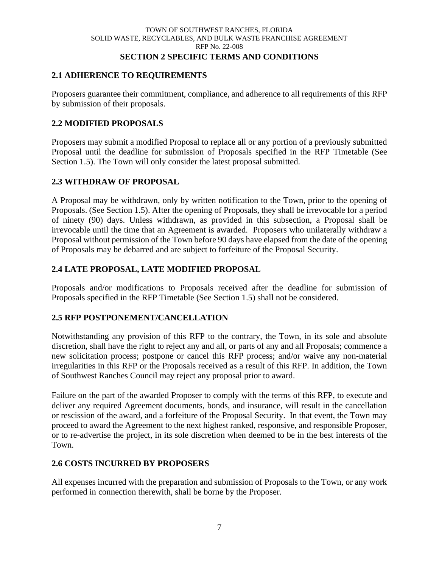#### TOWN OF SOUTHWEST RANCHES, FLORIDA SOLID WASTE, RECYCLABLES, AND BULK WASTE FRANCHISE AGREEMENT RFP No. 22-008 **SECTION 2 SPECIFIC TERMS AND CONDITIONS**

# <span id="page-11-1"></span><span id="page-11-0"></span>**2.1 ADHERENCE TO REQUIREMENTS**

Proposers guarantee their commitment, compliance, and adherence to all requirements of this RFP by submission of their proposals.

### <span id="page-11-2"></span>**2.2 MODIFIED PROPOSALS**

Proposers may submit a modified Proposal to replace all or any portion of a previously submitted Proposal until the deadline for submission of Proposals specified in the RFP Timetable (See Section 1.5). The Town will only consider the latest proposal submitted.

### <span id="page-11-3"></span>**2.3 WITHDRAW OF PROPOSAL**

A Proposal may be withdrawn, only by written notification to the Town, prior to the opening of Proposals. (See Section 1.5). After the opening of Proposals, they shall be irrevocable for a period of ninety (90) days. Unless withdrawn, as provided in this subsection, a Proposal shall be irrevocable until the time that an Agreement is awarded. Proposers who unilaterally withdraw a Proposal without permission of the Town before 90 days have elapsed from the date of the opening of Proposals may be debarred and are subject to forfeiture of the Proposal Security.

# <span id="page-11-4"></span>**2.4 LATE PROPOSAL, LATE MODIFIED PROPOSAL**

Proposals and/or modifications to Proposals received after the deadline for submission of Proposals specified in the RFP Timetable (See Section 1.5) shall not be considered.

# <span id="page-11-5"></span>**2.5 RFP POSTPONEMENT/CANCELLATION**

Notwithstanding any provision of this RFP to the contrary, the Town, in its sole and absolute discretion, shall have the right to reject any and all, or parts of any and all Proposals; commence a new solicitation process; postpone or cancel this RFP process; and/or waive any non-material irregularities in this RFP or the Proposals received as a result of this RFP. In addition, the Town of Southwest Ranches Council may reject any proposal prior to award.

Failure on the part of the awarded Proposer to comply with the terms of this RFP, to execute and deliver any required Agreement documents, bonds, and insurance, will result in the cancellation or rescission of the award, and a forfeiture of the Proposal Security. In that event, the Town may proceed to award the Agreement to the next highest ranked, responsive, and responsible Proposer, or to re-advertise the project, in its sole discretion when deemed to be in the best interests of the Town.

# <span id="page-11-6"></span>**2.6 COSTS INCURRED BY PROPOSERS**

All expenses incurred with the preparation and submission of Proposals to the Town, or any work performed in connection therewith, shall be borne by the Proposer.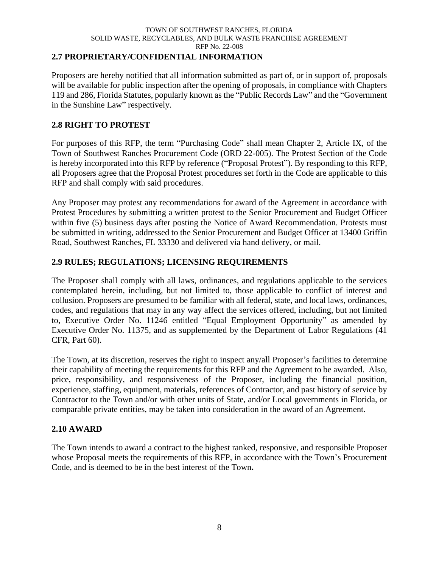### <span id="page-12-0"></span>**2.7 PROPRIETARY/CONFIDENTIAL INFORMATION**

Proposers are hereby notified that all information submitted as part of, or in support of, proposals will be available for public inspection after the opening of proposals, in compliance with Chapters 119 and 286, Florida Statutes, popularly known as the "Public Records Law" and the "Government in the Sunshine Law" respectively.

### <span id="page-12-1"></span>**2.8 RIGHT TO PROTEST**

For purposes of this RFP, the term "Purchasing Code" shall mean Chapter 2, Article IX, of the Town of Southwest Ranches Procurement Code (ORD 22-005). The Protest Section of the Code is hereby incorporated into this RFP by reference ("Proposal Protest"). By responding to this RFP, all Proposers agree that the Proposal Protest procedures set forth in the Code are applicable to this RFP and shall comply with said procedures.

Any Proposer may protest any recommendations for award of the Agreement in accordance with Protest Procedures by submitting a written protest to the Senior Procurement and Budget Officer within five (5) business days after posting the Notice of Award Recommendation. Protests must be submitted in writing, addressed to the Senior Procurement and Budget Officer at 13400 Griffin Road, Southwest Ranches, FL 33330 and delivered via hand delivery, or mail.

### <span id="page-12-2"></span>**2.9 RULES; REGULATIONS; LICENSING REQUIREMENTS**

The Proposer shall comply with all laws, ordinances, and regulations applicable to the services contemplated herein, including, but not limited to, those applicable to conflict of interest and collusion. Proposers are presumed to be familiar with all federal, state, and local laws, ordinances, codes, and regulations that may in any way affect the services offered, including, but not limited to, Executive Order No. 11246 entitled "Equal Employment Opportunity" as amended by Executive Order No. 11375, and as supplemented by the Department of Labor Regulations (41 CFR, Part 60).

The Town, at its discretion, reserves the right to inspect any/all Proposer's facilities to determine their capability of meeting the requirements for this RFP and the Agreement to be awarded. Also, price, responsibility, and responsiveness of the Proposer, including the financial position, experience, staffing, equipment, materials, references of Contractor, and past history of service by Contractor to the Town and/or with other units of State, and/or Local governments in Florida, or comparable private entities, may be taken into consideration in the award of an Agreement.

### <span id="page-12-3"></span>**2.10 AWARD**

The Town intends to award a contract to the highest ranked, responsive, and responsible Proposer whose Proposal meets the requirements of this RFP, in accordance with the Town's Procurement Code, and is deemed to be in the best interest of the Town**.**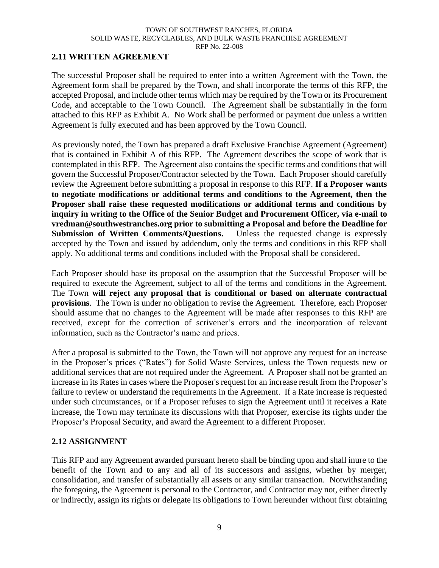### <span id="page-13-0"></span>**2.11 WRITTEN AGREEMENT**

The successful Proposer shall be required to enter into a written Agreement with the Town, the Agreement form shall be prepared by the Town, and shall incorporate the terms of this RFP, the accepted Proposal, and include other terms which may be required by the Town or its Procurement Code, and acceptable to the Town Council. The Agreement shall be substantially in the form attached to this RFP as Exhibit A. No Work shall be performed or payment due unless a written Agreement is fully executed and has been approved by the Town Council.

As previously noted, the Town has prepared a draft Exclusive Franchise Agreement (Agreement) that is contained in Exhibit A of this RFP. The Agreement describes the scope of work that is contemplated in this RFP. The Agreement also contains the specific terms and conditions that will govern the Successful Proposer/Contractor selected by the Town. Each Proposer should carefully review the Agreement before submitting a proposal in response to this RFP. **If a Proposer wants to negotiate modifications or additional terms and conditions to the Agreement, then the Proposer shall raise these requested modifications or additional terms and conditions by inquiry in writing to the Office of the Senior Budget and Procurement Officer, via e-mail to vredman@southwestranches.org prior to submitting a Proposal and before the Deadline for Submission of Written Comments/Questions.** Unless the requested change is expressly accepted by the Town and issued by addendum, only the terms and conditions in this RFP shall apply. No additional terms and conditions included with the Proposal shall be considered.

Each Proposer should base its proposal on the assumption that the Successful Proposer will be required to execute the Agreement, subject to all of the terms and conditions in the Agreement. The Town **will reject any proposal that is conditional or based on alternate contractual provisions**. The Town is under no obligation to revise the Agreement. Therefore, each Proposer should assume that no changes to the Agreement will be made after responses to this RFP are received, except for the correction of scrivener's errors and the incorporation of relevant information, such as the Contractor's name and prices.

After a proposal is submitted to the Town, the Town will not approve any request for an increase in the Proposer's prices ("Rates") for Solid Waste Services, unless the Town requests new or additional services that are not required under the Agreement. A Proposer shall not be granted an increase in its Rates in cases where the Proposer's request for an increase result from the Proposer's failure to review or understand the requirements in the Agreement. If a Rate increase is requested under such circumstances, or if a Proposer refuses to sign the Agreement until it receives a Rate increase, the Town may terminate its discussions with that Proposer, exercise its rights under the Proposer's Proposal Security, and award the Agreement to a different Proposer.

### <span id="page-13-1"></span>**2.12 ASSIGNMENT**

This RFP and any Agreement awarded pursuant hereto shall be binding upon and shall inure to the benefit of the Town and to any and all of its successors and assigns, whether by merger, consolidation, and transfer of substantially all assets or any similar transaction. Notwithstanding the foregoing, the Agreement is personal to the Contractor, and Contractor may not, either directly or indirectly, assign its rights or delegate its obligations to Town hereunder without first obtaining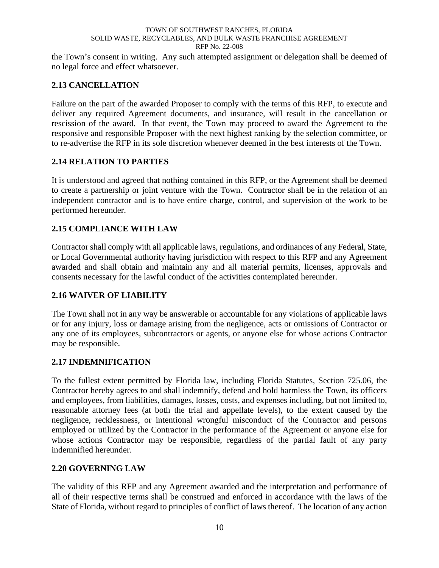the Town's consent in writing. Any such attempted assignment or delegation shall be deemed of no legal force and effect whatsoever.

# <span id="page-14-0"></span>**2.13 CANCELLATION**

Failure on the part of the awarded Proposer to comply with the terms of this RFP, to execute and deliver any required Agreement documents, and insurance, will result in the cancellation or rescission of the award. In that event, the Town may proceed to award the Agreement to the responsive and responsible Proposer with the next highest ranking by the selection committee, or to re-advertise the RFP in its sole discretion whenever deemed in the best interests of the Town.

# <span id="page-14-1"></span>**2.14 RELATION TO PARTIES**

It is understood and agreed that nothing contained in this RFP, or the Agreement shall be deemed to create a partnership or joint venture with the Town. Contractor shall be in the relation of an independent contractor and is to have entire charge, control, and supervision of the work to be performed hereunder.

# <span id="page-14-2"></span>**2.15 COMPLIANCE WITH LAW**

Contractor shall comply with all applicable laws, regulations, and ordinances of any Federal, State, or Local Governmental authority having jurisdiction with respect to this RFP and any Agreement awarded and shall obtain and maintain any and all material permits, licenses, approvals and consents necessary for the lawful conduct of the activities contemplated hereunder.

# <span id="page-14-3"></span>**2.16 WAIVER OF LIABILITY**

The Town shall not in any way be answerable or accountable for any violations of applicable laws or for any injury, loss or damage arising from the negligence, acts or omissions of Contractor or any one of its employees, subcontractors or agents, or anyone else for whose actions Contractor may be responsible.

# <span id="page-14-4"></span>**2.17 INDEMNIFICATION**

To the fullest extent permitted by Florida law, including Florida Statutes, Section 725.06, the Contractor hereby agrees to and shall indemnify, defend and hold harmless the Town, its officers and employees, from liabilities, damages, losses, costs, and expenses including, but not limited to, reasonable attorney fees (at both the trial and appellate levels), to the extent caused by the negligence, recklessness, or intentional wrongful misconduct of the Contractor and persons employed or utilized by the Contractor in the performance of the Agreement or anyone else for whose actions Contractor may be responsible, regardless of the partial fault of any party indemnified hereunder.

# <span id="page-14-5"></span>**2.20 GOVERNING LAW**

The validity of this RFP and any Agreement awarded and the interpretation and performance of all of their respective terms shall be construed and enforced in accordance with the laws of the State of Florida, without regard to principles of conflict of laws thereof. The location of any action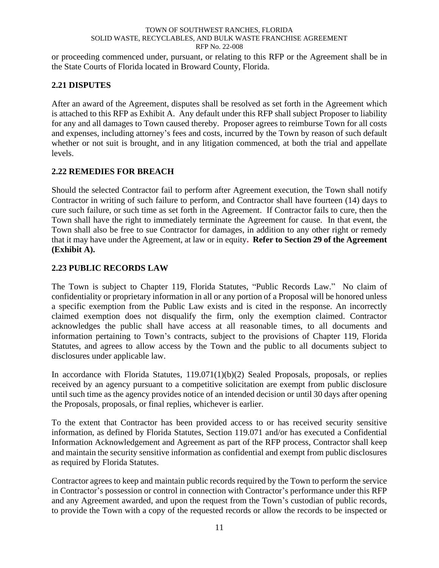or proceeding commenced under, pursuant, or relating to this RFP or the Agreement shall be in the State Courts of Florida located in Broward County, Florida.

# <span id="page-15-0"></span>**2.21 DISPUTES**

After an award of the Agreement, disputes shall be resolved as set forth in the Agreement which is attached to this RFP as Exhibit A. Any default under this RFP shall subject Proposer to liability for any and all damages to Town caused thereby. Proposer agrees to reimburse Town for all costs and expenses, including attorney's fees and costs, incurred by the Town by reason of such default whether or not suit is brought, and in any litigation commenced, at both the trial and appellate levels.

# <span id="page-15-1"></span>**2.22 REMEDIES FOR BREACH**

Should the selected Contractor fail to perform after Agreement execution, the Town shall notify Contractor in writing of such failure to perform, and Contractor shall have fourteen (14) days to cure such failure, or such time as set forth in the Agreement. If Contractor fails to cure, then the Town shall have the right to immediately terminate the Agreement for cause. In that event, the Town shall also be free to sue Contractor for damages, in addition to any other right or remedy that it may have under the Agreement, at law or in equity**. Refer to Section 29 of the Agreement (Exhibit A).**

# <span id="page-15-2"></span>**2.23 PUBLIC RECORDS LAW**

The Town is subject to Chapter 119, Florida Statutes, "Public Records Law." No claim of confidentiality or proprietary information in all or any portion of a Proposal will be honored unless a specific exemption from the Public Law exists and is cited in the response. An incorrectly claimed exemption does not disqualify the firm, only the exemption claimed. Contractor acknowledges the public shall have access at all reasonable times, to all documents and information pertaining to Town's contracts, subject to the provisions of Chapter 119, Florida Statutes, and agrees to allow access by the Town and the public to all documents subject to disclosures under applicable law.

In accordance with Florida Statutes, 119.071(1)(b)(2) Sealed Proposals, proposals, or replies received by an agency pursuant to a competitive solicitation are exempt from public disclosure until such time as the agency provides notice of an intended decision or until 30 days after opening the Proposals, proposals, or final replies, whichever is earlier.

To the extent that Contractor has been provided access to or has received security sensitive information, as defined by Florida Statutes, Section 119.071 and/or has executed a Confidential Information Acknowledgement and Agreement as part of the RFP process, Contractor shall keep and maintain the security sensitive information as confidential and exempt from public disclosures as required by Florida Statutes.

Contractor agrees to keep and maintain public records required by the Town to perform the service in Contractor's possession or control in connection with Contractor's performance under this RFP and any Agreement awarded, and upon the request from the Town's custodian of public records, to provide the Town with a copy of the requested records or allow the records to be inspected or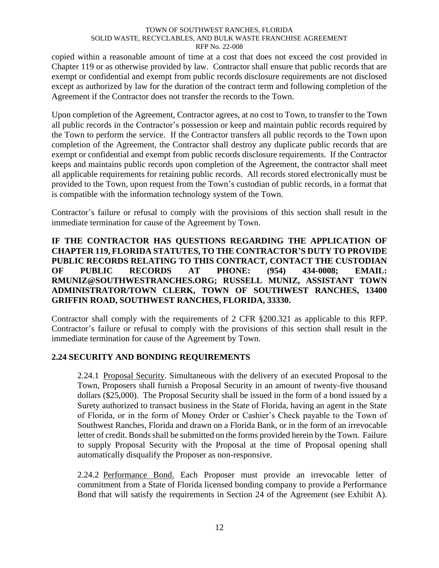copied within a reasonable amount of time at a cost that does not exceed the cost provided in Chapter 119 or as otherwise provided by law. Contractor shall ensure that public records that are exempt or confidential and exempt from public records disclosure requirements are not disclosed except as authorized by law for the duration of the contract term and following completion of the Agreement if the Contractor does not transfer the records to the Town.

Upon completion of the Agreement, Contractor agrees, at no cost to Town, to transfer to the Town all public records in the Contractor's possession or keep and maintain public records required by the Town to perform the service. If the Contractor transfers all public records to the Town upon completion of the Agreement, the Contractor shall destroy any duplicate public records that are exempt or confidential and exempt from public records disclosure requirements. If the Contractor keeps and maintains public records upon completion of the Agreement, the contractor shall meet all applicable requirements for retaining public records. All records stored electronically must be provided to the Town, upon request from the Town's custodian of public records, in a format that is compatible with the information technology system of the Town.

Contractor's failure or refusal to comply with the provisions of this section shall result in the immediate termination for cause of the Agreement by Town.

# **IF THE CONTRACTOR HAS QUESTIONS REGARDING THE APPLICATION OF CHAPTER 119, FLORIDA STATUTES, TO THE CONTRACTOR'S DUTY TO PROVIDE PUBLIC RECORDS RELATING TO THIS CONTRACT, CONTACT THE CUSTODIAN OF PUBLIC RECORDS AT PHONE: (954) 434-0008; EMAIL: RMUNIZ@SOUTHWESTRANCHES.ORG; RUSSELL MUNIZ, ASSISTANT TOWN ADMINISTRATOR/TOWN CLERK, TOWN OF SOUTHWEST RANCHES, 13400 GRIFFIN ROAD, SOUTHWEST RANCHES, FLORIDA, 33330.**

Contractor shall comply with the requirements of 2 CFR §200.321 as applicable to this RFP. Contractor's failure or refusal to comply with the provisions of this section shall result in the immediate termination for cause of the Agreement by Town.

# <span id="page-16-1"></span><span id="page-16-0"></span>**2.24 SECURITY AND BONDING REQUIREMENTS**

2.24.1 Proposal Security. Simultaneous with the delivery of an executed Proposal to the Town, Proposers shall furnish a Proposal Security in an amount of twenty-five thousand dollars (\$25,000). The Proposal Security shall be issued in the form of a bond issued by a Surety authorized to transact business in the State of Florida, having an agent in the State of Florida, or in the form of Money Order or Cashier's Check payable to the Town of Southwest Ranches, Florida and drawn on a Florida Bank, or in the form of an irrevocable letter of credit. Bonds shall be submitted on the forms provided herein by the Town. Failure to supply Proposal Security with the Proposal at the time of Proposal opening shall automatically disqualify the Proposer as non-responsive.

<span id="page-16-2"></span>2.24.2 Performance Bond. Each Proposer must provide an irrevocable letter of commitment from a State of Florida licensed bonding company to provide a Performance Bond that will satisfy the requirements in Section 24 of the Agreement (see Exhibit A).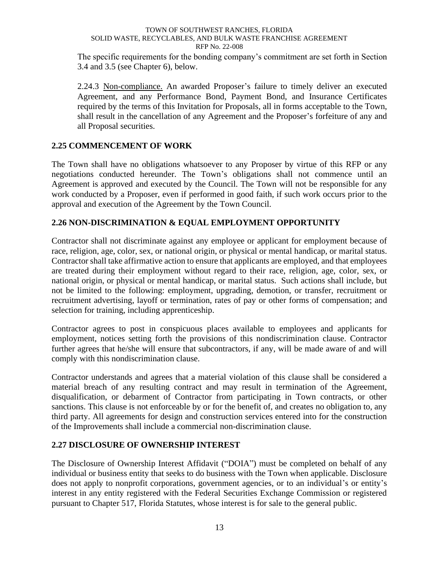The specific requirements for the bonding company's commitment are set forth in Section 3.4 and 3.5 (see Chapter 6), below.

<span id="page-17-0"></span>2.24.3 Non-compliance. An awarded Proposer's failure to timely deliver an executed Agreement, and any Performance Bond, Payment Bond, and Insurance Certificates required by the terms of this Invitation for Proposals, all in forms acceptable to the Town, shall result in the cancellation of any Agreement and the Proposer's forfeiture of any and all Proposal securities.

# <span id="page-17-1"></span>**2.25 COMMENCEMENT OF WORK**

The Town shall have no obligations whatsoever to any Proposer by virtue of this RFP or any negotiations conducted hereunder. The Town's obligations shall not commence until an Agreement is approved and executed by the Council. The Town will not be responsible for any work conducted by a Proposer, even if performed in good faith, if such work occurs prior to the approval and execution of the Agreement by the Town Council.

# <span id="page-17-2"></span>**2.26 NON-DISCRIMINATION & EQUAL EMPLOYMENT OPPORTUNITY**

Contractor shall not discriminate against any employee or applicant for employment because of race, religion, age, color, sex, or national origin, or physical or mental handicap, or marital status. Contractor shall take affirmative action to ensure that applicants are employed, and that employees are treated during their employment without regard to their race, religion, age, color, sex, or national origin, or physical or mental handicap, or marital status. Such actions shall include, but not be limited to the following: employment, upgrading, demotion, or transfer, recruitment or recruitment advertising, layoff or termination, rates of pay or other forms of compensation; and selection for training, including apprenticeship.

Contractor agrees to post in conspicuous places available to employees and applicants for employment, notices setting forth the provisions of this nondiscrimination clause. Contractor further agrees that he/she will ensure that subcontractors, if any, will be made aware of and will comply with this nondiscrimination clause.

Contractor understands and agrees that a material violation of this clause shall be considered a material breach of any resulting contract and may result in termination of the Agreement, disqualification, or debarment of Contractor from participating in Town contracts, or other sanctions. This clause is not enforceable by or for the benefit of, and creates no obligation to, any third party. All agreements for design and construction services entered into for the construction of the Improvements shall include a commercial non-discrimination clause.

# <span id="page-17-3"></span>**2.27 DISCLOSURE OF OWNERSHIP INTEREST**

The Disclosure of Ownership Interest Affidavit ("DOIA") must be completed on behalf of any individual or business entity that seeks to do business with the Town when applicable. Disclosure does not apply to nonprofit corporations, government agencies, or to an individual's or entity's interest in any entity registered with the Federal Securities Exchange Commission or registered pursuant to Chapter 517, Florida Statutes, whose interest is for sale to the general public.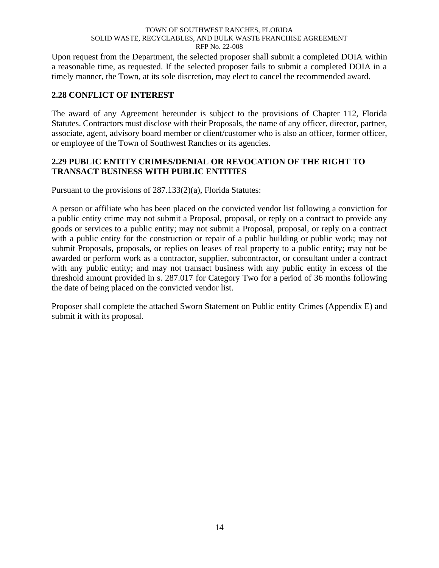Upon request from the Department, the selected proposer shall submit a completed DOIA within a reasonable time, as requested. If the selected proposer fails to submit a completed DOIA in a timely manner, the Town, at its sole discretion, may elect to cancel the recommended award.

# <span id="page-18-0"></span>**2.28 CONFLICT OF INTEREST**

The award of any Agreement hereunder is subject to the provisions of Chapter 112, Florida Statutes. Contractors must disclose with their Proposals, the name of any officer, director, partner, associate, agent, advisory board member or client/customer who is also an officer, former officer, or employee of the Town of Southwest Ranches or its agencies.

# <span id="page-18-1"></span>**2.29 PUBLIC ENTITY CRIMES/DENIAL OR REVOCATION OF THE RIGHT TO TRANSACT BUSINESS WITH PUBLIC ENTITIES**

Pursuant to the provisions of 287.133(2)(a), Florida Statutes:

A person or affiliate who has been placed on the convicted vendor list following a conviction for a public entity crime may not submit a Proposal, proposal, or reply on a contract to provide any goods or services to a public entity; may not submit a Proposal, proposal, or reply on a contract with a public entity for the construction or repair of a public building or public work; may not submit Proposals, proposals, or replies on leases of real property to a public entity; may not be awarded or perform work as a contractor, supplier, subcontractor, or consultant under a contract with any public entity; and may not transact business with any public entity in excess of the threshold amount provided in s. 287.017 for Category Two for a period of 36 months following the date of being placed on the convicted vendor list.

Proposer shall complete the attached Sworn Statement on Public entity Crimes (Appendix E) and submit it with its proposal.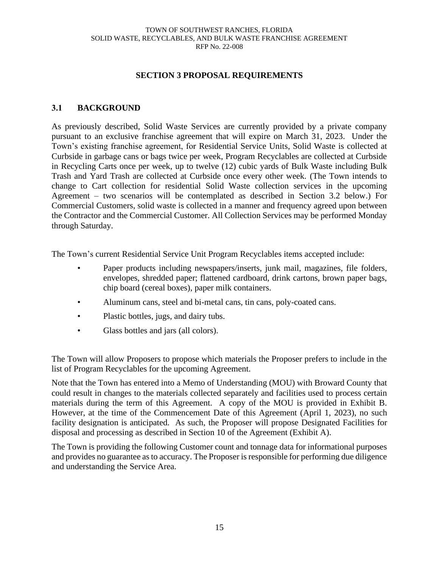### **SECTION 3 PROPOSAL REQUIREMENTS**

### <span id="page-19-1"></span><span id="page-19-0"></span>**3.1 BACKGROUND**

As previously described, Solid Waste Services are currently provided by a private company pursuant to an exclusive franchise agreement that will expire on March 31, 2023. Under the Town's existing franchise agreement, for Residential Service Units, Solid Waste is collected at Curbside in garbage cans or bags twice per week, Program Recyclables are collected at Curbside in Recycling Carts once per week, up to twelve (12) cubic yards of Bulk Waste including Bulk Trash and Yard Trash are collected at Curbside once every other week. (The Town intends to change to Cart collection for residential Solid Waste collection services in the upcoming Agreement – two scenarios will be contemplated as described in Section 3.2 below.) For Commercial Customers, solid waste is collected in a manner and frequency agreed upon between the Contractor and the Commercial Customer. All Collection Services may be performed Monday through Saturday.

The Town's current Residential Service Unit Program Recyclables items accepted include:

- Paper products including newspapers/inserts, junk mail, magazines, file folders, envelopes, shredded paper; flattened cardboard, drink cartons, brown paper bags, chip board (cereal boxes), paper milk containers.
- Aluminum cans, steel and bi-metal cans, tin cans, poly-coated cans.
- Plastic bottles, jugs, and dairy tubs.
- Glass bottles and jars (all colors).

The Town will allow Proposers to propose which materials the Proposer prefers to include in the list of Program Recyclables for the upcoming Agreement.

Note that the Town has entered into a Memo of Understanding (MOU) with Broward County that could result in changes to the materials collected separately and facilities used to process certain materials during the term of this Agreement. A copy of the MOU is provided in Exhibit B. However, at the time of the Commencement Date of this Agreement (April 1, 2023), no such facility designation is anticipated. As such, the Proposer will propose Designated Facilities for disposal and processing as described in Section 10 of the Agreement (Exhibit A).

The Town is providing the following Customer count and tonnage data for informational purposes and provides no guarantee as to accuracy. The Proposer is responsible for performing due diligence and understanding the Service Area.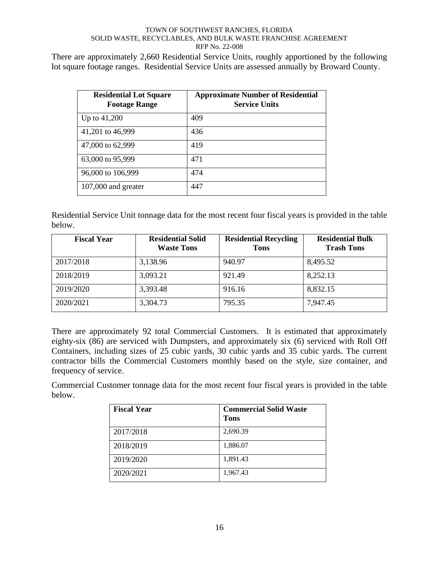There are approximately 2,660 Residential Service Units, roughly apportioned by the following lot square footage ranges. Residential Service Units are assessed annually by Broward County.

| <b>Residential Lot Square</b><br><b>Footage Range</b> | <b>Approximate Number of Residential</b><br><b>Service Units</b> |
|-------------------------------------------------------|------------------------------------------------------------------|
| Up to $41,200$                                        | 409                                                              |
| 41,201 to 46,999                                      | 436                                                              |
| 47,000 to 62,999                                      | 419                                                              |
| 63,000 to 95,999                                      | 471                                                              |
| 96,000 to 106,999                                     | 474                                                              |
| 107,000 and greater                                   | 447                                                              |

Residential Service Unit tonnage data for the most recent four fiscal years is provided in the table below.

| <b>Fiscal Year</b> | <b>Residential Solid</b><br><b>Waste Tons</b> | <b>Residential Recycling</b><br><b>Tons</b> | <b>Residential Bulk</b><br><b>Trash Tons</b> |
|--------------------|-----------------------------------------------|---------------------------------------------|----------------------------------------------|
| 2017/2018          | 3,138.96                                      | 940.97                                      | 8,495.52                                     |
| 2018/2019          | 3,093.21                                      | 921.49                                      | 8,252.13                                     |
| 2019/2020          | 3,393.48                                      | 916.16                                      | 8,832.15                                     |
| 2020/2021          | 3,304.73                                      | 795.35                                      | 7,947.45                                     |

There are approximately 92 total Commercial Customers. It is estimated that approximately eighty-six (86) are serviced with Dumpsters, and approximately six (6) serviced with Roll Off Containers, including sizes of 25 cubic yards, 30 cubic yards and 35 cubic yards. The current contractor bills the Commercial Customers monthly based on the style, size container, and frequency of service.

Commercial Customer tonnage data for the most recent four fiscal years is provided in the table below.

| <b>Fiscal Year</b> | <b>Commercial Solid Waste</b><br><b>Tons</b> |
|--------------------|----------------------------------------------|
| 2017/2018          | 2,690.39                                     |
| 2018/2019          | 1,886.07                                     |
| 2019/2020          | 1,891.43                                     |
| 2020/2021          | 1,967.43                                     |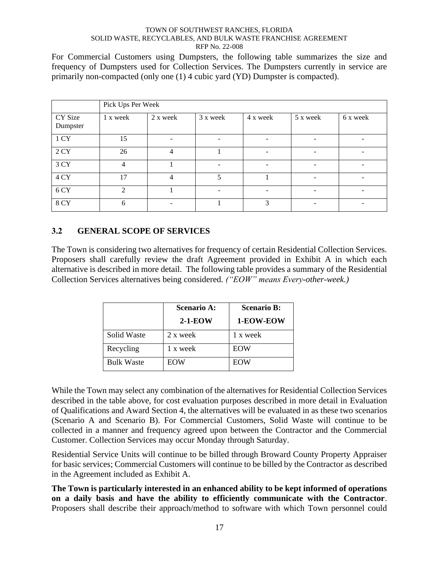For Commercial Customers using Dumpsters, the following table summarizes the size and frequency of Dumpsters used for Collection Services. The Dumpsters currently in service are primarily non-compacted (only one (1) 4 cubic yard (YD) Dumpster is compacted).

|                     | Pick Ups Per Week |                |                          |          |          |                          |
|---------------------|-------------------|----------------|--------------------------|----------|----------|--------------------------|
| CY Size<br>Dumpster | 1 x week          | 2 x week       | 3 x week                 | 4 x week | 5 x week | 6 x week                 |
| 1 CY                | 15                |                | $\overline{\phantom{a}}$ |          |          |                          |
| 2CY                 | 26                | 4              |                          |          |          |                          |
| 3 CY                | 4                 |                |                          |          |          |                          |
| 4 CY                | 17                | $\overline{4}$ | $\overline{\phantom{0}}$ |          |          | $\overline{\phantom{a}}$ |
| 6 CY                | $\mathfrak{D}$    |                | ۳                        |          |          |                          |
| 8 CY                | 6                 |                |                          | 3        |          |                          |

# <span id="page-21-0"></span>**3.2 GENERAL SCOPE OF SERVICES**

The Town is considering two alternatives for frequency of certain Residential Collection Services. Proposers shall carefully review the draft Agreement provided in Exhibit A in which each alternative is described in more detail. The following table provides a summary of the Residential Collection Services alternatives being considered. *("EOW" means Every-other-week.)*

|                   | <b>Scenario A:</b> | <b>Scenario B:</b> |
|-------------------|--------------------|--------------------|
|                   | $2-1-EOW$          | 1-EOW-EOW          |
| Solid Waste       | 2 x week           | 1 x week           |
| Recycling         | 1 x week           | EOW                |
| <b>Bulk Waste</b> | EOW                | EOW                |

While the Town may select any combination of the alternatives for Residential Collection Services described in the table above, for cost evaluation purposes described in more detail in Evaluation of Qualifications and Award Section 4, the alternatives will be evaluated in as these two scenarios (Scenario A and Scenario B). For Commercial Customers, Solid Waste will continue to be collected in a manner and frequency agreed upon between the Contractor and the Commercial Customer. Collection Services may occur Monday through Saturday.

Residential Service Units will continue to be billed through Broward County Property Appraiser for basic services; Commercial Customers will continue to be billed by the Contractor as described in the Agreement included as Exhibit A.

**The Town is particularly interested in an enhanced ability to be kept informed of operations on a daily basis and have the ability to efficiently communicate with the Contractor**. Proposers shall describe their approach/method to software with which Town personnel could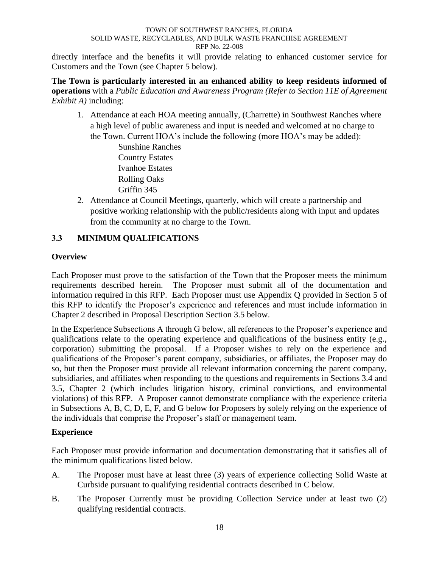directly interface and the benefits it will provide relating to enhanced customer service for Customers and the Town (see Chapter 5 below).

**The Town is particularly interested in an enhanced ability to keep residents informed of operations** with a *Public Education and Awareness Program (Refer to Section 11E of Agreement Exhibit A)* including:

1. Attendance at each HOA meeting annually, (Charrette) in Southwest Ranches where a high level of public awareness and input is needed and welcomed at no charge to the Town. Current HOA's include the following (more HOA's may be added):

> Sunshine Ranches Country Estates Ivanhoe Estates Rolling Oaks Griffin 345

2. Attendance at Council Meetings, quarterly, which will create a partnership and positive working relationship with the public/residents along with input and updates from the community at no charge to the Town.

# <span id="page-22-0"></span>**3.3 MINIMUM QUALIFICATIONS**

# **Overview**

Each Proposer must prove to the satisfaction of the Town that the Proposer meets the minimum requirements described herein. The Proposer must submit all of the documentation and information required in this RFP. Each Proposer must use Appendix Q provided in Section 5 of this RFP to identify the Proposer's experience and references and must include information in Chapter 2 described in Proposal Description Section 3.5 below.

In the Experience Subsections A through G below, all references to the Proposer's experience and qualifications relate to the operating experience and qualifications of the business entity (e.g., corporation) submitting the proposal. If a Proposer wishes to rely on the experience and qualifications of the Proposer's parent company, subsidiaries, or affiliates, the Proposer may do so, but then the Proposer must provide all relevant information concerning the parent company, subsidiaries, and affiliates when responding to the questions and requirements in Sections 3.4 and 3.5, Chapter 2 (which includes litigation history, criminal convictions, and environmental violations) of this RFP. A Proposer cannot demonstrate compliance with the experience criteria in Subsections A, B, C, D, E, F, and G below for Proposers by solely relying on the experience of the individuals that comprise the Proposer's staff or management team.

# **Experience**

Each Proposer must provide information and documentation demonstrating that it satisfies all of the minimum qualifications listed below.

- A. The Proposer must have at least three (3) years of experience collecting Solid Waste at Curbside pursuant to qualifying residential contracts described in C below.
- B. The Proposer Currently must be providing Collection Service under at least two (2) qualifying residential contracts.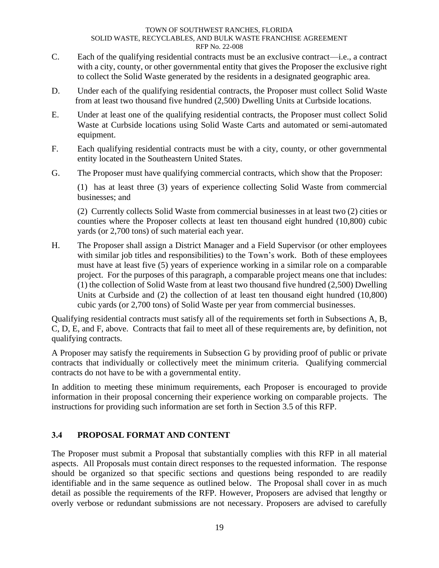- C. Each of the qualifying residential contracts must be an exclusive contract—i.e., a contract with a city, county, or other governmental entity that gives the Proposer the exclusive right to collect the Solid Waste generated by the residents in a designated geographic area.
- D. Under each of the qualifying residential contracts, the Proposer must collect Solid Waste from at least two thousand five hundred (2,500) Dwelling Units at Curbside locations.
- E. Under at least one of the qualifying residential contracts, the Proposer must collect Solid Waste at Curbside locations using Solid Waste Carts and automated or semi-automated equipment.
- F. Each qualifying residential contracts must be with a city, county, or other governmental entity located in the Southeastern United States.
- G. The Proposer must have qualifying commercial contracts, which show that the Proposer:

(1) has at least three (3) years of experience collecting Solid Waste from commercial businesses; and

(2) Currently collects Solid Waste from commercial businesses in at least two (2) cities or counties where the Proposer collects at least ten thousand eight hundred (10,800) cubic yards (or 2,700 tons) of such material each year.

H. The Proposer shall assign a District Manager and a Field Supervisor (or other employees with similar job titles and responsibilities) to the Town's work. Both of these employees must have at least five (5) years of experience working in a similar role on a comparable project. For the purposes of this paragraph, a comparable project means one that includes: (1) the collection of Solid Waste from at least two thousand five hundred (2,500) Dwelling Units at Curbside and (2) the collection of at least ten thousand eight hundred (10,800) cubic yards (or 2,700 tons) of Solid Waste per year from commercial businesses.

Qualifying residential contracts must satisfy all of the requirements set forth in Subsections A, B, C, D, E, and F, above. Contracts that fail to meet all of these requirements are, by definition, not qualifying contracts.

A Proposer may satisfy the requirements in Subsection G by providing proof of public or private contracts that individually or collectively meet the minimum criteria. Qualifying commercial contracts do not have to be with a governmental entity.

In addition to meeting these minimum requirements, each Proposer is encouraged to provide information in their proposal concerning their experience working on comparable projects. The instructions for providing such information are set forth in Section 3.5 of this RFP.

# <span id="page-23-0"></span>**3.4 PROPOSAL FORMAT AND CONTENT**

The Proposer must submit a Proposal that substantially complies with this RFP in all material aspects. All Proposals must contain direct responses to the requested information. The response should be organized so that specific sections and questions being responded to are readily identifiable and in the same sequence as outlined below. The Proposal shall cover in as much detail as possible the requirements of the RFP. However, Proposers are advised that lengthy or overly verbose or redundant submissions are not necessary. Proposers are advised to carefully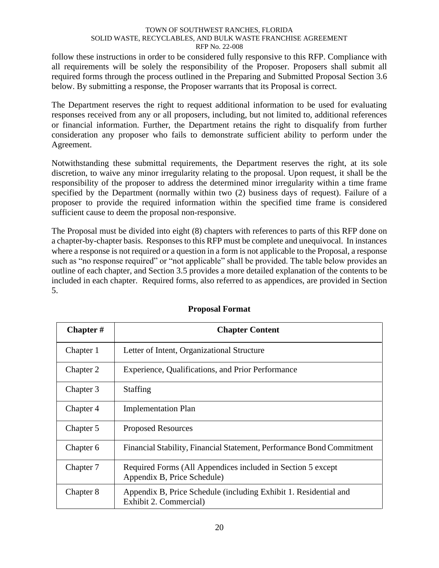follow these instructions in order to be considered fully responsive to this RFP. Compliance with all requirements will be solely the responsibility of the Proposer. Proposers shall submit all required forms through the process outlined in the Preparing and Submitted Proposal Section 3.6 below. By submitting a response, the Proposer warrants that its Proposal is correct.

The Department reserves the right to request additional information to be used for evaluating responses received from any or all proposers, including, but not limited to, additional references or financial information. Further, the Department retains the right to disqualify from further consideration any proposer who fails to demonstrate sufficient ability to perform under the Agreement.

Notwithstanding these submittal requirements, the Department reserves the right, at its sole discretion, to waive any minor irregularity relating to the proposal. Upon request, it shall be the responsibility of the proposer to address the determined minor irregularity within a time frame specified by the Department (normally within two (2) business days of request). Failure of a proposer to provide the required information within the specified time frame is considered sufficient cause to deem the proposal non-responsive.

The Proposal must be divided into eight (8) chapters with references to parts of this RFP done on a chapter-by-chapter basis. Responses to this RFP must be complete and unequivocal. In instances where a response is not required or a question in a form is not applicable to the Proposal, a response such as "no response required" or "not applicable" shall be provided. The table below provides an outline of each chapter, and Section 3.5 provides a more detailed explanation of the contents to be included in each chapter. Required forms, also referred to as appendices, are provided in Section 5.

| <b>Chapter</b> $#$ | <b>Chapter Content</b>                                                                     |
|--------------------|--------------------------------------------------------------------------------------------|
| Chapter 1          | Letter of Intent, Organizational Structure                                                 |
| Chapter 2          | Experience, Qualifications, and Prior Performance                                          |
| Chapter 3          | <b>Staffing</b>                                                                            |
| Chapter 4          | <b>Implementation Plan</b>                                                                 |
| Chapter 5          | <b>Proposed Resources</b>                                                                  |
| Chapter 6          | Financial Stability, Financial Statement, Performance Bond Commitment                      |
| Chapter 7          | Required Forms (All Appendices included in Section 5 except<br>Appendix B, Price Schedule) |
| Chapter 8          | Appendix B, Price Schedule (including Exhibit 1. Residential and<br>Exhibit 2. Commercial) |

# **Proposal Format**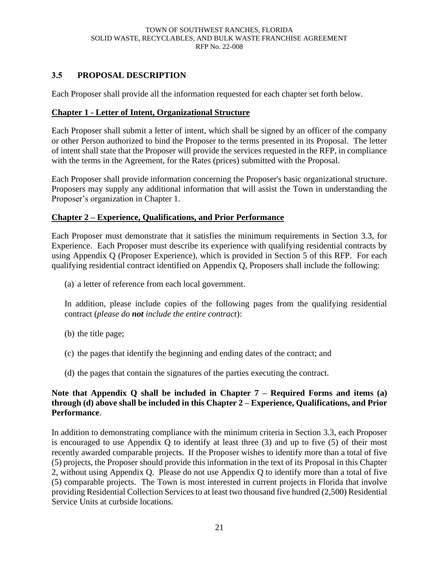# <span id="page-25-0"></span>**3.5 PROPOSAL DESCRIPTION**

Each Proposer shall provide all the information requested for each chapter set forth below.

### **Chapter 1 - Letter of Intent, Organizational Structure**

Each Proposer shall submit a letter of intent, which shall be signed by an officer of the company or other Person authorized to bind the Proposer to the terms presented in its Proposal. The letter of intent shall state that the Proposer will provide the services requested in the RFP, in compliance with the terms in the Agreement, for the Rates (prices) submitted with the Proposal.

Each Proposer shall provide information concerning the Proposer's basic organizational structure. Proposers may supply any additional information that will assist the Town in understanding the Proposer's organization in Chapter 1.

### **Chapter 2 – Experience, Qualifications, and Prior Performance**

Each Proposer must demonstrate that it satisfies the minimum requirements in Section 3.3, for Experience. Each Proposer must describe its experience with qualifying residential contracts by using Appendix Q (Proposer Experience), which is provided in Section 5 of this RFP. For each qualifying residential contract identified on Appendix Q, Proposers shall include the following:

(a) a letter of reference from each local government.

In addition, please include copies of the following pages from the qualifying residential contract (*please do not include the entire contract*):

- (b) the title page;
- (c) the pages that identify the beginning and ending dates of the contract; and
- (d) the pages that contain the signatures of the parties executing the contract.

# **Note that Appendix Q shall be included in Chapter 7 – Required Forms and items (a) through (d) above shall be included in this Chapter 2 – Experience, Qualifications, and Prior Performance**.

In addition to demonstrating compliance with the minimum criteria in Section 3.3, each Proposer is encouraged to use Appendix Q to identify at least three (3) and up to five (5) of their most recently awarded comparable projects. If the Proposer wishes to identify more than a total of five (5) projects, the Proposer should provide this information in the text of its Proposal in this Chapter 2, without using Appendix Q. Please do not use Appendix Q to identify more than a total of five (5) comparable projects. The Town is most interested in current projects in Florida that involve providing Residential Collection Services to at least two thousand five hundred (2,500) Residential Service Units at curbside locations.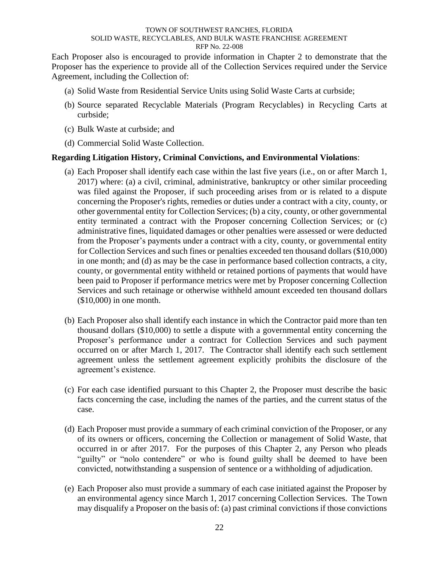Each Proposer also is encouraged to provide information in Chapter 2 to demonstrate that the Proposer has the experience to provide all of the Collection Services required under the Service Agreement, including the Collection of:

- (a) Solid Waste from Residential Service Units using Solid Waste Carts at curbside;
- (b) Source separated Recyclable Materials (Program Recyclables) in Recycling Carts at curbside;
- (c) Bulk Waste at curbside; and
- (d) Commercial Solid Waste Collection.

### **Regarding Litigation History, Criminal Convictions, and Environmental Violations**:

- (a) Each Proposer shall identify each case within the last five years (i.e., on or after March 1, 2017) where: (a) a civil, criminal, administrative, bankruptcy or other similar proceeding was filed against the Proposer, if such proceeding arises from or is related to a dispute concerning the Proposer's rights, remedies or duties under a contract with a city, county, or other governmental entity for Collection Services; (b) a city, county, or other governmental entity terminated a contract with the Proposer concerning Collection Services; or (c) administrative fines, liquidated damages or other penalties were assessed or were deducted from the Proposer's payments under a contract with a city, county, or governmental entity for Collection Services and such fines or penalties exceeded ten thousand dollars (\$10,000) in one month; and (d) as may be the case in performance based collection contracts, a city, county, or governmental entity withheld or retained portions of payments that would have been paid to Proposer if performance metrics were met by Proposer concerning Collection Services and such retainage or otherwise withheld amount exceeded ten thousand dollars (\$10,000) in one month.
- (b) Each Proposer also shall identify each instance in which the Contractor paid more than ten thousand dollars (\$10,000) to settle a dispute with a governmental entity concerning the Proposer's performance under a contract for Collection Services and such payment occurred on or after March 1, 2017. The Contractor shall identify each such settlement agreement unless the settlement agreement explicitly prohibits the disclosure of the agreement's existence.
- (c) For each case identified pursuant to this Chapter 2, the Proposer must describe the basic facts concerning the case, including the names of the parties, and the current status of the case.
- (d) Each Proposer must provide a summary of each criminal conviction of the Proposer, or any of its owners or officers, concerning the Collection or management of Solid Waste, that occurred in or after 2017. For the purposes of this Chapter 2, any Person who pleads "guilty" or "nolo contendere" or who is found guilty shall be deemed to have been convicted, notwithstanding a suspension of sentence or a withholding of adjudication.
- (e) Each Proposer also must provide a summary of each case initiated against the Proposer by an environmental agency since March 1, 2017 concerning Collection Services. The Town may disqualify a Proposer on the basis of: (a) past criminal convictions if those convictions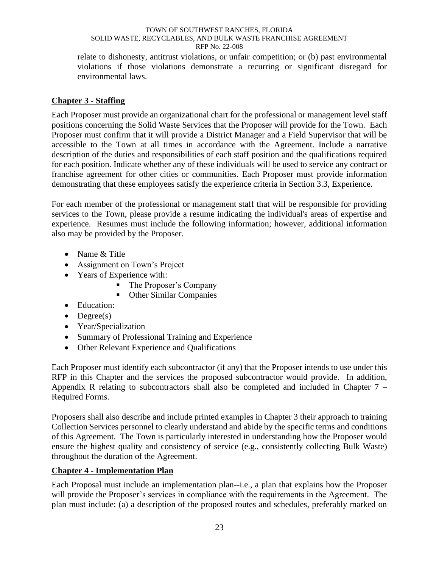relate to dishonesty, antitrust violations, or unfair competition; or (b) past environmental violations if those violations demonstrate a recurring or significant disregard for environmental laws.

### **Chapter 3 - Staffing**

Each Proposer must provide an organizational chart for the professional or management level staff positions concerning the Solid Waste Services that the Proposer will provide for the Town. Each Proposer must confirm that it will provide a District Manager and a Field Supervisor that will be accessible to the Town at all times in accordance with the Agreement. Include a narrative description of the duties and responsibilities of each staff position and the qualifications required for each position. Indicate whether any of these individuals will be used to service any contract or franchise agreement for other cities or communities. Each Proposer must provide information demonstrating that these employees satisfy the experience criteria in Section 3.3, Experience.

For each member of the professional or management staff that will be responsible for providing services to the Town, please provide a resume indicating the individual's areas of expertise and experience. Resumes must include the following information; however, additional information also may be provided by the Proposer.

- Name & Title
- Assignment on Town's Project
- Years of Experience with:
	- The Proposer's Company
	- Other Similar Companies
- Education:
- $\bullet$  Degree(s)
- Year/Specialization
- Summary of Professional Training and Experience
- Other Relevant Experience and Qualifications

Each Proposer must identify each subcontractor (if any) that the Proposer intends to use under this RFP in this Chapter and the services the proposed subcontractor would provide. In addition, Appendix R relating to subcontractors shall also be completed and included in Chapter 7 – Required Forms.

Proposers shall also describe and include printed examples in Chapter 3 their approach to training Collection Services personnel to clearly understand and abide by the specific terms and conditions of this Agreement. The Town is particularly interested in understanding how the Proposer would ensure the highest quality and consistency of service (e.g., consistently collecting Bulk Waste) throughout the duration of the Agreement.

# **Chapter 4 - Implementation Plan**

Each Proposal must include an implementation plan--i.e., a plan that explains how the Proposer will provide the Proposer's services in compliance with the requirements in the Agreement. The plan must include: (a) a description of the proposed routes and schedules, preferably marked on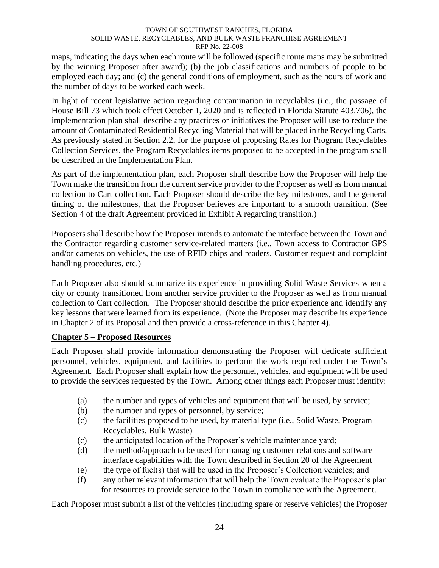maps, indicating the days when each route will be followed (specific route maps may be submitted by the winning Proposer after award); (b) the job classifications and numbers of people to be employed each day; and (c) the general conditions of employment, such as the hours of work and the number of days to be worked each week.

In light of recent legislative action regarding contamination in recyclables (i.e., the passage of House Bill 73 which took effect October 1, 2020 and is reflected in Florida Statute 403.706), the implementation plan shall describe any practices or initiatives the Proposer will use to reduce the amount of Contaminated Residential Recycling Material that will be placed in the Recycling Carts. As previously stated in Section 2.2, for the purpose of proposing Rates for Program Recyclables Collection Services, the Program Recyclables items proposed to be accepted in the program shall be described in the Implementation Plan.

As part of the implementation plan, each Proposer shall describe how the Proposer will help the Town make the transition from the current service provider to the Proposer as well as from manual collection to Cart collection. Each Proposer should describe the key milestones, and the general timing of the milestones, that the Proposer believes are important to a smooth transition. (See Section 4 of the draft Agreement provided in Exhibit A regarding transition.)

Proposers shall describe how the Proposer intends to automate the interface between the Town and the Contractor regarding customer service-related matters (i.e., Town access to Contractor GPS and/or cameras on vehicles, the use of RFID chips and readers, Customer request and complaint handling procedures, etc.)

Each Proposer also should summarize its experience in providing Solid Waste Services when a city or county transitioned from another service provider to the Proposer as well as from manual collection to Cart collection. The Proposer should describe the prior experience and identify any key lessons that were learned from its experience. (Note the Proposer may describe its experience in Chapter 2 of its Proposal and then provide a cross-reference in this Chapter 4).

# **Chapter 5 – Proposed Resources**

Each Proposer shall provide information demonstrating the Proposer will dedicate sufficient personnel, vehicles, equipment, and facilities to perform the work required under the Town's Agreement. Each Proposer shall explain how the personnel, vehicles, and equipment will be used to provide the services requested by the Town. Among other things each Proposer must identify:

- (a) the number and types of vehicles and equipment that will be used, by service;
- (b) the number and types of personnel, by service;
- (c) the facilities proposed to be used, by material type (i.e., Solid Waste, Program Recyclables, Bulk Waste)
- (c) the anticipated location of the Proposer's vehicle maintenance yard;
- (d) the method/approach to be used for managing customer relations and software interface capabilities with the Town described in Section 20 of the Agreement
- (e) the type of fuel(s) that will be used in the Proposer's Collection vehicles; and
- (f) any other relevant information that will help the Town evaluate the Proposer's plan for resources to provide service to the Town in compliance with the Agreement.

Each Proposer must submit a list of the vehicles (including spare or reserve vehicles) the Proposer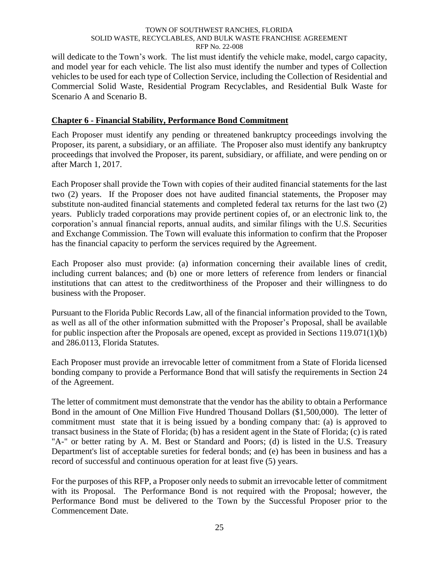will dedicate to the Town's work. The list must identify the vehicle make, model, cargo capacity, and model year for each vehicle. The list also must identify the number and types of Collection vehicles to be used for each type of Collection Service, including the Collection of Residential and Commercial Solid Waste, Residential Program Recyclables, and Residential Bulk Waste for Scenario A and Scenario B.

### **Chapter 6 - Financial Stability, Performance Bond Commitment**

Each Proposer must identify any pending or threatened bankruptcy proceedings involving the Proposer, its parent, a subsidiary, or an affiliate. The Proposer also must identify any bankruptcy proceedings that involved the Proposer, its parent, subsidiary, or affiliate, and were pending on or after March 1, 2017.

Each Proposer shall provide the Town with copies of their audited financial statements for the last two (2) years. If the Proposer does not have audited financial statements, the Proposer may substitute non-audited financial statements and completed federal tax returns for the last two (2) years. Publicly traded corporations may provide pertinent copies of, or an electronic link to, the corporation's annual financial reports, annual audits, and similar filings with the U.S. Securities and Exchange Commission. The Town will evaluate this information to confirm that the Proposer has the financial capacity to perform the services required by the Agreement.

Each Proposer also must provide: (a) information concerning their available lines of credit, including current balances; and (b) one or more letters of reference from lenders or financial institutions that can attest to the creditworthiness of the Proposer and their willingness to do business with the Proposer.

Pursuant to the Florida Public Records Law, all of the financial information provided to the Town, as well as all of the other information submitted with the Proposer's Proposal, shall be available for public inspection after the Proposals are opened, except as provided in Sections 119.071(1)(b) and 286.0113, Florida Statutes.

Each Proposer must provide an irrevocable letter of commitment from a State of Florida licensed bonding company to provide a Performance Bond that will satisfy the requirements in Section 24 of the Agreement.

The letter of commitment must demonstrate that the vendor has the ability to obtain a Performance Bond in the amount of One Million Five Hundred Thousand Dollars (\$1,500,000). The letter of commitment must state that it is being issued by a bonding company that: (a) is approved to transact business in the State of Florida; (b) has a resident agent in the State of Florida; (c) is rated "A-" or better rating by A. M. Best or Standard and Poors; (d) is listed in the U.S. Treasury Department's list of acceptable sureties for federal bonds; and (e) has been in business and has a record of successful and continuous operation for at least five (5) years.

For the purposes of this RFP, a Proposer only needs to submit an irrevocable letter of commitment with its Proposal. The Performance Bond is not required with the Proposal; however, the Performance Bond must be delivered to the Town by the Successful Proposer prior to the Commencement Date.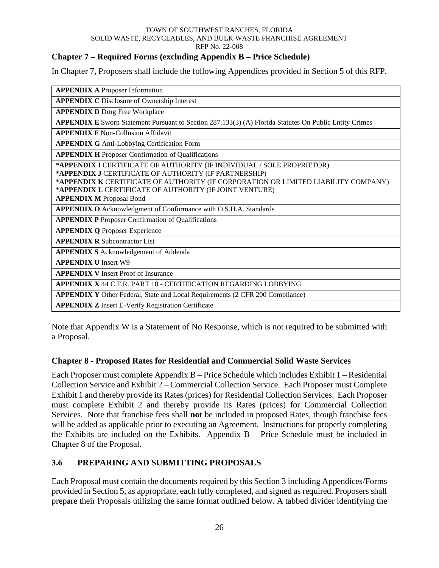# **Chapter 7 – Required Forms (excluding Appendix B – Price Schedule)**

In Chapter 7, Proposers shall include the following Appendices provided in Section 5 of this RFP.

| <b>APPENDIX A Proposer Information</b>                                                                        |
|---------------------------------------------------------------------------------------------------------------|
| <b>APPENDIX C</b> Disclosure of Ownership Interest                                                            |
| <b>APPENDIX D Drug Free Workplace</b>                                                                         |
| <b>APPENDIX E</b> Sworn Statement Pursuant to Section 287.133(3) (A) Florida Statutes On Public Entity Crimes |
| <b>APPENDIX F Non-Collusion Affidavit</b>                                                                     |
| <b>APPENDIX G Anti-Lobbying Certification Form</b>                                                            |
| <b>APPENDIX H</b> Proposer Confirmation of Qualifications                                                     |
| *APPENDIX I CERTIFICATE OF AUTHORITY (IF INDIVIDUAL / SOLE PROPRIETOR)                                        |
| *APPENDIX J CERTIFICATE OF AUTHORITY (IF PARTNERSHIP)                                                         |
| *APPENDIX K CERTIFICATE OF AUTHORITY (IF CORPORATION OR LIMITED LIABILITY COMPANY)                            |
| *APPENDIX L CERTIFICATE OF AUTHORITY (IF JOINT VENTURE)                                                       |
| <b>APPENDIX M Proposal Bond</b>                                                                               |
| APPENDIX O Acknowledgment of Conformance with O.S.H.A. Standards                                              |
| <b>APPENDIX P Proposer Confirmation of Qualifications</b>                                                     |
| <b>APPENDIX Q Proposer Experience</b>                                                                         |
| <b>APPENDIX R Subcontractor List</b>                                                                          |
| <b>APPENDIX S</b> Acknowledgement of Addenda                                                                  |
| <b>APPENDIX U Insert W9</b>                                                                                   |
| <b>APPENDIX V</b> Insert Proof of Insurance                                                                   |
| <b>APPENDIX X 44 C.E.R. PART 18 - CERTIFICATION REGARDING LOBBYING</b>                                        |
| <b>APPENDIX Y</b> Other Federal, State and Local Requirements (2 CFR 200 Compliance)                          |
| <b>APPENDIX Z</b> Insert E-Verify Registration Certificate                                                    |

Note that Appendix W is a Statement of No Response, which is not required to be submitted with a Proposal.

# **Chapter 8 - Proposed Rates for Residential and Commercial Solid Waste Services**

Each Proposer must complete Appendix B – Price Schedule which includes Exhibit 1 – Residential Collection Service and Exhibit 2 – Commercial Collection Service. Each Proposer must Complete Exhibit 1 and thereby provide its Rates (prices) for Residential Collection Services. Each Proposer must complete Exhibit 2 and thereby provide its Rates (prices) for Commercial Collection Services. Note that franchise fees shall **not** be included in proposed Rates, though franchise fees will be added as applicable prior to executing an Agreement. Instructions for properly completing the Exhibits are included on the Exhibits. Appendix  $B -$ Price Schedule must be included in Chapter 8 of the Proposal.

# <span id="page-30-0"></span>**3.6 PREPARING AND SUBMITTING PROPOSALS**

Each Proposal must contain the documents required by this Section 3 including Appendices/Forms provided in Section 5, as appropriate, each fully completed, and signed as required. Proposers shall prepare their Proposals utilizing the same format outlined below. A tabbed divider identifying the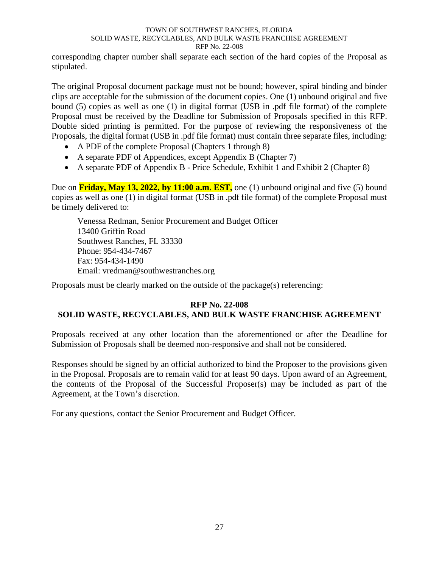corresponding chapter number shall separate each section of the hard copies of the Proposal as stipulated.

The original Proposal document package must not be bound; however, spiral binding and binder clips are acceptable for the submission of the document copies. One (1) unbound original and five bound (5) copies as well as one (1) in digital format (USB in .pdf file format) of the complete Proposal must be received by the Deadline for Submission of Proposals specified in this RFP. Double sided printing is permitted. For the purpose of reviewing the responsiveness of the Proposals, the digital format (USB in .pdf file format) must contain three separate files, including:

- A PDF of the complete Proposal (Chapters 1 through 8)
- A separate PDF of Appendices, except Appendix B (Chapter 7)
- A separate PDF of Appendix B Price Schedule, Exhibit 1 and Exhibit 2 (Chapter 8)

Due on **Friday, May 13, 2022, by 11:00 a.m. EST,** one (1) unbound original and five (5) bound copies as well as one (1) in digital format (USB in .pdf file format) of the complete Proposal must be timely delivered to:

Venessa Redman, Senior Procurement and Budget Officer 13400 Griffin Road Southwest Ranches, FL 33330 Phone: 954-434-7467 Fax: 954-434-1490 Email: vredman@southwestranches.org

Proposals must be clearly marked on the outside of the package(s) referencing:

### **RFP No. 22-008 SOLID WASTE, RECYCLABLES, AND BULK WASTE FRANCHISE AGREEMENT**

Proposals received at any other location than the aforementioned or after the Deadline for Submission of Proposals shall be deemed non-responsive and shall not be considered.

Responses should be signed by an official authorized to bind the Proposer to the provisions given in the Proposal. Proposals are to remain valid for at least 90 days. Upon award of an Agreement, the contents of the Proposal of the Successful Proposer(s) may be included as part of the Agreement, at the Town's discretion.

For any questions, contact the Senior Procurement and Budget Officer.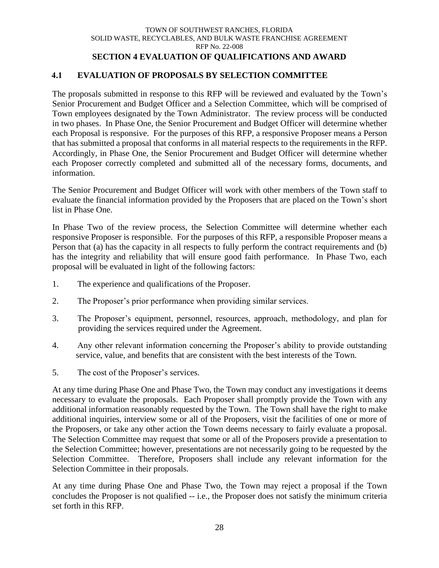# <span id="page-32-1"></span>**SECTION 4 EVALUATION OF QUALIFICATIONS AND AWARD**

# <span id="page-32-0"></span>**4.1 EVALUATION OF PROPOSALS BY SELECTION COMMITTEE**

The proposals submitted in response to this RFP will be reviewed and evaluated by the Town's Senior Procurement and Budget Officer and a Selection Committee, which will be comprised of Town employees designated by the Town Administrator. The review process will be conducted in two phases. In Phase One, the Senior Procurement and Budget Officer will determine whether each Proposal is responsive. For the purposes of this RFP, a responsive Proposer means a Person that has submitted a proposal that conforms in all material respects to the requirements in the RFP. Accordingly, in Phase One, the Senior Procurement and Budget Officer will determine whether each Proposer correctly completed and submitted all of the necessary forms, documents, and information.

The Senior Procurement and Budget Officer will work with other members of the Town staff to evaluate the financial information provided by the Proposers that are placed on the Town's short list in Phase One.

In Phase Two of the review process, the Selection Committee will determine whether each responsive Proposer is responsible. For the purposes of this RFP, a responsible Proposer means a Person that (a) has the capacity in all respects to fully perform the contract requirements and (b) has the integrity and reliability that will ensure good faith performance. In Phase Two, each proposal will be evaluated in light of the following factors:

- 1. The experience and qualifications of the Proposer.
- 2. The Proposer's prior performance when providing similar services.
- 3. The Proposer's equipment, personnel, resources, approach, methodology, and plan for providing the services required under the Agreement.
- 4. Any other relevant information concerning the Proposer's ability to provide outstanding service, value, and benefits that are consistent with the best interests of the Town.
- 5. The cost of the Proposer's services.

At any time during Phase One and Phase Two, the Town may conduct any investigations it deems necessary to evaluate the proposals. Each Proposer shall promptly provide the Town with any additional information reasonably requested by the Town. The Town shall have the right to make additional inquiries, interview some or all of the Proposers, visit the facilities of one or more of the Proposers, or take any other action the Town deems necessary to fairly evaluate a proposal. The Selection Committee may request that some or all of the Proposers provide a presentation to the Selection Committee; however, presentations are not necessarily going to be requested by the Selection Committee. Therefore, Proposers shall include any relevant information for the Selection Committee in their proposals.

At any time during Phase One and Phase Two, the Town may reject a proposal if the Town concludes the Proposer is not qualified -- i.e., the Proposer does not satisfy the minimum criteria set forth in this RFP.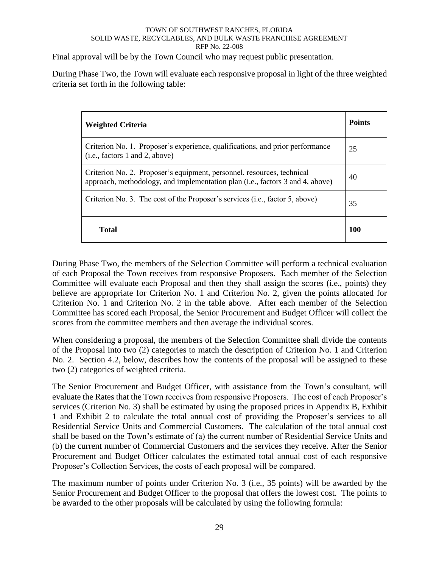Final approval will be by the Town Council who may request public presentation.

During Phase Two, the Town will evaluate each responsive proposal in light of the three weighted criteria set forth in the following table:

| <b>Weighted Criteria</b>                                                                                                                                | <b>Points</b> |
|---------------------------------------------------------------------------------------------------------------------------------------------------------|---------------|
| Criterion No. 1. Proposer's experience, qualifications, and prior performance<br>(i.e., factors 1 and 2, above)                                         | 25            |
| Criterion No. 2. Proposer's equipment, personnel, resources, technical<br>approach, methodology, and implementation plan (i.e., factors 3 and 4, above) | 40            |
| Criterion No. 3. The cost of the Proposer's services (i.e., factor 5, above)                                                                            | 35            |
| <b>Total</b>                                                                                                                                            | 100           |

During Phase Two, the members of the Selection Committee will perform a technical evaluation of each Proposal the Town receives from responsive Proposers. Each member of the Selection Committee will evaluate each Proposal and then they shall assign the scores (i.e., points) they believe are appropriate for Criterion No. 1 and Criterion No. 2, given the points allocated for Criterion No. 1 and Criterion No. 2 in the table above. After each member of the Selection Committee has scored each Proposal, the Senior Procurement and Budget Officer will collect the scores from the committee members and then average the individual scores.

When considering a proposal, the members of the Selection Committee shall divide the contents of the Proposal into two (2) categories to match the description of Criterion No. 1 and Criterion No. 2. Section 4.2, below, describes how the contents of the proposal will be assigned to these two (2) categories of weighted criteria.

The Senior Procurement and Budget Officer, with assistance from the Town's consultant, will evaluate the Rates that the Town receives from responsive Proposers. The cost of each Proposer's services (Criterion No. 3) shall be estimated by using the proposed prices in Appendix B, Exhibit 1 and Exhibit 2 to calculate the total annual cost of providing the Proposer's services to all Residential Service Units and Commercial Customers. The calculation of the total annual cost shall be based on the Town's estimate of (a) the current number of Residential Service Units and (b) the current number of Commercial Customers and the services they receive. After the Senior Procurement and Budget Officer calculates the estimated total annual cost of each responsive Proposer's Collection Services, the costs of each proposal will be compared.

The maximum number of points under Criterion No. 3 (i.e., 35 points) will be awarded by the Senior Procurement and Budget Officer to the proposal that offers the lowest cost. The points to be awarded to the other proposals will be calculated by using the following formula: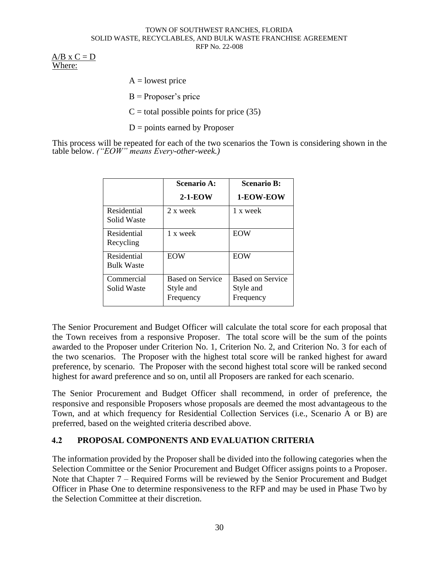$A/B \times C = D$ Where:

 $A =$ lowest price

 $B =$ Proposer's price

 $C =$  total possible points for price (35)

 $D =$  points earned by Proposer

This process will be repeated for each of the two scenarios the Town is considering shown in the table below. *("EOW" means Every-other-week.)*

|                                  | <b>Scenario A:</b>                         | <b>Scenario B:</b>                         |
|----------------------------------|--------------------------------------------|--------------------------------------------|
|                                  | $2-1-EOW$                                  | 1-EOW-EOW                                  |
| Residential<br>Solid Waste       | 2 x week                                   | 1 x week                                   |
| Residential<br>Recycling         | 1 x week                                   | <b>EOW</b>                                 |
| Residential<br><b>Bulk Waste</b> | <b>EOW</b>                                 | <b>EOW</b>                                 |
| Commercial<br>Solid Waste        | Based on Service<br>Style and<br>Frequency | Based on Service<br>Style and<br>Frequency |

The Senior Procurement and Budget Officer will calculate the total score for each proposal that the Town receives from a responsive Proposer. The total score will be the sum of the points awarded to the Proposer under Criterion No. 1, Criterion No. 2, and Criterion No. 3 for each of the two scenarios. The Proposer with the highest total score will be ranked highest for award preference, by scenario. The Proposer with the second highest total score will be ranked second highest for award preference and so on, until all Proposers are ranked for each scenario.

The Senior Procurement and Budget Officer shall recommend, in order of preference, the responsive and responsible Proposers whose proposals are deemed the most advantageous to the Town, and at which frequency for Residential Collection Services (i.e., Scenario A or B) are preferred, based on the weighted criteria described above.

### <span id="page-34-0"></span>**4.2 PROPOSAL COMPONENTS AND EVALUATION CRITERIA**

The information provided by the Proposer shall be divided into the following categories when the Selection Committee or the Senior Procurement and Budget Officer assigns points to a Proposer. Note that Chapter 7 – Required Forms will be reviewed by the Senior Procurement and Budget Officer in Phase One to determine responsiveness to the RFP and may be used in Phase Two by the Selection Committee at their discretion.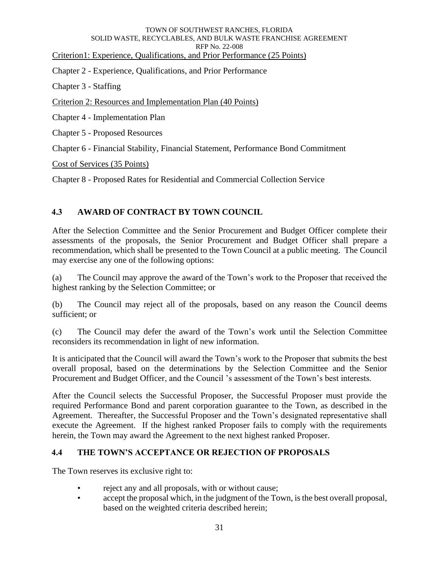Criterion1: Experience, Qualifications, and Prior Performance (25 Points)

Chapter 2 - Experience, Qualifications, and Prior Performance

Chapter 3 - Staffing

Criterion 2: Resources and Implementation Plan (40 Points)

Chapter 4 - Implementation Plan

Chapter 5 - Proposed Resources

Chapter 6 - Financial Stability, Financial Statement, Performance Bond Commitment

Cost of Services (35 Points)

Chapter 8 - Proposed Rates for Residential and Commercial Collection Service

### <span id="page-35-0"></span>**4.3 AWARD OF CONTRACT BY TOWN COUNCIL**

After the Selection Committee and the Senior Procurement and Budget Officer complete their assessments of the proposals, the Senior Procurement and Budget Officer shall prepare a recommendation, which shall be presented to the Town Council at a public meeting. The Council may exercise any one of the following options:

(a) The Council may approve the award of the Town's work to the Proposer that received the highest ranking by the Selection Committee; or

(b) The Council may reject all of the proposals, based on any reason the Council deems sufficient; or

(c) The Council may defer the award of the Town's work until the Selection Committee reconsiders its recommendation in light of new information.

It is anticipated that the Council will award the Town's work to the Proposer that submits the best overall proposal, based on the determinations by the Selection Committee and the Senior Procurement and Budget Officer, and the Council 's assessment of the Town's best interests.

After the Council selects the Successful Proposer, the Successful Proposer must provide the required Performance Bond and parent corporation guarantee to the Town, as described in the Agreement. Thereafter, the Successful Proposer and the Town's designated representative shall execute the Agreement. If the highest ranked Proposer fails to comply with the requirements herein, the Town may award the Agreement to the next highest ranked Proposer.

### <span id="page-35-1"></span>**4.4 THE TOWN'S ACCEPTANCE OR REJECTION OF PROPOSALS**

The Town reserves its exclusive right to:

- reject any and all proposals, with or without cause;
- accept the proposal which, in the judgment of the Town, is the best overall proposal, based on the weighted criteria described herein;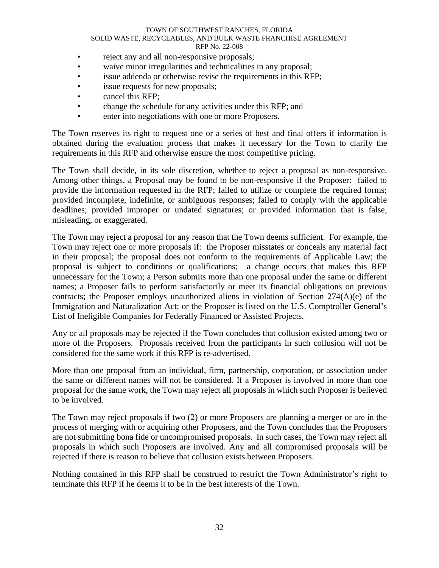- reject any and all non-responsive proposals;
- waive minor irregularities and technicalities in any proposal;
- issue addenda or otherwise revise the requirements in this RFP;
- issue requests for new proposals;
- cancel this RFP;
- change the schedule for any activities under this RFP; and
- enter into negotiations with one or more Proposers.

The Town reserves its right to request one or a series of best and final offers if information is obtained during the evaluation process that makes it necessary for the Town to clarify the requirements in this RFP and otherwise ensure the most competitive pricing.

The Town shall decide, in its sole discretion, whether to reject a proposal as non-responsive. Among other things, a Proposal may be found to be non-responsive if the Proposer: failed to provide the information requested in the RFP; failed to utilize or complete the required forms; provided incomplete, indefinite, or ambiguous responses; failed to comply with the applicable deadlines; provided improper or undated signatures; or provided information that is false, misleading, or exaggerated.

The Town may reject a proposal for any reason that the Town deems sufficient. For example, the Town may reject one or more proposals if: the Proposer misstates or conceals any material fact in their proposal; the proposal does not conform to the requirements of Applicable Law; the proposal is subject to conditions or qualifications; a change occurs that makes this RFP unnecessary for the Town; a Person submits more than one proposal under the same or different names; a Proposer fails to perform satisfactorily or meet its financial obligations on previous contracts; the Proposer employs unauthorized aliens in violation of Section 274(A)(e) of the Immigration and Naturalization Act; or the Proposer is listed on the U.S. Comptroller General's List of Ineligible Companies for Federally Financed or Assisted Projects.

Any or all proposals may be rejected if the Town concludes that collusion existed among two or more of the Proposers. Proposals received from the participants in such collusion will not be considered for the same work if this RFP is re-advertised.

More than one proposal from an individual, firm, partnership, corporation, or association under the same or different names will not be considered. If a Proposer is involved in more than one proposal for the same work, the Town may reject all proposals in which such Proposer is believed to be involved.

The Town may reject proposals if two (2) or more Proposers are planning a merger or are in the process of merging with or acquiring other Proposers, and the Town concludes that the Proposers are not submitting bona fide or uncompromised proposals. In such cases, the Town may reject all proposals in which such Proposers are involved. Any and all compromised proposals will be rejected if there is reason to believe that collusion exists between Proposers.

Nothing contained in this RFP shall be construed to restrict the Town Administrator's right to terminate this RFP if he deems it to be in the best interests of the Town.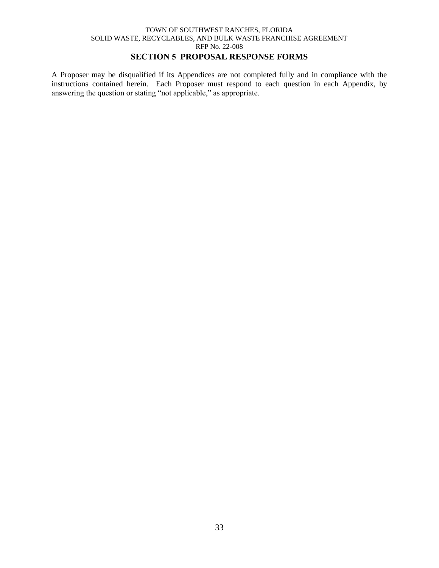# **SECTION 5 PROPOSAL RESPONSE FORMS**

A Proposer may be disqualified if its Appendices are not completed fully and in compliance with the instructions contained herein. Each Proposer must respond to each question in each Appendix, by answering the question or stating "not applicable," as appropriate.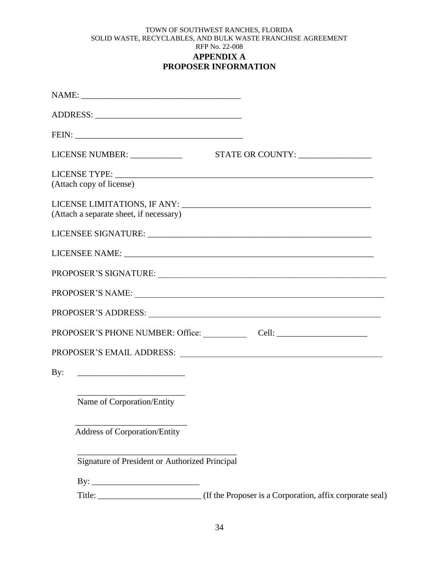## TOWN OF SOUTHWEST RANCHES, FLORIDA SOLID WASTE, RECYCLABLES, AND BULK WASTE FRANCHISE AGREEMENT RFP No. 22-008 **APPENDIX A PROPOSER INFORMATION**

|     | (Attach copy of license)                       |  |
|-----|------------------------------------------------|--|
|     | (Attach a separate sheet, if necessary)        |  |
|     |                                                |  |
|     |                                                |  |
|     |                                                |  |
|     |                                                |  |
|     |                                                |  |
|     |                                                |  |
|     |                                                |  |
| By: |                                                |  |
|     | Name of Corporation/Entity                     |  |
|     | <b>Address of Corporation/Entity</b>           |  |
|     | Signature of President or Authorized Principal |  |
|     |                                                |  |
|     |                                                |  |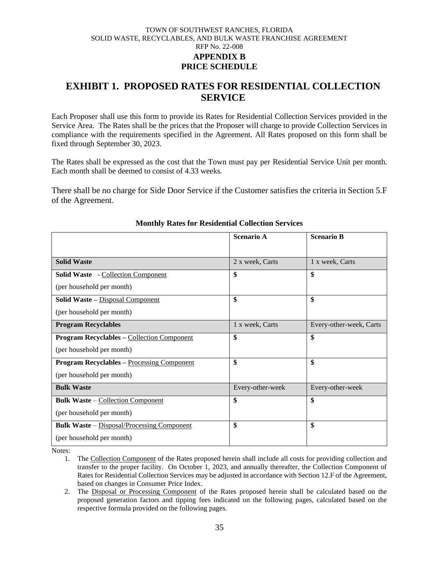## TOWN OF SOUTHWEST RANCHES, FLORIDA SOLID WASTE, RECYCLABLES, AND BULK WASTE FRANCHISE AGREEMENT RFP No. 22-008 **APPENDIX B PRICE SCHEDULE**

# **EXHIBIT 1. PROPOSED RATES FOR RESIDENTIAL COLLECTION SERVICE**

Each Proposer shall use this form to provide its Rates for Residential Collection Services provided in the Service Area. The Rates shall be the prices that the Proposer will charge to provide Collection Services in compliance with the requirements specified in the Agreement. All Rates proposed on this form shall be fixed through September 30, 2023.

The Rates shall be expressed as the cost that the Town must pay per Residential Service Unit per month. Each month shall be deemed to consist of 4.33 weeks.

There shall be no charge for Side Door Service if the Customer satisfies the criteria in Section 5.F of the Agreement.

|                                                   | <b>Scenario A</b> | <b>Scenario B</b>       |
|---------------------------------------------------|-------------------|-------------------------|
|                                                   |                   |                         |
| <b>Solid Waste</b>                                | 2 x week, Carts   | 1 x week, Carts         |
| <b>Solid Waste</b> - Collection Component         | \$                | \$                      |
| (per household per month)                         |                   |                         |
| Solid Waste - Disposal Component                  | \$                | \$                      |
| (per household per month)                         |                   |                         |
| <b>Program Recyclables</b>                        | 1 x week, Carts   | Every-other-week, Carts |
| <b>Program Recyclables - Collection Component</b> | \$                | \$                      |
| (per household per month)                         |                   |                         |
| <b>Program Recyclables - Processing Component</b> | \$                | \$                      |
| (per household per month)                         |                   |                         |
| <b>Bulk Waste</b>                                 | Every-other-week  | Every-other-week        |
| <b>Bulk Waste – Collection Component</b>          | \$                | \$                      |
| (per household per month)                         |                   |                         |
| <b>Bulk Waste</b> – Disposal/Processing Component | \$                | \$                      |
| (per household per month)                         |                   |                         |

#### **Monthly Rates for Residential Collection Services**

Notes:

<sup>1.</sup> The Collection Component of the Rates proposed herein shall include all costs for providing collection and transfer to the proper facility. On October 1, 2023, and annually thereafter, the Collection Component of Rates for Residential Collection Services may be adjusted in accordance with Section 12.F of the Agreement, based on changes in Consumer Price Index.

<sup>2.</sup> The Disposal or Processing Component of the Rates proposed herein shall be calculated based on the proposed generation factors and tipping fees indicated on the following pages, calculated based on the respective formula provided on the following pages.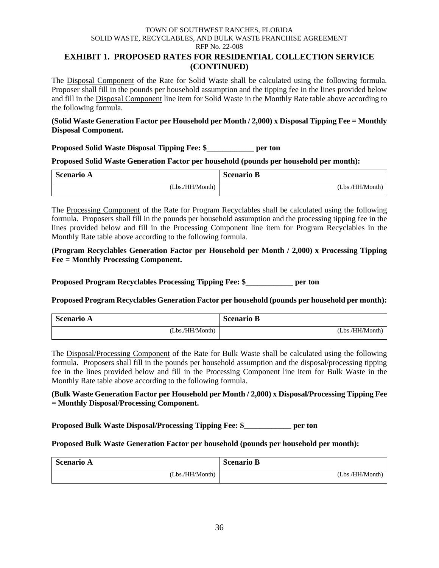## **EXHIBIT 1. PROPOSED RATES FOR RESIDENTIAL COLLECTION SERVICE (CONTINUED)**

The Disposal Component of the Rate for Solid Waste shall be calculated using the following formula. Proposer shall fill in the pounds per household assumption and the tipping fee in the lines provided below and fill in the Disposal Component line item for Solid Waste in the Monthly Rate table above according to the following formula.

## **(Solid Waste Generation Factor per Household per Month / 2,000) x Disposal Tipping Fee = Monthly Disposal Component.**

**Proposed Solid Waste Disposal Tipping Fee: \$\_\_\_\_\_\_\_\_\_\_\_\_ per ton**

**Proposed Solid Waste Generation Factor per household (pounds per household per month):**

| <b>Scenario A</b> | <b>Scenario B</b> |
|-------------------|-------------------|
| (Lbs./HH/Month)   | (Lbs./HH/Month)   |

The Processing Component of the Rate for Program Recyclables shall be calculated using the following formula. Proposers shall fill in the pounds per household assumption and the processing tipping fee in the lines provided below and fill in the Processing Component line item for Program Recyclables in the Monthly Rate table above according to the following formula.

**(Program Recyclables Generation Factor per Household per Month / 2,000) x Processing Tipping Fee = Monthly Processing Component.** 

**Proposed Program Recyclables Processing Tipping Fee: \$\_\_\_\_\_\_\_\_\_\_\_\_ per ton**

**Proposed Program Recyclables Generation Factor per household (pounds per household per month):** 

| <b>Scenario A</b> | <b>Scenario B</b> |
|-------------------|-------------------|
| (Lbs./HH/Month)   | (Lbs./HH/Month)   |

The Disposal/Processing Component of the Rate for Bulk Waste shall be calculated using the following formula. Proposers shall fill in the pounds per household assumption and the disposal/processing tipping fee in the lines provided below and fill in the Processing Component line item for Bulk Waste in the Monthly Rate table above according to the following formula.

## **(Bulk Waste Generation Factor per Household per Month / 2,000) x Disposal/Processing Tipping Fee = Monthly Disposal/Processing Component.**

**Proposed Bulk Waste Disposal/Processing Tipping Fee: \$\_\_\_\_\_\_\_\_\_\_\_\_ per ton**

## **Proposed Bulk Waste Generation Factor per household (pounds per household per month):**

| <b>Scenario A</b> | <b>Scenario B</b> |
|-------------------|-------------------|
| (Lbs./HH/Month)   | (Lbs./HH/Month)   |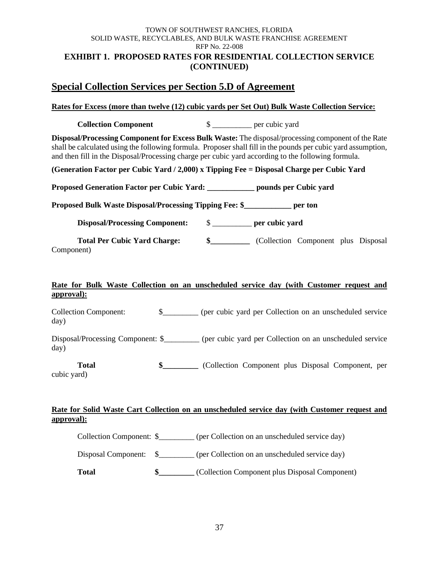#### TOWN OF SOUTHWEST RANCHES, FLORIDA SOLID WASTE, RECYCLABLES, AND BULK WASTE FRANCHISE AGREEMENT RFP No. 22-008 **EXHIBIT 1. PROPOSED RATES FOR RESIDENTIAL COLLECTION SERVICE (CONTINUED)**

# **Special Collection Services per Section 5.D of Agreement**

## **Rates for Excess (more than twelve (12) cubic yards per Set Out) Bulk Waste Collection Service:**

**Collection Component**  $\qquad \qquad$  \$

**Disposal/Processing Component for Excess Bulk Waste:** The disposal/processing component of the Rate shall be calculated using the following formula. Proposer shall fill in the pounds per cubic yard assumption, and then fill in the Disposal/Processing charge per cubic yard according to the following formula.

**(Generation Factor per Cubic Yard / 2,000) x Tipping Fee = Disposal Charge per Cubic Yard**

**Proposed Generation Factor per Cubic Yard: \_\_\_\_\_\_\_\_\_\_\_\_ pounds per Cubic yard**

**Proposed Bulk Waste Disposal/Processing Tipping Fee: \$\_\_\_\_\_\_\_\_\_\_\_\_ per ton**

**Disposal/Processing Component:** \$ \_\_\_\_\_\_\_\_\_\_ **per cubic yard**

**Total Per Cubic Yard Charge: \$\_\_\_\_\_\_\_\_\_\_** (Collection Component plus Disposal Component)

## **Rate for Bulk Waste Collection on an unscheduled service day (with Customer request and approval):**

Collection Component: \$\_\_\_\_\_\_\_\_\_ (per cubic yard per Collection on an unscheduled service day)

Disposal/Processing Component: \$\_\_\_\_\_\_\_\_\_ (per cubic yard per Collection on an unscheduled service day)

**Total \$\_\_\_\_\_\_\_\_\_** (Collection Component plus Disposal Component, per cubic yard)

## **Rate for Solid Waste Cart Collection on an unscheduled service day (with Customer request and approval):**

Collection Component: \$ (per Collection on an unscheduled service day)

Disposal Component:  $\S$  (per Collection on an unscheduled service day)

**Total \$\_\_\_\_\_\_\_\_\_** (Collection Component plus Disposal Component)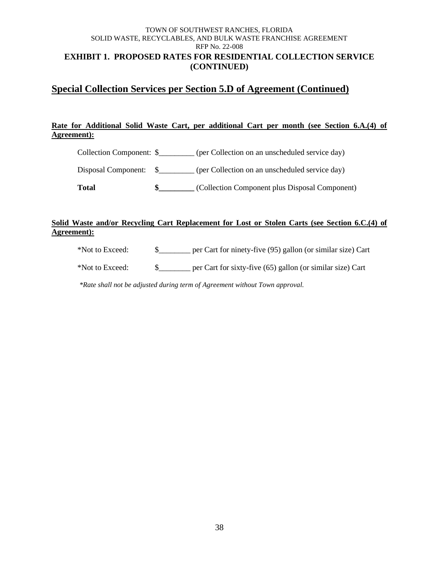## TOWN OF SOUTHWEST RANCHES, FLORIDA SOLID WASTE, RECYCLABLES, AND BULK WASTE FRANCHISE AGREEMENT RFP No. 22-008 **EXHIBIT 1. PROPOSED RATES FOR RESIDENTIAL COLLECTION SERVICE (CONTINUED)**

# **Special Collection Services per Section 5.D of Agreement (Continued)**

## **Rate for Additional Solid Waste Cart, per additional Cart per month (see Section 6.A.(4) of Agreement):**

Collection Component: \$\_\_\_\_\_\_\_\_\_ (per Collection on an unscheduled service day)

Disposal Component:  $\quad$  (per Collection on an unscheduled service day)

**Total \$\_\_\_\_\_\_\_\_\_** (Collection Component plus Disposal Component)

## **Solid Waste and/or Recycling Cart Replacement for Lost or Stolen Carts (see Section 6.C.(4) of Agreement):**

\*Not to Exceed: \$\_\_\_\_\_\_\_\_ per Cart for ninety-five (95) gallon (or similar size) Cart

\*Not to Exceed: \$\_\_\_\_\_\_\_\_ per Cart for sixty-five (65) gallon (or similar size) Cart

*\*Rate shall not be adjusted during term of Agreement without Town approval.*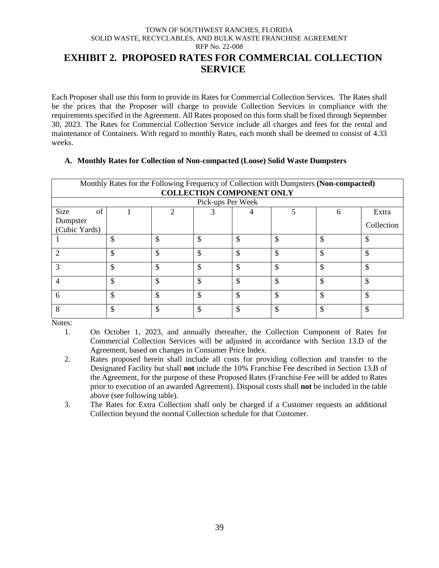## TOWN OF SOUTHWEST RANCHES, FLORIDA SOLID WASTE, RECYCLABLES, AND BULK WASTE FRANCHISE AGREEMENT RFP No. 22-008 **EXHIBIT 2. PROPOSED RATES FOR COMMERCIAL COLLECTION**

**SERVICE**

Each Proposer shall use this form to provide its Rates for Commercial Collection Services. The Rates shall be the prices that the Proposer will charge to provide Collection Services in compliance with the requirements specified in the Agreement. All Rates proposed on this form shall be fixed through September 30, 2023. The Rates for Commercial Collection Service include all charges and fees for the rental and maintenance of Containers. With regard to monthly Rates, each month shall be deemed to consist of 4.33 weeks.

#### **A. Monthly Rates for Collection of Non-compacted (Loose) Solid Waste Dumpsters**

| Monthly Rates for the Following Frequency of Collection with Dumpsters (Non-compacted)<br><b>COLLECTION COMPONENT ONLY</b> |         |    |                   |    |     |    |            |
|----------------------------------------------------------------------------------------------------------------------------|---------|----|-------------------|----|-----|----|------------|
|                                                                                                                            |         |    | Pick-ups Per Week |    |     |    |            |
| Size<br>of                                                                                                                 |         | ↑  |                   | 4  |     | 6  | Extra      |
| Dumpster                                                                                                                   |         |    |                   |    |     |    | Collection |
| (Cubic Yards)                                                                                                              |         |    |                   |    |     |    |            |
|                                                                                                                            | \$      | \$ | \$                | \$ | \$  | \$ | \$.        |
| ാ                                                                                                                          | \$      | \$ | \$                | \$ | \$  | \$ | \$         |
|                                                                                                                            | \$      | \$ | \$                | \$ | \$  | \$ | \$         |
|                                                                                                                            | Φ<br>ъD | \$ | \$                | \$ | \$. | \$ | \$         |
| 6                                                                                                                          | \$      | \$ | \$                | \$ | \$  | \$ | \$         |
| 8                                                                                                                          | \$      | \$ | \$                | \$ | \$  | ¢  | S          |

Notes:

1. On October 1, 2023, and annually thereafter, the Collection Component of Rates for Commercial Collection Services will be adjusted in accordance with Section 13.D of the Agreement, based on changes in Consumer Price Index.

- 2. Rates proposed herein shall include all costs for providing collection and transfer to the Designated Facility but shall **not** include the 10% Franchise Fee described in Section 13.B of the Agreement, for the purpose of these Proposed Rates (Franchise Fee will be added to Rates prior to execution of an awarded Agreement). Disposal costs shall **not** be included in the table above (see following table).
- 3. The Rates for Extra Collection shall only be charged if a Customer requests an additional Collection beyond the normal Collection schedule for that Customer.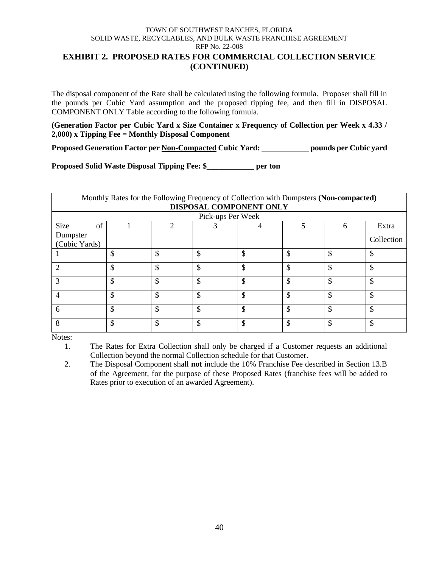## **EXHIBIT 2. PROPOSED RATES FOR COMMERCIAL COLLECTION SERVICE (CONTINUED)**

The disposal component of the Rate shall be calculated using the following formula. Proposer shall fill in the pounds per Cubic Yard assumption and the proposed tipping fee, and then fill in DISPOSAL COMPONENT ONLY Table according to the following formula.

**(Generation Factor per Cubic Yard x Size Container x Frequency of Collection per Week x 4.33 / 2,000) x Tipping Fee = Monthly Disposal Component**

**Proposed Generation Factor per Non-Compacted Cubic Yard: \_\_\_\_\_\_\_\_\_\_\_\_ pounds per Cubic yard**

**Proposed Solid Waste Disposal Tipping Fee: \$\_\_\_\_\_\_\_\_\_\_\_\_ per ton**

|               | Monthly Rates for the Following Frequency of Collection with Dumpsters (Non-compacted) |    |                   |    |    |    |            |  |
|---------------|----------------------------------------------------------------------------------------|----|-------------------|----|----|----|------------|--|
|               | DISPOSAL COMPONENT ONLY                                                                |    |                   |    |    |    |            |  |
|               |                                                                                        |    | Pick-ups Per Week |    |    |    |            |  |
| Size<br>of    |                                                                                        |    | 3                 |    |    | 6  | Extra      |  |
| Dumpster      |                                                                                        |    |                   |    |    |    | Collection |  |
| (Cubic Yards) |                                                                                        |    |                   |    |    |    |            |  |
|               | \$                                                                                     | \$ | Φ                 | \$ | \$ | \$ |            |  |
| ာ             | \$                                                                                     | \$ | ሖ                 | \$ | \$ | \$ | \$         |  |
|               | \$                                                                                     | \$ | ሖ                 | \$ | \$ | \$ | \$         |  |
| 4             | \$                                                                                     | \$ | ሖ<br>۰D.          | \$ | \$ | \$ | \$         |  |
| 6             | \$                                                                                     | \$ | ሖ                 | \$ | \$ | \$ | \$         |  |
| 8             | \$                                                                                     | ¢  | ሖ                 | \$ | \$ | \$ | \$         |  |

Notes:

1. The Rates for Extra Collection shall only be charged if a Customer requests an additional Collection beyond the normal Collection schedule for that Customer.

2. The Disposal Component shall **not** include the 10% Franchise Fee described in Section 13.B of the Agreement, for the purpose of these Proposed Rates (franchise fees will be added to Rates prior to execution of an awarded Agreement).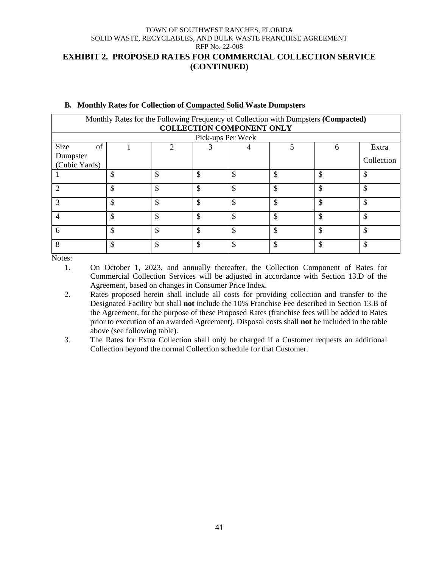## **EXHIBIT 2. PROPOSED RATES FOR COMMERCIAL COLLECTION SERVICE (CONTINUED)**

| Monthly Rates for the Following Frequency of Collection with Dumpsters (Compacted) |    |    |                   |                                  |    |                    |            |
|------------------------------------------------------------------------------------|----|----|-------------------|----------------------------------|----|--------------------|------------|
|                                                                                    |    |    |                   | <b>COLLECTION COMPONENT ONLY</b> |    |                    |            |
|                                                                                    |    |    | Pick-ups Per Week |                                  |    |                    |            |
| Size<br>of                                                                         |    |    | 3                 |                                  | 5  | h                  | Extra      |
| Dumpster                                                                           |    |    |                   |                                  |    |                    | Collection |
| (Cubic Yards)                                                                      |    |    |                   |                                  |    |                    |            |
|                                                                                    | \$ | \$ | \$                |                                  | \$ | \$                 |            |
| C                                                                                  | \$ | \$ | \$                |                                  | \$ | \$                 | \$         |
| 3                                                                                  | \$ | \$ | \$                | ሖ                                | \$ | \$                 | Φ          |
| 4                                                                                  | \$ | \$ | \$                |                                  | \$ | \$                 |            |
| 6                                                                                  | \$ | \$ | \$                | ሖ                                | \$ | $\mathbf{\hat{S}}$ | Φ          |
| 8                                                                                  | \$ | \$ | \$                | ሖ                                | \$ | \$                 | ጥ          |

#### **B. Monthly Rates for Collection of Compacted Solid Waste Dumpsters**

Notes:

- 1. On October 1, 2023, and annually thereafter, the Collection Component of Rates for Commercial Collection Services will be adjusted in accordance with Section 13.D of the Agreement, based on changes in Consumer Price Index.
- 2. Rates proposed herein shall include all costs for providing collection and transfer to the Designated Facility but shall **not** include the 10% Franchise Fee described in Section 13.B of the Agreement, for the purpose of these Proposed Rates (franchise fees will be added to Rates prior to execution of an awarded Agreement). Disposal costs shall **not** be included in the table above (see following table).
- 3. The Rates for Extra Collection shall only be charged if a Customer requests an additional Collection beyond the normal Collection schedule for that Customer.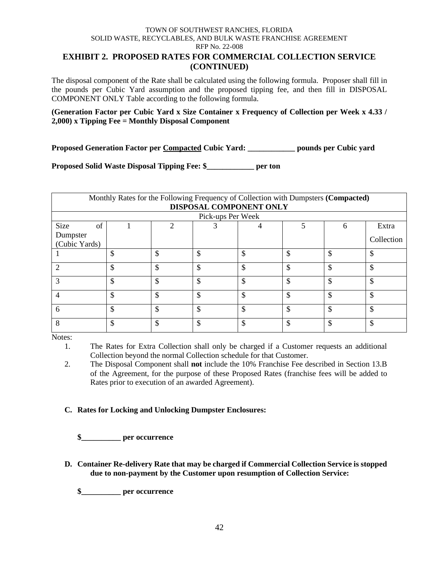## **EXHIBIT 2. PROPOSED RATES FOR COMMERCIAL COLLECTION SERVICE (CONTINUED)**

The disposal component of the Rate shall be calculated using the following formula. Proposer shall fill in the pounds per Cubic Yard assumption and the proposed tipping fee, and then fill in DISPOSAL COMPONENT ONLY Table according to the following formula.

## **(Generation Factor per Cubic Yard x Size Container x Frequency of Collection per Week x 4.33 / 2,000) x Tipping Fee = Monthly Disposal Component**

**Proposed Generation Factor per Compacted Cubic Yard: \_\_\_\_\_\_\_\_\_\_\_\_ pounds per Cubic yard**

**Proposed Solid Waste Disposal Tipping Fee: \$\_\_\_\_\_\_\_\_\_\_\_\_ per ton**

| Monthly Rates for the Following Frequency of Collection with Dumpsters (Compacted) |         |    |                   |                         |    |    |            |
|------------------------------------------------------------------------------------|---------|----|-------------------|-------------------------|----|----|------------|
|                                                                                    |         |    |                   | DISPOSAL COMPONENT ONLY |    |    |            |
|                                                                                    |         |    | Pick-ups Per Week |                         |    |    |            |
| <b>Size</b><br>of                                                                  |         |    | 3                 |                         |    | 6  | Extra      |
| Dumpster                                                                           |         |    |                   |                         |    |    | Collection |
| (Cubic Yards)                                                                      |         |    |                   |                         |    |    |            |
|                                                                                    | \$      | \$ | \$                | \$                      | \$ | \$ |            |
| റ                                                                                  | \$      | \$ | ¢<br>Лb           | \$                      | \$ | \$ | Φ          |
| 3                                                                                  | \$      | \$ | \$                | \$                      | \$ | \$ | Φ          |
|                                                                                    | ¢<br>J. | \$ | ¢<br>۰D.          | \$                      | \$ | \$ |            |
| 6                                                                                  | \$      | \$ | \$                | \$                      | \$ | \$ |            |
| 8                                                                                  | \$      | \$ | \$                | $\mathcal{S}$           | \$ | \$ |            |

Notes:

1. The Rates for Extra Collection shall only be charged if a Customer requests an additional Collection beyond the normal Collection schedule for that Customer.

2. The Disposal Component shall **not** include the 10% Franchise Fee described in Section 13.B of the Agreement, for the purpose of these Proposed Rates (franchise fees will be added to Rates prior to execution of an awarded Agreement).

## **C. Rates for Locking and Unlocking Dumpster Enclosures:**

**\$\_\_\_\_\_\_\_\_\_\_ per occurrence**

**D. Container Re-delivery Rate that may be charged if Commercial Collection Service is stopped due to non-payment by the Customer upon resumption of Collection Service:** 

**\$\_\_\_\_\_\_\_\_\_\_ per occurrence**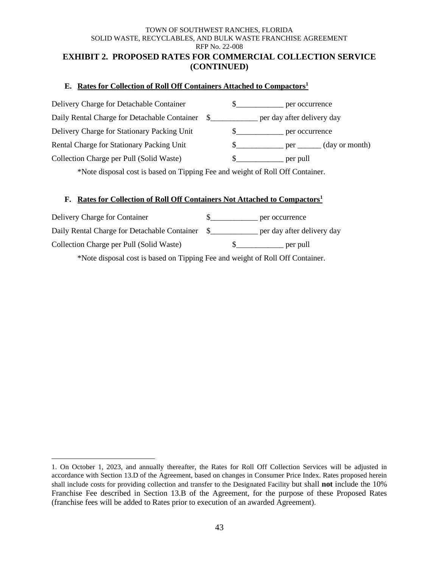#### TOWN OF SOUTHWEST RANCHES, FLORIDA SOLID WASTE, RECYCLABLES, AND BULK WASTE FRANCHISE AGREEMENT RFP No. 22-008 **EXHIBIT 2. PROPOSED RATES FOR COMMERCIAL COLLECTION SERVICE**

# **(CONTINUED)**

## **E. Rates for Collection of Roll Off Containers Attached to Compactors<sup>1</sup>**

| Delivery Charge for Detachable Container    | per occurrence |                                                              |
|---------------------------------------------|----------------|--------------------------------------------------------------|
|                                             |                |                                                              |
| Delivery Charge for Stationary Packing Unit | per occurrence |                                                              |
| Rental Charge for Stationary Packing Unit   |                | $\rule{1em}{0.15mm}$ per $\rule{1em}{0.15mm}$ (day or month) |
| Collection Charge per Pull (Solid Waste)    | per pull       |                                                              |

\*Note disposal cost is based on Tipping Fee and weight of Roll Off Container.

## **F. Rates for Collection of Roll Off Containers Not Attached to Compactors<sup>1</sup>**

| per occurrence             |
|----------------------------|
| per day after delivery day |
| per pull                   |
|                            |

\*Note disposal cost is based on Tipping Fee and weight of Roll Off Container.

<sup>1.</sup> On October 1, 2023, and annually thereafter, the Rates for Roll Off Collection Services will be adjusted in accordance with Section 13.D of the Agreement, based on changes in Consumer Price Index. Rates proposed herein shall include costs for providing collection and transfer to the Designated Facility but shall **not** include the 10% Franchise Fee described in Section 13.B of the Agreement, for the purpose of these Proposed Rates (franchise fees will be added to Rates prior to execution of an awarded Agreement).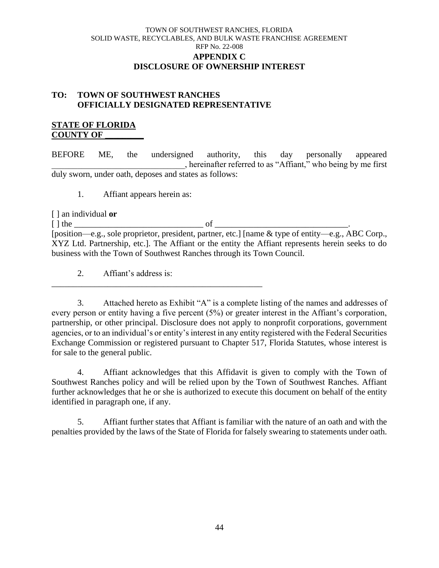## TOWN OF SOUTHWEST RANCHES, FLORIDA SOLID WASTE, RECYCLABLES, AND BULK WASTE FRANCHISE AGREEMENT RFP No. 22-008 **APPENDIX C DISCLOSURE OF OWNERSHIP INTEREST**

## **TO: TOWN OF SOUTHWEST RANCHES OFFICIALLY DESIGNATED REPRESENTATIVE**

## **STATE OF FLORIDA COUNTY OF \_\_\_\_\_\_\_\_\_**

BEFORE ME, the undersigned authority, this day personally appeared \_\_\_\_\_\_\_\_\_\_\_\_\_\_\_\_\_\_\_\_\_\_\_\_\_\_\_\_\_\_\_, hereinafter referred to as "Affiant," who being by me first duly sworn, under oath, deposes and states as follows:

1. Affiant appears herein as:

[ ] an individual **or**

 $\lceil \cdot \rceil$  the of

[position—e.g., sole proprietor, president, partner, etc.] [name & type of entity—e.g., ABC Corp., XYZ Ltd. Partnership, etc.]. The Affiant or the entity the Affiant represents herein seeks to do business with the Town of Southwest Ranches through its Town Council.

2. Affiant's address is:

\_\_\_\_\_\_\_\_\_\_\_\_\_\_\_\_\_\_\_\_\_\_\_\_\_\_\_\_\_\_\_\_\_\_\_\_\_\_\_\_\_\_\_\_\_\_\_\_\_

3. Attached hereto as Exhibit "A" is a complete listing of the names and addresses of every person or entity having a five percent (5%) or greater interest in the Affiant's corporation, partnership, or other principal. Disclosure does not apply to nonprofit corporations, government agencies, or to an individual's or entity's interest in any entity registered with the Federal Securities Exchange Commission or registered pursuant to Chapter 517, Florida Statutes, whose interest is for sale to the general public.

4. Affiant acknowledges that this Affidavit is given to comply with the Town of Southwest Ranches policy and will be relied upon by the Town of Southwest Ranches. Affiant further acknowledges that he or she is authorized to execute this document on behalf of the entity identified in paragraph one, if any.

5. Affiant further states that Affiant is familiar with the nature of an oath and with the penalties provided by the laws of the State of Florida for falsely swearing to statements under oath.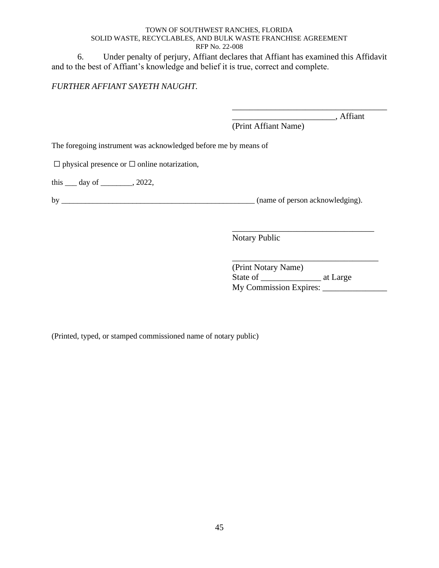6. Under penalty of perjury, Affiant declares that Affiant has examined this Affidavit and to the best of Affiant's knowledge and belief it is true, correct and complete.

## *FURTHER AFFIANT SAYETH NAUGHT.*

\_\_\_\_\_\_\_\_\_\_\_\_\_\_\_\_\_\_\_\_\_\_\_\_, Affiant

\_\_\_\_\_\_\_\_\_\_\_\_\_\_\_\_\_\_\_\_\_\_\_\_\_\_\_\_\_\_\_\_\_\_\_\_

(Print Affiant Name)

The foregoing instrument was acknowledged before me by means of

 $\Box$  physical presence or  $\Box$  online notarization,

this  $\rule{1em}{0.15mm}$  day of  $\rule{1em}{0.15mm}$ , 2022,

by \_\_\_\_\_\_\_\_\_\_\_\_\_\_\_\_\_\_\_\_\_\_\_\_\_\_\_\_\_\_\_\_\_\_\_\_\_\_\_\_\_\_\_\_\_\_\_\_\_ (name of person acknowledging).

Notary Public

\_\_\_\_\_\_\_\_\_\_\_\_\_\_\_\_\_\_\_\_\_\_\_\_\_\_\_\_\_\_\_\_\_\_ (Print Notary Name) State of at Large My Commission Expires: \_\_\_\_\_\_\_\_\_\_\_\_\_\_\_

\_\_\_\_\_\_\_\_\_\_\_\_\_\_\_\_\_\_\_\_\_\_\_\_\_\_\_\_\_\_\_\_\_

(Printed, typed, or stamped commissioned name of notary public)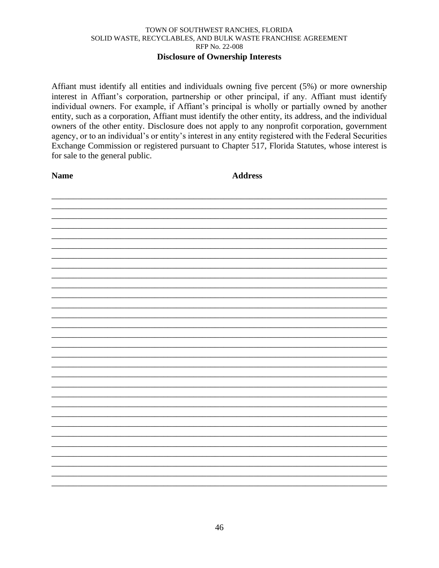## **Disclosure of Ownership Interests**

Affiant must identify all entities and individuals owning five percent (5%) or more ownership interest in Affiant's corporation, partnership or other principal, if any. Affiant must identify individual owners. For example, if Affiant's principal is wholly or partially owned by another entity, such as a corporation, Affiant must identify the other entity, its address, and the individual owners of the other entity. Disclosure does not apply to any nonprofit corporation, government agency, or to an individual's or entity's interest in any entity registered with the Federal Securities Exchange Commission or registered pursuant to Chapter 517, Florida Statutes, whose interest is for sale to the general public.

**Name** 

**Address**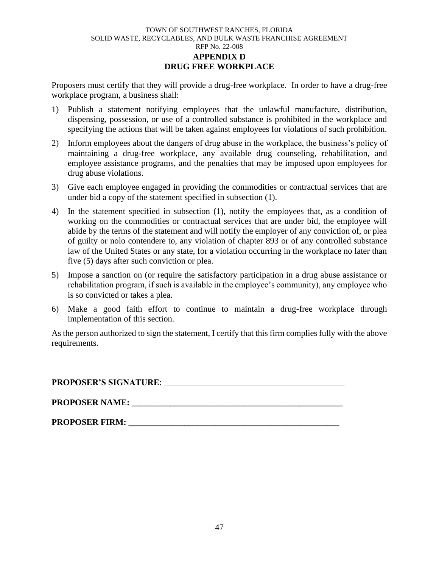#### TOWN OF SOUTHWEST RANCHES, FLORIDA SOLID WASTE, RECYCLABLES, AND BULK WASTE FRANCHISE AGREEMENT RFP No. 22-008 **APPENDIX D DRUG FREE WORKPLACE**

Proposers must certify that they will provide a drug-free workplace. In order to have a drug-free workplace program, a business shall:

- 1) Publish a statement notifying employees that the unlawful manufacture, distribution, dispensing, possession, or use of a controlled substance is prohibited in the workplace and specifying the actions that will be taken against employees for violations of such prohibition.
- 2) Inform employees about the dangers of drug abuse in the workplace, the business's policy of maintaining a drug-free workplace, any available drug counseling, rehabilitation, and employee assistance programs, and the penalties that may be imposed upon employees for drug abuse violations.
- 3) Give each employee engaged in providing the commodities or contractual services that are under bid a copy of the statement specified in subsection (1).
- 4) In the statement specified in subsection (1), notify the employees that, as a condition of working on the commodities or contractual services that are under bid, the employee will abide by the terms of the statement and will notify the employer of any conviction of, or plea of guilty or nolo contendere to, any violation of chapter 893 or of any controlled substance law of the United States or any state, for a violation occurring in the workplace no later than five (5) days after such conviction or plea.
- 5) Impose a sanction on (or require the satisfactory participation in a drug abuse assistance or rehabilitation program, if such is available in the employee's community), any employee who is so convicted or takes a plea.
- 6) Make a good faith effort to continue to maintain a drug-free workplace through implementation of this section.

As the person authorized to sign the statement, I certify that this firm complies fully with the above requirements.

**PROPOSER'S SIGNATURE**: \_\_\_\_\_\_\_\_\_\_\_\_\_\_\_\_\_\_\_\_\_\_\_\_\_\_\_\_\_\_\_\_\_\_\_\_\_\_\_\_\_\_

**PROPOSER NAME: \_\_\_\_\_\_\_\_\_\_\_\_\_\_\_\_\_\_\_\_\_\_\_\_\_\_\_\_\_\_\_\_\_\_\_\_\_\_\_\_\_\_\_\_\_\_\_\_\_**

**PROPOSER FIRM:**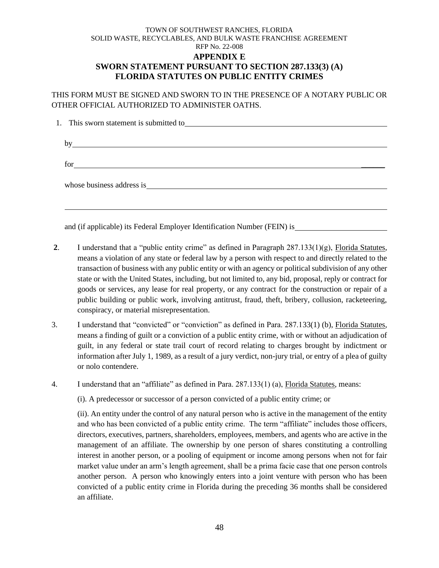## TOWN OF SOUTHWEST RANCHES, FLORIDA SOLID WASTE, RECYCLABLES, AND BULK WASTE FRANCHISE AGREEMENT RFP No. 22-008 **APPENDIX E SWORN STATEMENT PURSUANT TO SECTION 287.133(3) (A) FLORIDA STATUTES ON PUBLIC ENTITY CRIMES**

THIS FORM MUST BE SIGNED AND SWORN TO IN THE PRESENCE OF A NOTARY PUBLIC OR OTHER OFFICIAL AUTHORIZED TO ADMINISTER OATHS.

|      | 1. This sworn statement is submitted to                    |  |  |
|------|------------------------------------------------------------|--|--|
|      |                                                            |  |  |
| hv   | <u> 1989 - Johann Barbara, martxa alemaniar amerikan a</u> |  |  |
|      |                                                            |  |  |
| for. |                                                            |  |  |
|      |                                                            |  |  |
|      |                                                            |  |  |
|      |                                                            |  |  |
|      |                                                            |  |  |

and (if applicable) its Federal Employer Identification Number (FEIN) is

- **2.** I understand that a "public entity crime" as defined in Paragraph  $287.133(1)(g)$ , Florida Statutes, means a violation of any state or federal law by a person with respect to and directly related to the transaction of business with any public entity or with an agency or political subdivision of any other state or with the United States, including, but not limited to, any bid, proposal, reply or contract for goods or services, any lease for real property, or any contract for the construction or repair of a public building or public work, involving antitrust, fraud, theft, bribery, collusion, racketeering, conspiracy, or material misrepresentation.
- 3. I understand that "convicted" or "conviction" as defined in Para. 287.133(1) (b), Florida Statutes, means a finding of guilt or a conviction of a public entity crime, with or without an adjudication of guilt, in any federal or state trail court of record relating to charges brought by indictment or information after July 1, 1989, as a result of a jury verdict, non-jury trial, or entry of a plea of guilty or nolo contendere.

4. I understand that an "affiliate" as defined in Para. 287.133(1) (a), Florida Statutes, means:

(i). A predecessor or successor of a person convicted of a public entity crime; or

(ii). An entity under the control of any natural person who is active in the management of the entity and who has been convicted of a public entity crime. The term "affiliate" includes those officers, directors, executives, partners, shareholders, employees, members, and agents who are active in the management of an affiliate. The ownership by one person of shares constituting a controlling interest in another person, or a pooling of equipment or income among persons when not for fair market value under an arm's length agreement, shall be a prima facie case that one person controls another person. A person who knowingly enters into a joint venture with person who has been convicted of a public entity crime in Florida during the preceding 36 months shall be considered an affiliate.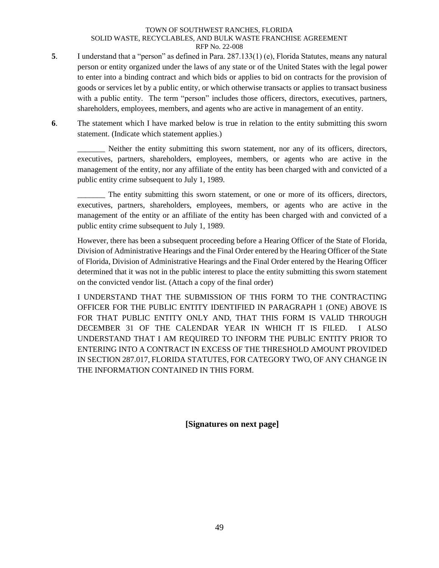- **5**. I understand that a "person" as defined in Para. 287.133(1) (e), Florida Statutes, means any natural person or entity organized under the laws of any state or of the United States with the legal power to enter into a binding contract and which bids or applies to bid on contracts for the provision of goods or services let by a public entity, or which otherwise transacts or applies to transact business with a public entity. The term "person" includes those officers, directors, executives, partners, shareholders, employees, members, and agents who are active in management of an entity.
- **6**. The statement which I have marked below is true in relation to the entity submitting this sworn statement. (Indicate which statement applies.)

Neither the entity submitting this sworn statement, nor any of its officers, directors, executives, partners, shareholders, employees, members, or agents who are active in the management of the entity, nor any affiliate of the entity has been charged with and convicted of a public entity crime subsequent to July 1, 1989.

The entity submitting this sworn statement, or one or more of its officers, directors, executives, partners, shareholders, employees, members, or agents who are active in the management of the entity or an affiliate of the entity has been charged with and convicted of a public entity crime subsequent to July 1, 1989.

However, there has been a subsequent proceeding before a Hearing Officer of the State of Florida, Division of Administrative Hearings and the Final Order entered by the Hearing Officer of the State of Florida, Division of Administrative Hearings and the Final Order entered by the Hearing Officer determined that it was not in the public interest to place the entity submitting this sworn statement on the convicted vendor list. (Attach a copy of the final order)

I UNDERSTAND THAT THE SUBMISSION OF THIS FORM TO THE CONTRACTING OFFICER FOR THE PUBLIC ENTITY IDENTIFIED IN PARAGRAPH 1 (ONE) ABOVE IS FOR THAT PUBLIC ENTITY ONLY AND, THAT THIS FORM IS VALID THROUGH DECEMBER 31 OF THE CALENDAR YEAR IN WHICH IT IS FILED. I ALSO UNDERSTAND THAT I AM REQUIRED TO INFORM THE PUBLIC ENTITY PRIOR TO ENTERING INTO A CONTRACT IN EXCESS OF THE THRESHOLD AMOUNT PROVIDED IN SECTION 287.017, FLORIDA STATUTES, FOR CATEGORY TWO, OF ANY CHANGE IN THE INFORMATION CONTAINED IN THIS FORM.

**[Signatures on next page]**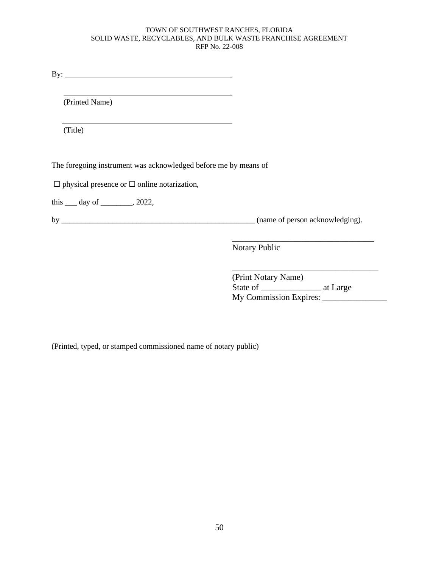By:

(Printed Name)

(Title)

The foregoing instrument was acknowledged before me by means of

 $\Box$  physical presence or  $\Box$  online notarization,

this  $\rule{1em}{0.15mm}$  day of  $\rule{1em}{0.15mm}$ , 2022,

by \_\_\_\_\_\_\_\_\_\_\_\_\_\_\_\_\_\_\_\_\_\_\_\_\_\_\_\_\_\_\_\_\_\_\_\_\_\_\_\_\_\_\_\_\_\_\_\_\_ (name of person acknowledging).

Notary Public

(Print Notary Name) State of \_\_\_\_\_\_\_\_\_\_\_\_\_\_ at Large My Commission Expires:

 $\overline{\phantom{a}}$  , and the set of the set of the set of the set of the set of the set of the set of the set of the set of the set of the set of the set of the set of the set of the set of the set of the set of the set of the s

\_\_\_\_\_\_\_\_\_\_\_\_\_\_\_\_\_\_\_\_\_\_\_\_\_\_\_\_\_\_\_\_\_

(Printed, typed, or stamped commissioned name of notary public)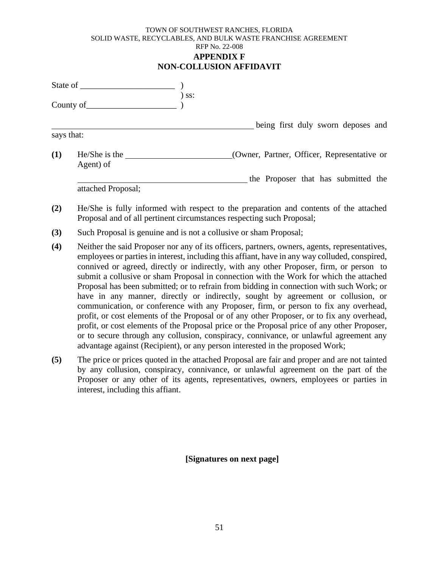#### TOWN OF SOUTHWEST RANCHES, FLORIDA SOLID WASTE, RECYCLABLES, AND BULK WASTE FRANCHISE AGREEMENT RFP No. 22-008 **APPENDIX F NON-COLLUSION AFFIDAVIT**

|            | County of                    | $)$ ss: |                                             |
|------------|------------------------------|---------|---------------------------------------------|
|            |                              |         | being first duly sworn deposes and          |
| says that: |                              |         |                                             |
| (1)        | $He/She$ is the<br>Agent) of |         | (Owner, Partner, Officer, Representative or |
|            | attached Proposal;           |         | the Proposer that has submitted the         |

- **(2)** He/She is fully informed with respect to the preparation and contents of the attached Proposal and of all pertinent circumstances respecting such Proposal;
- **(3)** Such Proposal is genuine and is not a collusive or sham Proposal;
- **(4)** Neither the said Proposer nor any of its officers, partners, owners, agents, representatives, employees or parties in interest, including this affiant, have in any way colluded, conspired, connived or agreed, directly or indirectly, with any other Proposer, firm, or person to submit a collusive or sham Proposal in connection with the Work for which the attached Proposal has been submitted; or to refrain from bidding in connection with such Work; or have in any manner, directly or indirectly, sought by agreement or collusion, or communication, or conference with any Proposer, firm, or person to fix any overhead, profit, or cost elements of the Proposal or of any other Proposer, or to fix any overhead, profit, or cost elements of the Proposal price or the Proposal price of any other Proposer, or to secure through any collusion, conspiracy, connivance, or unlawful agreement any advantage against (Recipient), or any person interested in the proposed Work;
- **(5)** The price or prices quoted in the attached Proposal are fair and proper and are not tainted by any collusion, conspiracy, connivance, or unlawful agreement on the part of the Proposer or any other of its agents, representatives, owners, employees or parties in interest, including this affiant.

**[Signatures on next page]**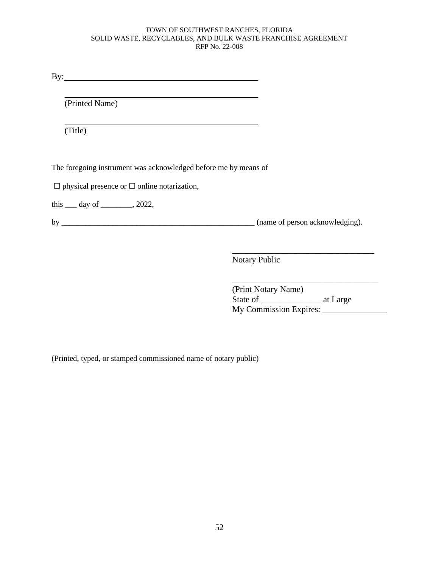By: <u>second</u> contract the second contract of the second contract of the second contract of the second contract of the second contract of the second contract of the second contract of the second contract of the second contr

(Printed Name)

(Title)

The foregoing instrument was acknowledged before me by means of

 $\Box$  physical presence or  $\Box$  online notarization,

this \_\_\_ day of \_\_\_\_\_\_\_\_, 2022,

by \_\_\_\_\_\_\_\_\_\_\_\_\_\_\_\_\_\_\_\_\_\_\_\_\_\_\_\_\_\_\_\_\_\_\_\_\_\_\_\_\_\_\_\_\_\_\_\_\_ (name of person acknowledging).

Notary Public

(Print Notary Name) State of \_\_\_\_\_\_\_\_\_\_\_\_\_\_ at Large My Commission Expires:

\_\_\_\_\_\_\_\_\_\_\_\_\_\_\_\_\_\_\_\_\_\_\_\_\_\_\_\_\_\_\_\_\_

\_\_\_\_\_\_\_\_\_\_\_\_\_\_\_\_\_\_\_\_\_\_\_\_\_\_\_\_\_\_\_\_\_\_

(Printed, typed, or stamped commissioned name of notary public)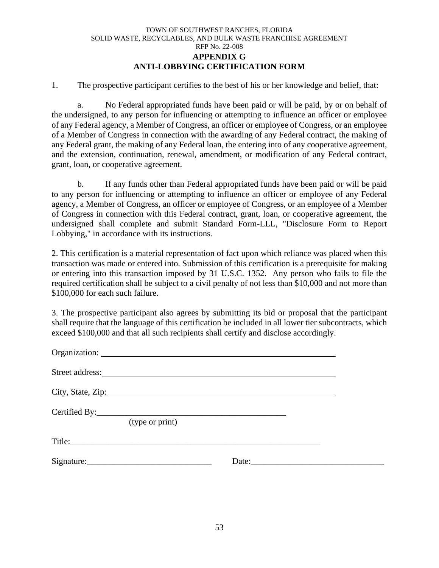#### TOWN OF SOUTHWEST RANCHES, FLORIDA SOLID WASTE, RECYCLABLES, AND BULK WASTE FRANCHISE AGREEMENT RFP No. 22-008 **APPENDIX G ANTI-LOBBYING CERTIFICATION FORM**

1. The prospective participant certifies to the best of his or her knowledge and belief, that:

a. No Federal appropriated funds have been paid or will be paid, by or on behalf of the undersigned, to any person for influencing or attempting to influence an officer or employee of any Federal agency, a Member of Congress, an officer or employee of Congress, or an employee of a Member of Congress in connection with the awarding of any Federal contract, the making of any Federal grant, the making of any Federal loan, the entering into of any cooperative agreement, and the extension, continuation, renewal, amendment, or modification of any Federal contract, grant, loan, or cooperative agreement.

b. If any funds other than Federal appropriated funds have been paid or will be paid to any person for influencing or attempting to influence an officer or employee of any Federal agency, a Member of Congress, an officer or employee of Congress, or an employee of a Member of Congress in connection with this Federal contract, grant, loan, or cooperative agreement, the undersigned shall complete and submit Standard Form-LLL, "Disclosure Form to Report Lobbying," in accordance with its instructions.

2. This certification is a material representation of fact upon which reliance was placed when this transaction was made or entered into. Submission of this certification is a prerequisite for making or entering into this transaction imposed by 31 U.S.C. 1352. Any person who fails to file the required certification shall be subject to a civil penalty of not less than \$10,000 and not more than \$100,000 for each such failure.

3. The prospective participant also agrees by submitting its bid or proposal that the participant shall require that the language of this certification be included in all lower tier subcontracts, which exceed \$100,000 and that all such recipients shall certify and disclose accordingly.

|                 | Street address: <u>the contract of the contract of the contract of the contract of the contract of the contract of the contract of the contract of the contract of the contract of the contract of the contract of the contract </u> |       |  |
|-----------------|--------------------------------------------------------------------------------------------------------------------------------------------------------------------------------------------------------------------------------------|-------|--|
|                 |                                                                                                                                                                                                                                      |       |  |
| (type or print) |                                                                                                                                                                                                                                      |       |  |
|                 |                                                                                                                                                                                                                                      |       |  |
|                 |                                                                                                                                                                                                                                      | Date: |  |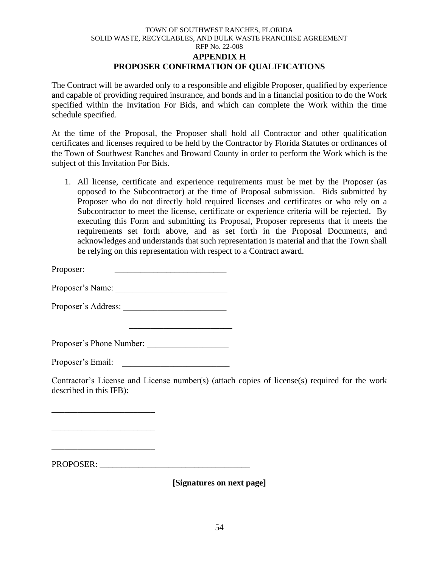### TOWN OF SOUTHWEST RANCHES, FLORIDA SOLID WASTE, RECYCLABLES, AND BULK WASTE FRANCHISE AGREEMENT RFP No. 22-008 **APPENDIX H PROPOSER CONFIRMATION OF QUALIFICATIONS**

The Contract will be awarded only to a responsible and eligible Proposer, qualified by experience and capable of providing required insurance, and bonds and in a financial position to do the Work specified within the Invitation For Bids, and which can complete the Work within the time schedule specified.

At the time of the Proposal, the Proposer shall hold all Contractor and other qualification certificates and licenses required to be held by the Contractor by Florida Statutes or ordinances of the Town of Southwest Ranches and Broward County in order to perform the Work which is the subject of this Invitation For Bids.

1. All license, certificate and experience requirements must be met by the Proposer (as opposed to the Subcontractor) at the time of Proposal submission. Bids submitted by Proposer who do not directly hold required licenses and certificates or who rely on a Subcontractor to meet the license, certificate or experience criteria will be rejected. By executing this Form and submitting its Proposal, Proposer represents that it meets the requirements set forth above, and as set forth in the Proposal Documents, and acknowledges and understands that such representation is material and that the Town shall be relying on this representation with respect to a Contract award.

Proposer:

Proposer's Name: \_\_\_\_\_\_\_\_\_\_\_\_\_\_\_\_\_\_\_\_\_\_\_\_\_\_

Proposer's Address:

Proposer's Phone Number: \_\_\_\_\_\_\_\_\_\_\_\_\_\_\_\_\_\_\_

\_\_\_\_\_\_\_\_\_\_\_\_\_\_\_\_\_\_\_\_\_\_\_\_

Proposer's Email:

\_\_\_\_\_\_\_\_\_\_\_\_\_\_\_\_\_\_\_\_\_\_\_\_

\_\_\_\_\_\_\_\_\_\_\_\_\_\_\_\_\_\_\_\_\_\_\_\_

\_\_\_\_\_\_\_\_\_\_\_\_\_\_\_\_\_\_\_\_\_\_\_\_

Contractor's License and License number(s) (attach copies of license(s) required for the work described in this IFB):

PROPOSER: \_\_\_\_\_\_\_\_\_\_\_\_\_\_\_\_\_\_\_\_\_\_\_\_\_\_\_\_\_\_\_\_\_\_\_

**[Signatures on next page]**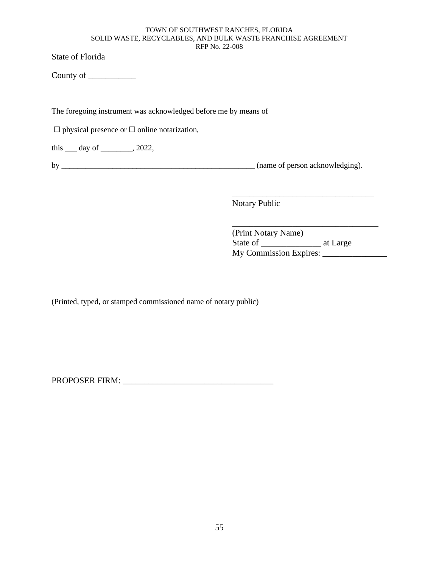State of Florida

County of

The foregoing instrument was acknowledged before me by means of

 $\Box$  physical presence or  $\Box$  online notarization,

this  $\rule{1em}{0.15mm}$  day of  $\rule{1em}{0.15mm}$ , 2022,

by \_\_\_\_\_\_\_\_\_\_\_\_\_\_\_\_\_\_\_\_\_\_\_\_\_\_\_\_\_\_\_\_\_\_\_\_\_\_\_\_\_\_\_\_\_\_\_\_\_ (name of person acknowledging).

\_\_\_\_\_\_\_\_\_\_\_\_\_\_\_\_\_\_\_\_\_\_\_\_\_\_\_\_\_\_\_\_\_

\_\_\_\_\_\_\_\_\_\_\_\_\_\_\_\_\_\_\_\_\_\_\_\_\_\_\_\_\_\_\_\_\_\_

Notary Public

(Print Notary Name) State of \_\_\_\_\_\_\_\_\_\_\_\_\_\_ at Large My Commission Expires: \_\_\_\_\_\_\_\_\_\_\_\_\_\_\_

(Printed, typed, or stamped commissioned name of notary public)

PROPOSER FIRM: \_\_\_\_\_\_\_\_\_\_\_\_\_\_\_\_\_\_\_\_\_\_\_\_\_\_\_\_\_\_\_\_\_\_\_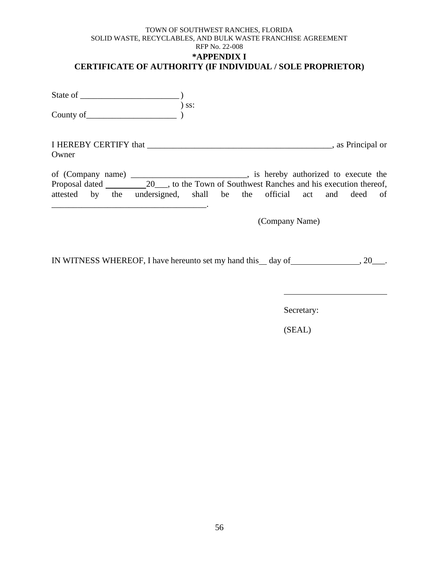## TOWN OF SOUTHWEST RANCHES, FLORIDA SOLID WASTE, RECYCLABLES, AND BULK WASTE FRANCHISE AGREEMENT RFP No. 22-008 **\*APPENDIX I CERTIFICATE OF AUTHORITY (IF INDIVIDUAL / SOLE PROPRIETOR)**

| State of  |       |
|-----------|-------|
|           | ) ss: |
| County of |       |

I HEREBY CERTIFY that \_\_\_\_\_\_\_\_\_\_\_\_\_\_\_\_\_\_\_\_\_\_\_\_\_\_\_\_\_\_\_\_\_\_\_\_\_\_\_\_\_\_\_, as Principal or Owner

of (Company name) \_\_\_\_\_\_\_\_\_\_\_\_\_\_\_\_\_\_\_\_\_\_\_\_\_\_\_, is hereby authorized to execute the Proposal dated 20\_\_, to the Town of Southwest Ranches and his execution thereof, attested by the undersigned, shall be the official act and deed of \_\_\_\_\_\_\_\_\_\_\_\_\_\_\_\_\_\_\_\_\_\_\_\_\_\_\_\_\_\_\_\_\_\_\_\_.

(Company Name)

IN WITNESS WHEREOF, I have hereunto set my hand this  $\_\,$  day of  $\_\,$ , 20 $\_\,$ .

Secretary: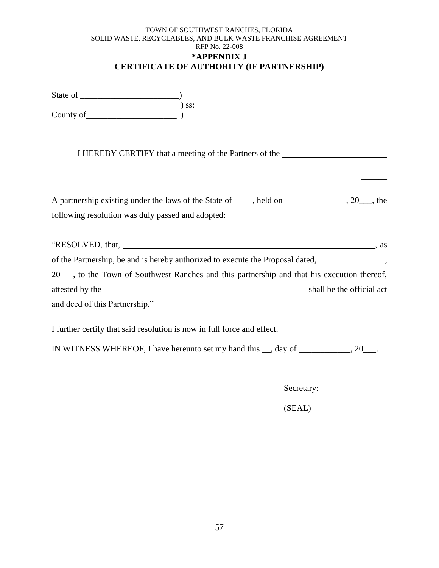## TOWN OF SOUTHWEST RANCHES, FLORIDA SOLID WASTE, RECYCLABLES, AND BULK WASTE FRANCHISE AGREEMENT RFP No. 22-008 **\*APPENDIX J CERTIFICATE OF AUTHORITY (IF PARTNERSHIP)**

State of \_\_\_\_\_\_\_\_\_\_\_\_\_\_\_\_\_\_\_\_\_\_\_) ) ss:  $County of$   $)$ 

I HEREBY CERTIFY that a meeting of the Partners of the

| A partnership existing under the laws of the State of | held on | $, 20$ , the |
|-------------------------------------------------------|---------|--------------|
| following resolution was duly passed and adopted:     |         |              |

|                                                                                                                                                                                                                                                                                                                                                            | as                        |
|------------------------------------------------------------------------------------------------------------------------------------------------------------------------------------------------------------------------------------------------------------------------------------------------------------------------------------------------------------|---------------------------|
| of the Partnership, be and is hereby authorized to execute the Proposal dated, $\frac{1}{\sqrt{1-\frac{1}{\sqrt{1-\frac{1}{\sqrt{1-\frac{1}{\sqrt{1-\frac{1}{\sqrt{1-\frac{1}{\sqrt{1-\frac{1}{\sqrt{1-\frac{1}{\sqrt{1-\frac{1}{\sqrt{1-\frac{1}{\sqrt{1-\frac{1}{\sqrt{1-\frac{1}{\sqrt{1-\frac{1}{\sqrt{1-\frac{1}{\sqrt{1-\frac{1}{\sqrt{1-\frac{1}{\$ |                           |
| 20 ___, to the Town of Southwest Ranches and this partnership and that his execution thereof,                                                                                                                                                                                                                                                              |                           |
|                                                                                                                                                                                                                                                                                                                                                            | shall be the official act |
| and deed of this Partnership."                                                                                                                                                                                                                                                                                                                             |                           |

I further certify that said resolution is now in full force and effect.

IN WITNESS WHEREOF, I have hereunto set my hand this \_\_, day of \_\_\_\_\_\_\_\_\_\_\_\_, 20\_\_\_.

Secretary:

 $\mathcal{L}$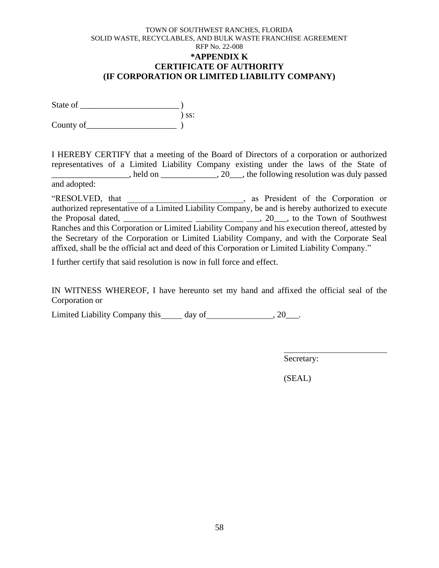## TOWN OF SOUTHWEST RANCHES, FLORIDA SOLID WASTE, RECYCLABLES, AND BULK WASTE FRANCHISE AGREEMENT RFP No. 22-008 **\*APPENDIX K CERTIFICATE OF AUTHORITY (IF CORPORATION OR LIMITED LIABILITY COMPANY)**

State of \_\_\_\_\_\_\_\_\_\_\_\_\_\_\_\_\_\_\_\_\_\_\_ ) ) ss: County of

I HEREBY CERTIFY that a meeting of the Board of Directors of a corporation or authorized representatives of a Limited Liability Company existing under the laws of the State of  $\blacksquare$ , held on  $\blacksquare$ , 20 $\blacksquare$ , the following resolution was duly passed and adopted:

"RESOLVED, that  $\qquad \qquad$ , as President of the Corporation or authorized representative of a Limited Liability Company, be and is hereby authorized to execute the Proposal dated, \_\_\_\_\_\_\_\_\_\_\_\_\_\_\_\_ \_\_\_\_\_\_\_\_\_\_\_ \_\_\_, 20\_\_\_, to the Town of Southwest Ranches and this Corporation or Limited Liability Company and his execution thereof, attested by the Secretary of the Corporation or Limited Liability Company, and with the Corporate Seal affixed, shall be the official act and deed of this Corporation or Limited Liability Company."

I further certify that said resolution is now in full force and effect.

IN WITNESS WHEREOF, I have hereunto set my hand and affixed the official seal of the Corporation or

Limited Liability Company this day of , 20\_\_\_.

Secretary: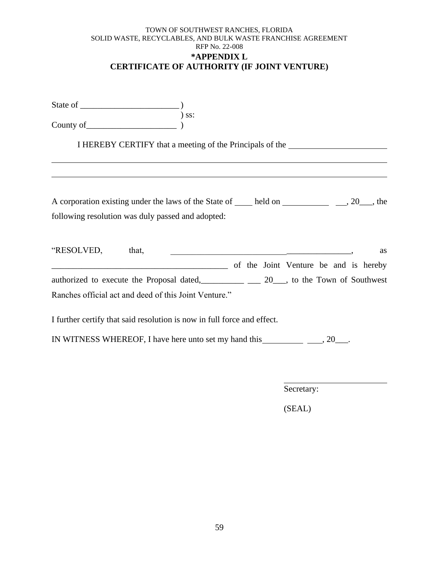## TOWN OF SOUTHWEST RANCHES, FLORIDA SOLID WASTE, RECYCLABLES, AND BULK WASTE FRANCHISE AGREEMENT RFP No. 22-008 **\*APPENDIX L CERTIFICATE OF AUTHORITY (IF JOINT VENTURE)**

| State of  |            |  |
|-----------|------------|--|
|           | $\sum$ SS: |  |
| County of |            |  |

I HEREBY CERTIFY that a meeting of the Principals of the

| A corporation existing under the laws of the State of | held on | $, 20 \underline{\hspace{1cm}}$ , the |
|-------------------------------------------------------|---------|---------------------------------------|
| following resolution was duly passed and adopted:     |         |                                       |

| "RESOLVED,                                            | that, |  |                                       |  | as |
|-------------------------------------------------------|-------|--|---------------------------------------|--|----|
|                                                       |       |  | of the Joint Venture be and is hereby |  |    |
| authorized to execute the Proposal dated,             |       |  | 20, to the Town of Southwest          |  |    |
| Ranches official act and deed of this Joint Venture." |       |  |                                       |  |    |

I further certify that said resolution is now in full force and effect.

IN WITNESS WHEREOF, I have here unto set my hand this , 20\_\_\_.

Secretary: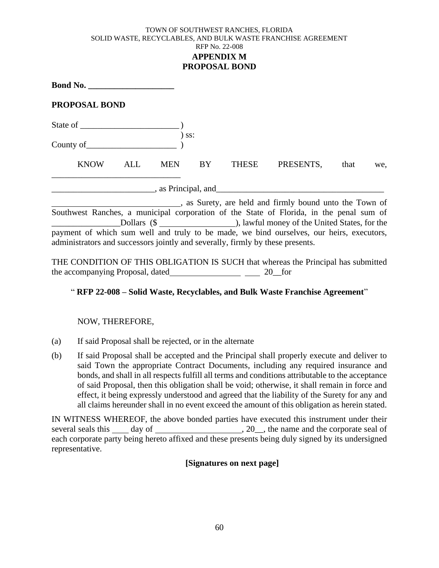## TOWN OF SOUTHWEST RANCHES, FLORIDA SOLID WASTE, RECYCLABLES, AND BULK WASTE FRANCHISE AGREEMENT RFP No. 22-008 **APPENDIX M PROPOSAL BOND**

**Bond No. \_\_\_\_\_\_\_\_\_\_\_\_\_\_\_\_\_\_\_\_**

## **PROPOSAL BOND**

State of \_\_\_\_\_\_\_\_\_\_\_\_\_\_\_\_\_\_\_\_\_\_\_ )

) ss: County of

KNOW ALL MEN BY THESE PRESENTS, that we, \_\_\_\_\_\_\_\_\_\_\_\_\_\_\_\_\_\_\_\_\_\_\_\_\_\_\_\_\_\_ \_\_\_\_\_\_\_\_\_\_\_\_\_\_\_\_\_\_\_\_\_\_\_\_, as Principal, and\_\_\_\_\_\_\_\_\_\_\_\_\_\_\_\_\_\_\_\_\_\_\_\_\_\_\_\_\_\_\_\_\_\_\_\_\_\_\_

, as Surety, are held and firmly bound unto the Town of Southwest Ranches, a municipal corporation of the State of Florida, in the penal sum of Let the United States, for the United States, for the United States, for the United States, for the payment of which sum well and truly to be made, we bind ourselves, our heirs, executors, administrators and successors jointly and severally, firmly by these presents.

THE CONDITION OF THIS OBLIGATION IS SUCH that whereas the Principal has submitted the accompanying Proposal, dated 20 for

# " **RFP 22-008 – Solid Waste, Recyclables, and Bulk Waste Franchise Agreement**"

## NOW, THEREFORE,

- (a) If said Proposal shall be rejected, or in the alternate
- (b) If said Proposal shall be accepted and the Principal shall properly execute and deliver to said Town the appropriate Contract Documents, including any required insurance and bonds, and shall in all respects fulfill all terms and conditions attributable to the acceptance of said Proposal, then this obligation shall be void; otherwise, it shall remain in force and effect, it being expressly understood and agreed that the liability of the Surety for any and all claims hereunder shall in no event exceed the amount of this obligation as herein stated.

IN WITNESS WHEREOF, the above bonded parties have executed this instrument under their several seals this day of , 20\_\_, the name and the corporate seal of each corporate party being hereto affixed and these presents being duly signed by its undersigned representative.

## **[Signatures on next page]**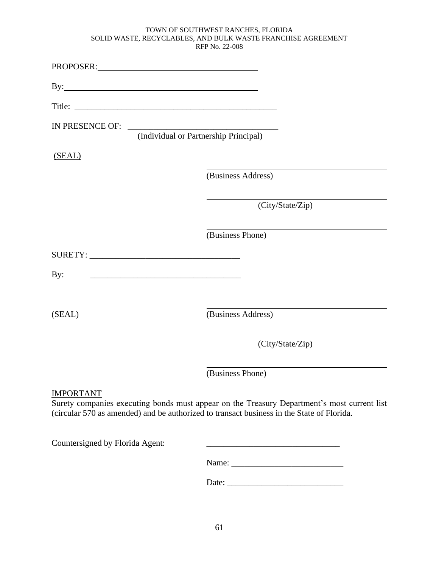| PROPOSER: New York Contains the Contains of the Contains of the Contains of the Contains of the Contains of the Contains of the Contains of the Contains of the Contains of the Contains of the Contains of the Contains of th |                                                                                                                                                                                          |
|--------------------------------------------------------------------------------------------------------------------------------------------------------------------------------------------------------------------------------|------------------------------------------------------------------------------------------------------------------------------------------------------------------------------------------|
|                                                                                                                                                                                                                                |                                                                                                                                                                                          |
|                                                                                                                                                                                                                                |                                                                                                                                                                                          |
|                                                                                                                                                                                                                                | (Individual or Partnership Principal)                                                                                                                                                    |
| (SEAL)                                                                                                                                                                                                                         |                                                                                                                                                                                          |
|                                                                                                                                                                                                                                | (Business Address)                                                                                                                                                                       |
|                                                                                                                                                                                                                                | (City/State/Zip)                                                                                                                                                                         |
|                                                                                                                                                                                                                                | (Business Phone)                                                                                                                                                                         |
|                                                                                                                                                                                                                                |                                                                                                                                                                                          |
| By:                                                                                                                                                                                                                            |                                                                                                                                                                                          |
| (SEAL)                                                                                                                                                                                                                         | (Business Address)                                                                                                                                                                       |
|                                                                                                                                                                                                                                | (City/State/Zip)                                                                                                                                                                         |
|                                                                                                                                                                                                                                | (Business Phone)                                                                                                                                                                         |
| <b>IMPORTANT</b>                                                                                                                                                                                                               | Surety companies executing bonds must appear on the Treasury Department's most current list<br>(circular 570 as amended) and be authorized to transact business in the State of Florida. |

Countersigned by Florida Agent: \_\_\_\_\_\_\_\_\_\_\_\_\_\_\_\_\_\_\_\_\_\_\_\_\_\_\_\_\_\_\_

Name: \_\_\_\_\_\_\_\_\_\_\_\_\_\_\_\_\_\_\_\_\_\_\_\_\_\_

Date: \_\_\_\_\_\_\_\_\_\_\_\_\_\_\_\_\_\_\_\_\_\_\_\_\_\_\_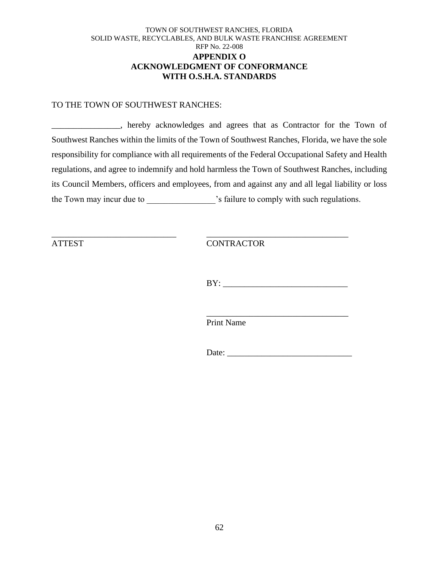## TOWN OF SOUTHWEST RANCHES, FLORIDA SOLID WASTE, RECYCLABLES, AND BULK WASTE FRANCHISE AGREEMENT RFP No. 22-008 **APPENDIX O ACKNOWLEDGMENT OF CONFORMANCE WITH O.S.H.A. STANDARDS**

#### TO THE TOWN OF SOUTHWEST RANCHES:

\_\_\_\_\_\_\_\_\_\_\_\_\_\_\_\_, hereby acknowledges and agrees that as Contractor for the Town of Southwest Ranches within the limits of the Town of Southwest Ranches, Florida, we have the sole responsibility for compliance with all requirements of the Federal Occupational Safety and Health regulations, and agree to indemnify and hold harmless the Town of Southwest Ranches, including its Council Members, officers and employees, from and against any and all legal liability or loss the Town may incur due to \_\_\_\_\_\_\_\_\_\_\_\_\_\_\_\_\_\_\_\_'s failure to comply with such regulations.

\_\_\_\_\_\_\_\_\_\_\_\_\_\_\_\_\_\_\_\_\_\_\_\_\_\_\_\_\_ \_\_\_\_\_\_\_\_\_\_\_\_\_\_\_\_\_\_\_\_\_\_\_\_\_\_\_\_\_\_\_\_\_

ATTEST CONTRACTOR

BY: \_\_\_\_\_\_\_\_\_\_\_\_\_\_\_\_\_\_\_\_\_\_\_\_\_\_\_\_\_

\_\_\_\_\_\_\_\_\_\_\_\_\_\_\_\_\_\_\_\_\_\_\_\_\_\_\_\_\_\_\_\_\_

Print Name

Date: \_\_\_\_\_\_\_\_\_\_\_\_\_\_\_\_\_\_\_\_\_\_\_\_\_\_\_\_\_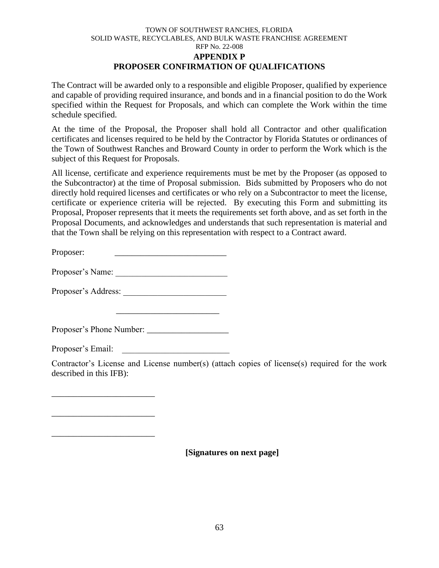## TOWN OF SOUTHWEST RANCHES, FLORIDA SOLID WASTE, RECYCLABLES, AND BULK WASTE FRANCHISE AGREEMENT RFP No. 22-008 **APPENDIX P PROPOSER CONFIRMATION OF QUALIFICATIONS**

The Contract will be awarded only to a responsible and eligible Proposer, qualified by experience and capable of providing required insurance, and bonds and in a financial position to do the Work specified within the Request for Proposals, and which can complete the Work within the time schedule specified.

At the time of the Proposal, the Proposer shall hold all Contractor and other qualification certificates and licenses required to be held by the Contractor by Florida Statutes or ordinances of the Town of Southwest Ranches and Broward County in order to perform the Work which is the subject of this Request for Proposals.

All license, certificate and experience requirements must be met by the Proposer (as opposed to the Subcontractor) at the time of Proposal submission. Bids submitted by Proposers who do not directly hold required licenses and certificates or who rely on a Subcontractor to meet the license, certificate or experience criteria will be rejected. By executing this Form and submitting its Proposal, Proposer represents that it meets the requirements set forth above, and as set forth in the Proposal Documents, and acknowledges and understands that such representation is material and that the Town shall be relying on this representation with respect to a Contract award.

Proposer:

Proposer's Name:

Proposer's Address:

Proposer's Phone Number: \_\_\_\_\_\_\_\_\_\_\_\_\_\_\_\_\_\_\_

\_\_\_\_\_\_\_\_\_\_\_\_\_\_\_\_\_\_\_\_\_\_\_\_

Proposer's Email:

\_\_\_\_\_\_\_\_\_\_\_\_\_\_\_\_\_\_\_\_\_\_\_\_

\_\_\_\_\_\_\_\_\_\_\_\_\_\_\_\_\_\_\_\_\_\_\_\_

\_\_\_\_\_\_\_\_\_\_\_\_\_\_\_\_\_\_\_\_\_\_\_\_

Contractor's License and License number(s) (attach copies of license(s) required for the work described in this IFB):

**[Signatures on next page]**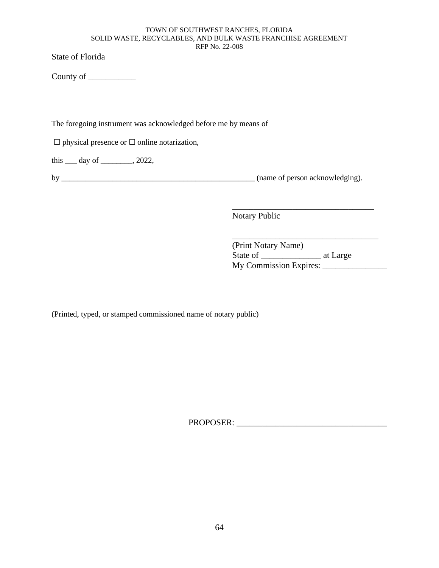State of Florida

County of \_\_\_\_\_\_\_\_\_\_\_

The foregoing instrument was acknowledged before me by means of

☐ physical presence or ☐ online notarization,

this \_\_\_ day of \_\_\_\_\_\_\_\_, 2022,

by \_\_\_\_\_\_\_\_\_\_\_\_\_\_\_\_\_\_\_\_\_\_\_\_\_\_\_\_\_\_\_\_\_\_\_\_\_\_\_\_\_\_\_\_\_\_\_\_\_ (name of person acknowledging).

\_\_\_\_\_\_\_\_\_\_\_\_\_\_\_\_\_\_\_\_\_\_\_\_\_\_\_\_\_\_\_\_\_

Notary Public

(Print Notary Name) State of \_\_\_\_\_\_\_\_\_\_\_\_\_\_ at Large My Commission Expires:

\_\_\_\_\_\_\_\_\_\_\_\_\_\_\_\_\_\_\_\_\_\_\_\_\_\_\_\_\_\_\_\_\_\_

(Printed, typed, or stamped commissioned name of notary public)

PROPOSER: \_\_\_\_\_\_\_\_\_\_\_\_\_\_\_\_\_\_\_\_\_\_\_\_\_\_\_\_\_\_\_\_\_\_\_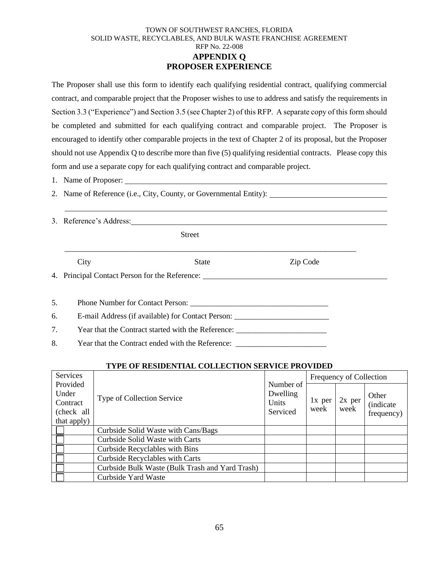## TOWN OF SOUTHWEST RANCHES, FLORIDA SOLID WASTE, RECYCLABLES, AND BULK WASTE FRANCHISE AGREEMENT RFP No. 22-008 **APPENDIX Q PROPOSER EXPERIENCE**

The Proposer shall use this form to identify each qualifying residential contract, qualifying commercial contract, and comparable project that the Proposer wishes to use to address and satisfy the requirements in Section 3.3 ("Experience") and Section 3.5 (see Chapter 2) of this RFP. A separate copy of this form should be completed and submitted for each qualifying contract and comparable project. The Proposer is encouraged to identify other comparable projects in the text of Chapter 2 of its proposal, but the Proposer should not use Appendix Q to describe more than five (5) qualifying residential contracts. Please copy this form and use a separate copy for each qualifying contract and comparable project.

- 1. Name of Proposer:
- 2. Name of Reference (i.e., City, County, or Governmental Entity):
- 3. Reference's Address:

Street

City State Zip Code

\_\_\_\_\_\_\_\_\_\_\_\_\_\_\_\_\_\_\_\_\_\_\_\_\_\_\_\_\_\_\_\_\_\_\_\_\_\_\_\_\_\_\_\_\_\_\_\_\_\_\_\_\_\_\_\_\_\_\_\_\_\_\_\_\_\_\_\_\_\_\_\_\_\_

4. Principal Contact Person for the Reference:

5. Phone Number for Contact Person: \_\_\_\_\_\_\_\_\_\_\_\_\_\_\_\_\_\_\_\_\_\_\_\_\_\_\_\_\_\_\_\_\_\_\_

6. E-mail Address (if available) for Contact Person: \_\_\_\_\_\_\_\_\_\_\_\_\_\_\_\_\_\_\_\_\_\_\_\_\_\_\_

7. Year that the Contract started with the Reference: \_\_\_\_\_\_\_\_\_\_\_\_\_\_\_\_\_\_\_\_\_\_\_\_\_\_

8. Year that the Contract ended with the Reference: \_\_\_\_\_\_\_\_\_\_\_\_\_\_\_\_\_\_\_\_\_\_\_\_\_\_\_\_

## **TYPE OF RESIDENTIAL COLLECTION SERVICE PROVIDED**

| Services                                    |                                                 |                                            | Frequency of Collection |                  |                                          |  |
|---------------------------------------------|-------------------------------------------------|--------------------------------------------|-------------------------|------------------|------------------------------------------|--|
| Provided<br>Under<br>Contract<br>(check all | Type of Collection Service                      | Number of<br>Dwelling<br>Units<br>Serviced | 1x per<br>week          | $2x$ per<br>week | Other<br><i>(indicate)</i><br>frequency) |  |
| that apply)                                 |                                                 |                                            |                         |                  |                                          |  |
|                                             | Curbside Solid Waste with Cans/Bags             |                                            |                         |                  |                                          |  |
|                                             | Curbside Solid Waste with Carts                 |                                            |                         |                  |                                          |  |
|                                             | Curbside Recyclables with Bins                  |                                            |                         |                  |                                          |  |
|                                             | <b>Curbside Recyclables with Carts</b>          |                                            |                         |                  |                                          |  |
|                                             | Curbside Bulk Waste (Bulk Trash and Yard Trash) |                                            |                         |                  |                                          |  |
|                                             | Curbside Yard Waste                             |                                            |                         |                  |                                          |  |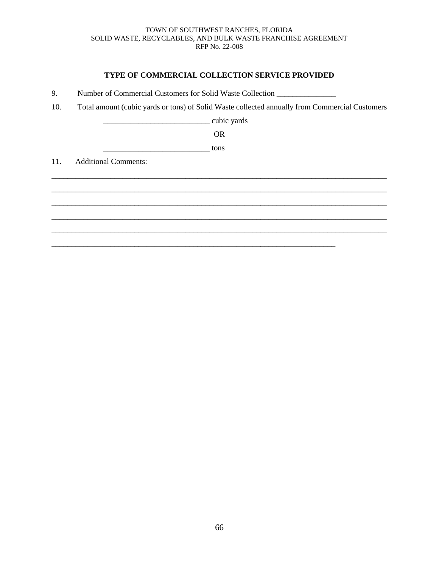## **TYPE OF COMMERCIAL COLLECTION SERVICE PROVIDED**

- 9. Number of Commercial Customers for Solid Waste Collection \_\_\_\_\_\_\_\_\_\_\_\_\_\_\_\_\_\_\_
- 10. Total amount (cubic yards or tons) of Solid Waste collected annually from Commercial Customers

\_\_\_\_\_\_\_\_\_\_\_\_\_\_\_\_\_\_\_\_\_\_\_\_\_\_\_ cubic yards

OR

\_\_\_\_\_\_\_\_\_\_\_\_\_\_\_\_\_\_\_\_\_\_\_\_\_\_\_ tons

11. Additional Comments:

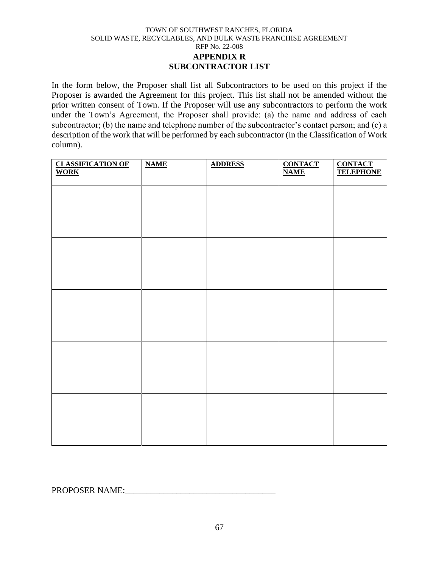#### TOWN OF SOUTHWEST RANCHES, FLORIDA SOLID WASTE, RECYCLABLES, AND BULK WASTE FRANCHISE AGREEMENT RFP No. 22-008 **APPENDIX R SUBCONTRACTOR LIST**

In the form below, the Proposer shall list all Subcontractors to be used on this project if the Proposer is awarded the Agreement for this project. This list shall not be amended without the prior written consent of Town. If the Proposer will use any subcontractors to perform the work under the Town's Agreement, the Proposer shall provide: (a) the name and address of each subcontractor; (b) the name and telephone number of the subcontractor's contact person; and (c) a description of the work that will be performed by each subcontractor (in the Classification of Work column).

| <b>CLASSIFICATION OF</b><br>WORK | <b>NAME</b> | <b>ADDRESS</b> | <b>CONTACT</b><br><b>NAME</b> | <b>CONTACT<br/>TELEPHONE</b> |
|----------------------------------|-------------|----------------|-------------------------------|------------------------------|
|                                  |             |                |                               |                              |
|                                  |             |                |                               |                              |
|                                  |             |                |                               |                              |
|                                  |             |                |                               |                              |
|                                  |             |                |                               |                              |
|                                  |             |                |                               |                              |
|                                  |             |                |                               |                              |
|                                  |             |                |                               |                              |
|                                  |             |                |                               |                              |
|                                  |             |                |                               |                              |

PROPOSER NAME: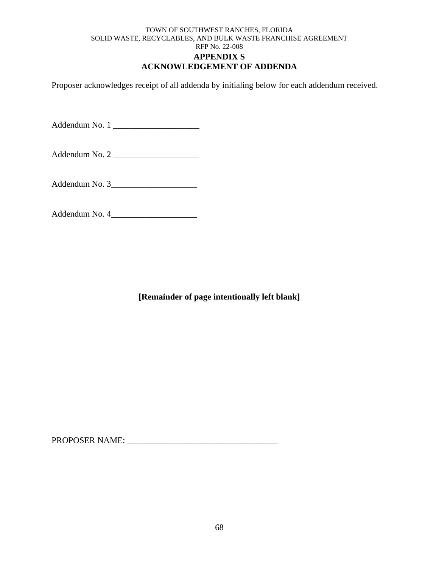### TOWN OF SOUTHWEST RANCHES, FLORIDA SOLID WASTE, RECYCLABLES, AND BULK WASTE FRANCHISE AGREEMENT RFP No. 22-008 **APPENDIX S ACKNOWLEDGEMENT OF ADDENDA**

Proposer acknowledges receipt of all addenda by initialing below for each addendum received.

Addendum No. 1 \_\_\_\_\_\_\_\_\_\_\_\_\_\_\_\_\_\_\_\_

Addendum No. 2 \_\_\_\_\_\_\_\_\_\_\_\_\_\_\_\_\_\_\_\_

Addendum No. 3\_\_\_\_\_\_\_\_\_\_\_\_\_\_\_\_\_\_\_\_

Addendum No. 4\_\_\_\_\_\_\_\_\_\_\_\_\_\_\_\_\_\_\_\_

**[Remainder of page intentionally left blank]**

PROPOSER NAME: \_\_\_\_\_\_\_\_\_\_\_\_\_\_\_\_\_\_\_\_\_\_\_\_\_\_\_\_\_\_\_\_\_\_\_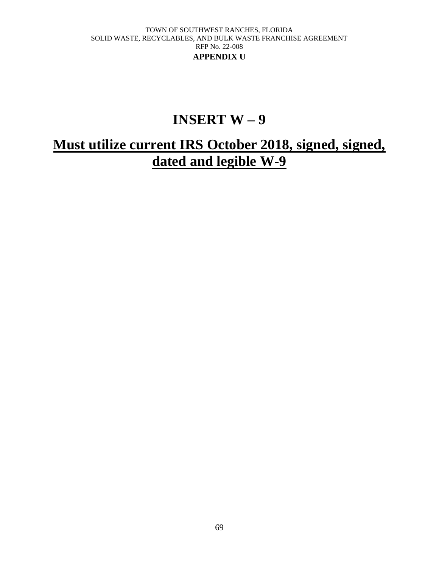#### TOWN OF SOUTHWEST RANCHES, FLORIDA SOLID WASTE, RECYCLABLES, AND BULK WASTE FRANCHISE AGREEMENT RFP No. 22-008 **APPENDIX U**

# **INSERT W – 9**

# **Must utilize current IRS October 2018, signed, signed, dated and legible W-9**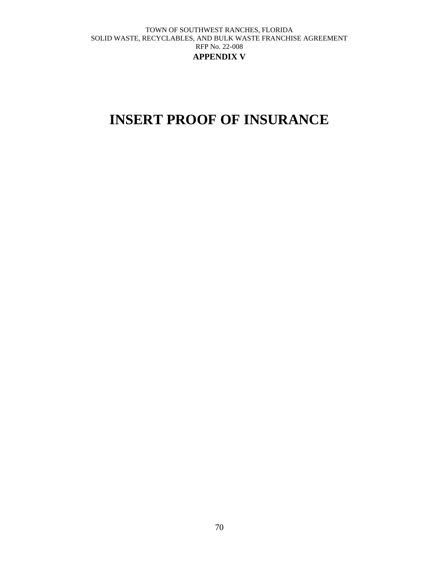#### TOWN OF SOUTHWEST RANCHES, FLORIDA SOLID WASTE, RECYCLABLES, AND BULK WASTE FRANCHISE AGREEMENT RFP No. 22-008 **APPENDIX V**

# **INSERT PROOF OF INSURANCE**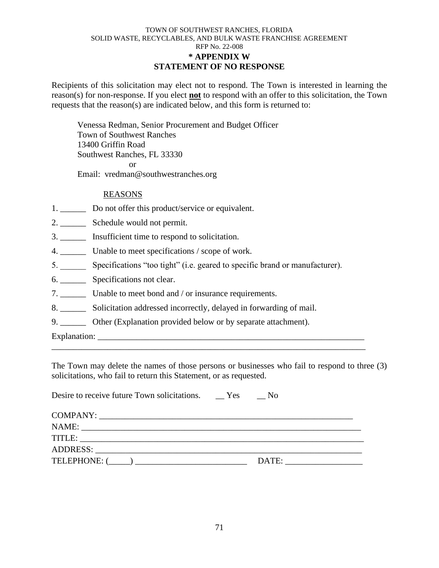#### TOWN OF SOUTHWEST RANCHES, FLORIDA SOLID WASTE, RECYCLABLES, AND BULK WASTE FRANCHISE AGREEMENT RFP No. 22-008 **\* APPENDIX W STATEMENT OF NO RESPONSE**

Recipients of this solicitation may elect not to respond. The Town is interested in learning the reason(s) for non-response. If you elect **not** to respond with an offer to this solicitation, the Town requests that the reason(s) are indicated below, and this form is returned to:

Venessa Redman, Senior Procurement and Budget Officer Town of Southwest Ranches 13400 Griffin Road Southwest Ranches, FL 33330 or Email: vredman@southwestranches.org

### REASONS

- 1. \_\_\_\_\_\_\_\_ Do not offer this product/service or equivalent.
- 2. \_\_\_\_\_\_ Schedule would not permit.
- 3. \_\_\_\_\_\_ Insufficient time to respond to solicitation.
- 4. \_\_\_\_\_\_ Unable to meet specifications / scope of work.
- 5. \_\_\_\_\_\_ Specifications "too tight" (i.e. geared to specific brand or manufacturer).
- 6. \_\_\_\_\_\_ Specifications not clear.
- 7. \_\_\_\_\_\_ Unable to meet bond and / or insurance requirements.

Desire to receive future Town solicitations. \_\_ Yes \_\_ No

- 8. \_\_\_\_\_\_ Solicitation addressed incorrectly, delayed in forwarding of mail.
- 9. \_\_\_\_\_\_ Other (Explanation provided below or by separate attachment).

Explanation:

The Town may delete the names of those persons or businesses who fail to respond to three (3) solicitations, who fail to return this Statement, or as requested.

\_\_\_\_\_\_\_\_\_\_\_\_\_\_\_\_\_\_\_\_\_\_\_\_\_\_\_\_\_\_\_\_\_\_\_\_\_\_\_\_\_\_\_\_\_\_\_\_\_\_\_\_\_\_\_\_\_\_\_\_\_\_\_\_\_\_\_\_\_\_\_\_\_

| Desire to receive future Town solicitations. These | - NO  |
|----------------------------------------------------|-------|
|                                                    |       |
|                                                    |       |
|                                                    |       |
|                                                    |       |
|                                                    | DATE: |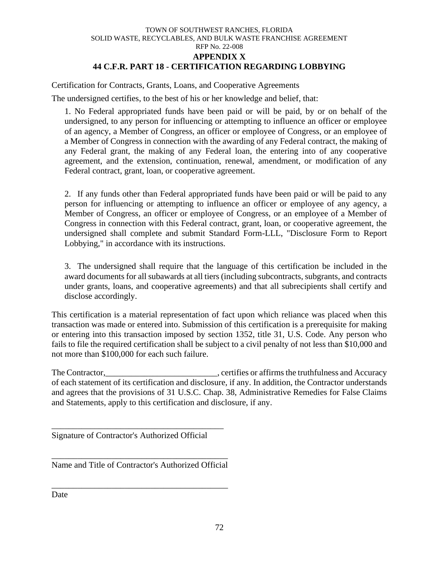#### TOWN OF SOUTHWEST RANCHES, FLORIDA SOLID WASTE, RECYCLABLES, AND BULK WASTE FRANCHISE AGREEMENT RFP No. 22-008 **APPENDIX X 44 C.F.R. PART 18 - CERTIFICATION REGARDING LOBBYING**

Certification for Contracts, Grants, Loans, and Cooperative Agreements

The undersigned certifies, to the best of his or her knowledge and belief, that:

1. No Federal appropriated funds have been paid or will be paid, by or on behalf of the undersigned, to any person for influencing or attempting to influence an officer or employee of an agency, a Member of Congress, an officer or employee of Congress, or an employee of a Member of Congress in connection with the awarding of any Federal contract, the making of any Federal grant, the making of any Federal loan, the entering into of any cooperative agreement, and the extension, continuation, renewal, amendment, or modification of any Federal contract, grant, loan, or cooperative agreement.

2. If any funds other than Federal appropriated funds have been paid or will be paid to any person for influencing or attempting to influence an officer or employee of any agency, a Member of Congress, an officer or employee of Congress, or an employee of a Member of Congress in connection with this Federal contract, grant, loan, or cooperative agreement, the undersigned shall complete and submit Standard Form-LLL, "Disclosure Form to Report Lobbying," in accordance with its instructions.

3. The undersigned shall require that the language of this certification be included in the award documents for all subawards at all tiers (including subcontracts, subgrants, and contracts under grants, loans, and cooperative agreements) and that all subrecipients shall certify and disclose accordingly.

This certification is a material representation of fact upon which reliance was placed when this transaction was made or entered into. Submission of this certification is a prerequisite for making or entering into this transaction imposed by section 1352, title 31, U.S. Code. Any person who fails to file the required certification shall be subject to a civil penalty of not less than \$10,000 and not more than \$100,000 for each such failure.

The Contractor, The Contractor,  $\blacksquare$ , certifies or affirms the truthfulness and Accuracy of each statement of its certification and disclosure, if any. In addition, the Contractor understands and agrees that the provisions of 31 U.S.C. Chap. 38, Administrative Remedies for False Claims and Statements, apply to this certification and disclosure, if any.

Signature of Contractor's Authorized Official

\_\_\_\_\_\_\_\_\_\_\_\_\_\_\_\_\_\_\_\_\_\_\_\_\_\_\_\_\_\_\_\_\_\_\_\_\_\_\_\_

\_\_\_\_\_\_\_\_\_\_\_\_\_\_\_\_\_\_\_\_\_\_\_\_\_\_\_\_\_\_\_\_\_\_\_\_\_\_\_\_\_ Name and Title of Contractor's Authorized Official

\_\_\_\_\_\_\_\_\_\_\_\_\_\_\_\_\_\_\_\_\_\_\_\_\_\_\_\_\_\_\_\_\_\_\_\_\_\_\_\_\_

Date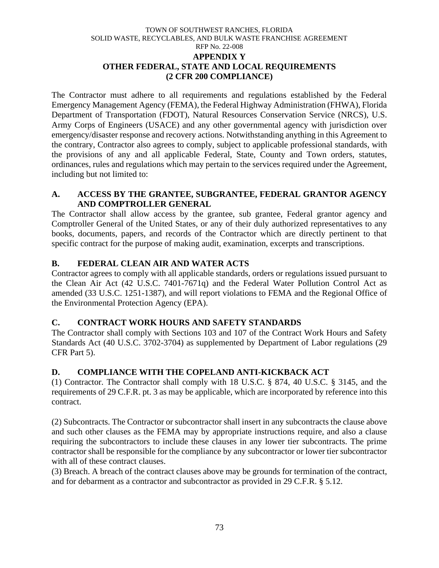### TOWN OF SOUTHWEST RANCHES, FLORIDA SOLID WASTE, RECYCLABLES, AND BULK WASTE FRANCHISE AGREEMENT RFP No. 22-008 **APPENDIX Y OTHER FEDERAL, STATE AND LOCAL REQUIREMENTS (2 CFR 200 COMPLIANCE)**

The Contractor must adhere to all requirements and regulations established by the Federal Emergency Management Agency (FEMA), the Federal Highway Administration (FHWA), Florida Department of Transportation (FDOT), Natural Resources Conservation Service (NRCS), U.S. Army Corps of Engineers (USACE) and any other governmental agency with jurisdiction over emergency/disaster response and recovery actions. Notwithstanding anything in this Agreement to the contrary, Contractor also agrees to comply, subject to applicable professional standards, with the provisions of any and all applicable Federal, State, County and Town orders, statutes, ordinances, rules and regulations which may pertain to the services required under the Agreement, including but not limited to:

## **A. ACCESS BY THE GRANTEE, SUBGRANTEE, FEDERAL GRANTOR AGENCY AND COMPTROLLER GENERAL**

The Contractor shall allow access by the grantee, sub grantee, Federal grantor agency and Comptroller General of the United States, or any of their duly authorized representatives to any books, documents, papers, and records of the Contractor which are directly pertinent to that specific contract for the purpose of making audit, examination, excerpts and transcriptions.

# **B. FEDERAL CLEAN AIR AND WATER ACTS**

Contractor agrees to comply with all applicable standards, orders or regulations issued pursuant to the Clean Air Act (42 U.S.C. 7401-7671q) and the Federal Water Pollution Control Act as amended (33 U.S.C. 1251-1387), and will report violations to FEMA and the Regional Office of the Environmental Protection Agency (EPA).

## **C. CONTRACT WORK HOURS AND SAFETY STANDARDS**

The Contractor shall comply with Sections 103 and 107 of the Contract Work Hours and Safety Standards Act (40 U.S.C. 3702-3704) as supplemented by Department of Labor regulations (29 CFR Part 5).

## **D. COMPLIANCE WITH THE COPELAND ANTI-KICKBACK ACT**

(1) Contractor. The Contractor shall comply with 18 U.S.C. § 874, 40 U.S.C. § 3145, and the requirements of 29 C.F.R. pt. 3 as may be applicable, which are incorporated by reference into this contract.

(2) Subcontracts. The Contractor or subcontractor shall insert in any subcontracts the clause above and such other clauses as the FEMA may by appropriate instructions require, and also a clause requiring the subcontractors to include these clauses in any lower tier subcontracts. The prime contractor shall be responsible for the compliance by any subcontractor or lower tier subcontractor with all of these contract clauses.

(3) Breach. A breach of the contract clauses above may be grounds for termination of the contract, and for debarment as a contractor and subcontractor as provided in 29 C.F.R. § 5.12.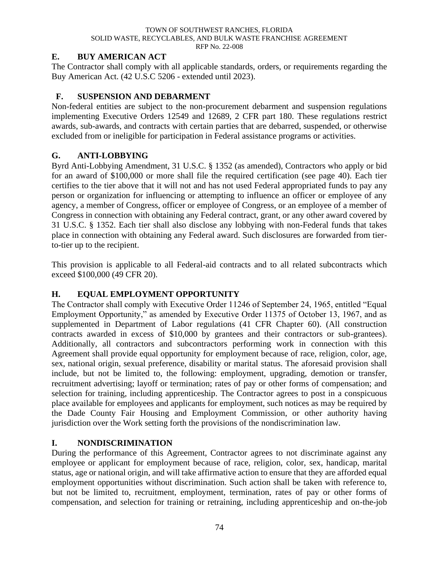#### TOWN OF SOUTHWEST RANCHES, FLORIDA SOLID WASTE, RECYCLABLES, AND BULK WASTE FRANCHISE AGREEMENT RFP No. 22-008

## **E. BUY AMERICAN ACT**

The Contractor shall comply with all applicable standards, orders, or requirements regarding the Buy American Act. (42 U.S.C 5206 - extended until 2023).

# **F. SUSPENSION AND DEBARMENT**

Non-federal entities are subject to the non-procurement debarment and suspension regulations implementing Executive Orders 12549 and 12689, 2 CFR part 180. These regulations restrict awards, sub-awards, and contracts with certain parties that are debarred, suspended, or otherwise excluded from or ineligible for participation in Federal assistance programs or activities.

# **G. ANTI-LOBBYING**

Byrd Anti-Lobbying Amendment, 31 U.S.C. § 1352 (as amended), Contractors who apply or bid for an award of \$100,000 or more shall file the required certification (see page 40). Each tier certifies to the tier above that it will not and has not used Federal appropriated funds to pay any person or organization for influencing or attempting to influence an officer or employee of any agency, a member of Congress, officer or employee of Congress, or an employee of a member of Congress in connection with obtaining any Federal contract, grant, or any other award covered by 31 U.S.C. § 1352. Each tier shall also disclose any lobbying with non-Federal funds that takes place in connection with obtaining any Federal award. Such disclosures are forwarded from tierto-tier up to the recipient.

This provision is applicable to all Federal-aid contracts and to all related subcontracts which exceed \$100,000 (49 CFR 20).

# **H. EQUAL EMPLOYMENT OPPORTUNITY**

The Contractor shall comply with Executive Order 11246 of September 24, 1965, entitled "Equal Employment Opportunity," as amended by Executive Order 11375 of October 13, 1967, and as supplemented in Department of Labor regulations (41 CFR Chapter 60). (All construction contracts awarded in excess of \$10,000 by grantees and their contractors or sub-grantees). Additionally, all contractors and subcontractors performing work in connection with this Agreement shall provide equal opportunity for employment because of race, religion, color, age, sex, national origin, sexual preference, disability or marital status. The aforesaid provision shall include, but not be limited to, the following: employment, upgrading, demotion or transfer, recruitment advertising; layoff or termination; rates of pay or other forms of compensation; and selection for training, including apprenticeship. The Contractor agrees to post in a conspicuous place available for employees and applicants for employment, such notices as may be required by the Dade County Fair Housing and Employment Commission, or other authority having jurisdiction over the Work setting forth the provisions of the nondiscrimination law.

# **I. NONDISCRIMINATION**

During the performance of this Agreement, Contractor agrees to not discriminate against any employee or applicant for employment because of race, religion, color, sex, handicap, marital status, age or national origin, and will take affirmative action to ensure that they are afforded equal employment opportunities without discrimination. Such action shall be taken with reference to, but not be limited to, recruitment, employment, termination, rates of pay or other forms of compensation, and selection for training or retraining, including apprenticeship and on-the-job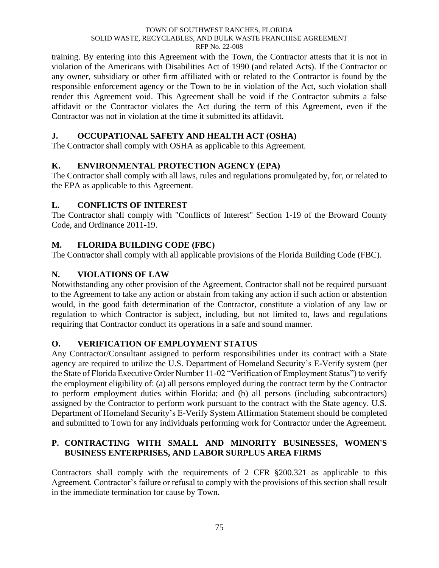#### TOWN OF SOUTHWEST RANCHES, FLORIDA SOLID WASTE, RECYCLABLES, AND BULK WASTE FRANCHISE AGREEMENT RFP No. 22-008

training. By entering into this Agreement with the Town, the Contractor attests that it is not in violation of the Americans with Disabilities Act of 1990 (and related Acts). If the Contractor or any owner, subsidiary or other firm affiliated with or related to the Contractor is found by the responsible enforcement agency or the Town to be in violation of the Act, such violation shall render this Agreement void. This Agreement shall be void if the Contractor submits a false affidavit or the Contractor violates the Act during the term of this Agreement, even if the Contractor was not in violation at the time it submitted its affidavit.

## **J. OCCUPATIONAL SAFETY AND HEALTH ACT (OSHA)**

The Contractor shall comply with OSHA as applicable to this Agreement.

# **K. ENVIRONMENTAL PROTECTION AGENCY (EPA)**

The Contractor shall comply with all laws, rules and regulations promulgated by, for, or related to the EPA as applicable to this Agreement.

## **L. CONFLICTS OF INTEREST**

The Contractor shall comply with "Conflicts of Interest" Section 1-19 of the Broward County Code, and Ordinance 2011-19.

# **M. FLORIDA BUILDING CODE (FBC)**

The Contractor shall comply with all applicable provisions of the Florida Building Code (FBC).

# **N. VIOLATIONS OF LAW**

Notwithstanding any other provision of the Agreement, Contractor shall not be required pursuant to the Agreement to take any action or abstain from taking any action if such action or abstention would, in the good faith determination of the Contractor, constitute a violation of any law or regulation to which Contractor is subject, including, but not limited to, laws and regulations requiring that Contractor conduct its operations in a safe and sound manner.

## **O. VERIFICATION OF EMPLOYMENT STATUS**

Any Contractor/Consultant assigned to perform responsibilities under its contract with a State agency are required to utilize the U.S. Department of Homeland Security's E-Verify system (per the State of Florida Executive Order Number 11-02 "Verification of Employment Status") to verify the employment eligibility of: (a) all persons employed during the contract term by the Contractor to perform employment duties within Florida; and (b) all persons (including subcontractors) assigned by the Contractor to perform work pursuant to the contract with the State agency. U.S. Department of Homeland Security's E-Verify System Affirmation Statement should be completed and submitted to Town for any individuals performing work for Contractor under the Agreement.

## **P. CONTRACTING WITH SMALL AND MINORITY BUSINESSES, WOMEN'S BUSINESS ENTERPRISES, AND LABOR SURPLUS AREA FIRMS**

Contractors shall comply with the requirements of 2 CFR §200.321 as applicable to this Agreement. Contractor's failure or refusal to comply with the provisions of this section shall result in the immediate termination for cause by Town.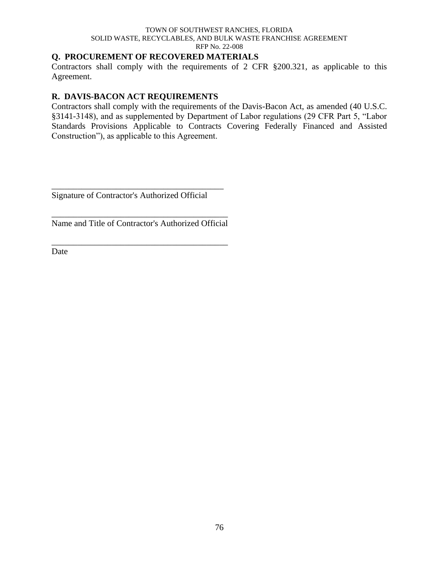#### TOWN OF SOUTHWEST RANCHES, FLORIDA SOLID WASTE, RECYCLABLES, AND BULK WASTE FRANCHISE AGREEMENT RFP No. 22-008

## **Q. PROCUREMENT OF RECOVERED MATERIALS**

Contractors shall comply with the requirements of 2 CFR §200.321, as applicable to this Agreement.

### **R. DAVIS-BACON ACT REQUIREMENTS**

Contractors shall comply with the requirements of the Davis-Bacon Act, as amended (40 U.S.C. §3141-3148), and as supplemented by Department of Labor regulations (29 CFR Part 5, "Labor Standards Provisions Applicable to Contracts Covering Federally Financed and Assisted Construction"), as applicable to this Agreement.

Signature of Contractor's Authorized Official

\_\_\_\_\_\_\_\_\_\_\_\_\_\_\_\_\_\_\_\_\_\_\_\_\_\_\_\_\_\_\_\_\_\_\_\_\_\_\_\_

\_\_\_\_\_\_\_\_\_\_\_\_\_\_\_\_\_\_\_\_\_\_\_\_\_\_\_\_\_\_\_\_\_\_\_\_\_\_\_\_\_ Name and Title of Contractor's Authorized Official

\_\_\_\_\_\_\_\_\_\_\_\_\_\_\_\_\_\_\_\_\_\_\_\_\_\_\_\_\_\_\_\_\_\_\_\_\_\_\_\_\_

Date